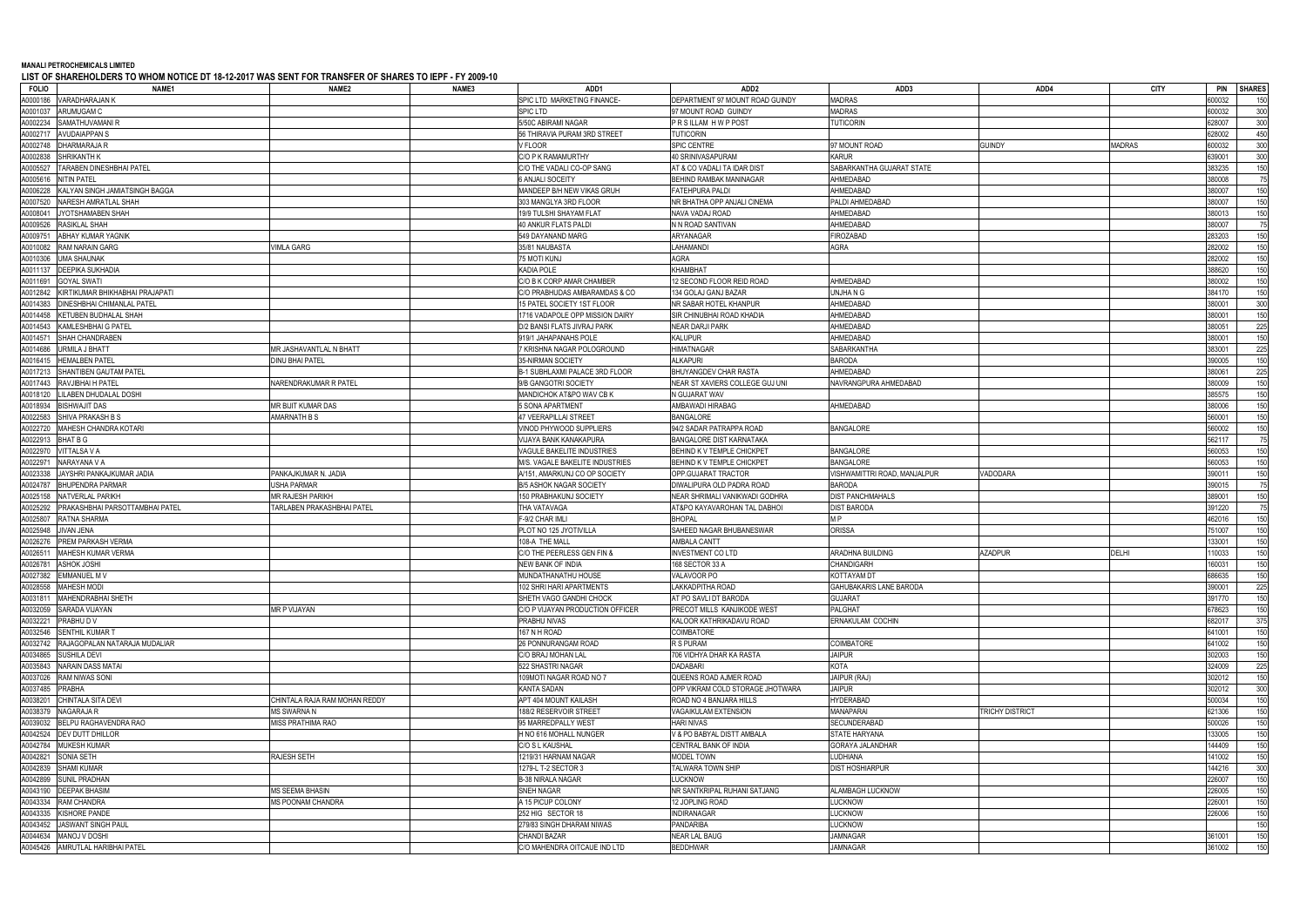## **MANALI PETROCHEMICALS LIMITED**

**LIST OF SHAREHOLDERS TO WHOM NOTICE DT 18-12-2017 WAS SENT FOR TRANSFER OF SHARES TO IEPF - FY 2009-10**

| <b>FOLIO</b><br>NAME <sub>1</sub>           | NAME <sub>2</sub>             | NAME3 | ADD1                                   | ADD <sub>2</sub>                     | ADD3                           | ADD4                   | <b>CITY</b>   | <b>PIN</b> | <b>SHARES</b> |
|---------------------------------------------|-------------------------------|-------|----------------------------------------|--------------------------------------|--------------------------------|------------------------|---------------|------------|---------------|
| VARADHARAJAN K<br>A0000186                  |                               |       | SPIC LTD MARKETING FINANCE             | DEPARTMENT 97 MOUNT ROAD GUINDY      | MADRAS                         |                        |               | 600032     | 150           |
| A0001037<br>ARUMUGAM C                      |                               |       | <b>SPIC LTD</b>                        | 97 MOUNT ROAD GUINDY                 | <b>MADRAS</b>                  |                        |               | 600032     | 300           |
| SAMATHUVAMANI R<br>A0002234                 |                               |       | 5/50C ABIRAMI NAGAR                    | PRSILLAM HWPPOST                     | <b>TUTICORIN</b>               |                        |               | 628007     | 300           |
| A000271<br><b>AVUDAIAPPAN S</b>             |                               |       | 56 THIRAVIA PURAM 3RD STREET           | <b>TUTICORIN</b>                     |                                |                        |               | 628002     | 450           |
| A0002748<br>DHARMARAJA R                    |                               |       | V FLOOR                                | SPIC CENTRE                          | 97 MOUNT ROAD                  | <b>GUINDY</b>          | <b>MADRAS</b> | 600032     | 300           |
| A0002838<br>SHRIKANTH K                     |                               |       | C/O P K RAMAMURTHY                     | 40 SRINIVASAPURAM                    | <b>KARUR</b>                   |                        |               | 639001     | 300           |
| TARABEN DINESHBHAI PATEL<br>A0005527        |                               |       | C/O THE VADALI CO-OP SANG              | AT & CO VADALI TA IDAR DIST          | SABARKANTHA GUJARAT STATE      |                        |               | 383235     | 150           |
| A0005616<br><b>NITIN PATEL</b>              |                               |       | <b>6 ANJALI SOCEITY</b>                | BEHIND RAMBAK MANINAGAR              | AHMEDABAD                      |                        |               | 380008     | 75            |
| A0006228<br>KALYAN SINGH JAMIATSINGH BAGGA  |                               |       | MANDEEP B/H NEW VIKAS GRUH             | <b>FATEHPURA PALDI</b>               | AHMEDABAD                      |                        |               | 380007     | 150           |
| A0007520<br>NARESH AMRATLAL SHAH            |                               |       | 303 MANGLYA 3RD FLOOR                  | NR BHATHA OPP ANJALI CINEMA          | PALDI AHMEDABAD                |                        |               | 380007     | 150           |
| A0008041                                    |                               |       | 19/9 TULSHI SHAYAM FLAT                |                                      | AHMEDABAD                      |                        |               | 380013     | 150           |
| JYOTSHAMABEN SHAH                           |                               |       | 40 ANKUR FLATS PALDI                   | NAVA VADAJ ROAD<br>N N ROAD SANTIVAN | AHMEDABAD                      |                        |               | 380007     |               |
| A0009526<br>RASIKLAL SHAH                   |                               |       |                                        |                                      |                                |                        |               |            | 75            |
| A0009751<br>ABHAY KUMAR YAGNIK              |                               |       | 549 DAYANAND MARG                      | ARYANAGAR                            | FIROZABAD                      |                        |               | 283203     | 150           |
| A0010082<br>RAM NARAIN GARG                 | VIMLA GARG                    |       | 35/81 NAUBASTA                         | LAHAMANDI                            | <b>AGRA</b>                    |                        |               | 282002     | 150           |
| A0010306<br><b>UMA SHAUNAK</b>              |                               |       | 75 MOTI KUNJ                           | <b>AGRA</b>                          |                                |                        |               | 282002     | 150           |
| A0011137<br>DEEPIKA SUKHADIA                |                               |       | <b>KADIA POLE</b>                      | <b>KHAMBHAT</b>                      |                                |                        |               | 388620     | 150           |
| A0011691<br><b>GOYAL SWATI</b>              |                               |       | C/O B K CORP AMAR CHAMBER              | 12 SECOND FLOOR REID ROAD            | AHMEDABAD                      |                        |               | 380002     | 150           |
| A0012842<br>KIRTIKUMAR BHIKHABHAI PRAJAPATI |                               |       | C/O PRABHUDAS AMBARAMDAS & CO          | 134 GOLAJ GANJ BAZAR                 | UNJHA N G                      |                        |               | 384170     | 150           |
| A0014383<br>DINESHBHAI CHIMANLAL PATEL      |                               |       | 15 PATEL SOCIETY 1ST FLOOR             | NR SABAR HOTEL KHANPUR               | AHMEDABAD                      |                        |               | 380001     | 300           |
| A0014458<br>KETUBEN BUDHALAL SHAH           |                               |       | 1716 VADAPOLE OPP MISSION DAIRY        | SIR CHINUBHAI ROAD KHADIA            | AHMEDABAD                      |                        |               | 380001     | 150           |
| A0014543<br>KAMLESHBHAI G PATEL             |                               |       | D/2 BANSI FLATS JIVRAJ PARK            | <b>NEAR DARJI PARK</b>               | AHMEDABAD                      |                        |               | 380051     | 225           |
| A0014571<br>SHAH CHANDRABEN                 |                               |       | 919/1 JAHAPANAHS POLE                  | <b>KALUPUR</b>                       | AHMEDABAD                      |                        |               | 380001     | 150           |
| A0014686<br>URMILA J BHATT                  | MR JASHAVANTLAL N BHATT       |       | 7 KRISHNA NAGAR POLOGROUND             | <b>HIMATNAGAR</b>                    | SABARKANTHA                    |                        |               | 383001     | 225           |
| A0016415<br><b>HEMALBEN PATEL</b>           | <b>DINU BHAI PATEL</b>        |       | 35-NIRMAN SOCIETY                      | <b>ALKAPURI</b>                      | <b>BARODA</b>                  |                        |               | 390005     | 150           |
| A0017213<br>SHANTIBEN GAUTAM PATEL          |                               |       | B-1 SUBHLAXMI PALACE 3RD FLOOR         | BHUYANGDEV CHAR RASTA                | AHMEDABAD                      |                        |               | 380061     | 225           |
| A0017443<br>RAVJIBHAI H PATEL               | NARENDRAKUMAR R PATEL         |       | 9/B GANGOTRI SOCIETY                   | NEAR ST XAVIERS COLLEGE GUJ UNI      | NAVRANGPURA AHMEDABAD          |                        |               | 380009     | 150           |
| A0018120<br>LILABEN DHUDALAL DOSHI          |                               |       | MANDICHOK AT&PO WAV CB K               | N GUJARAT WAV                        |                                |                        |               | 385575     | 150           |
| A0018934<br><b>BISHWAJIT DAS</b>            | MR BIJIT KUMAR DAS            |       | 5 SONA APARTMENT                       | AMBAWADI HIRABAG                     | AHMEDABAD                      |                        |               | 380006     | 150           |
| A0022583<br>SHIVA PRAKASH B S               | AMARNATH B S                  |       | <b>47 VEERAPILLAI STREET</b>           | <b>BANGALORE</b>                     |                                |                        |               | 560001     | 150           |
| A0022720<br>MAHESH CHANDRA KOTARI           |                               |       | VINOD PHYWOOD SUPPLIERS                | 94/2 SADAR PATRAPPA ROAD             | <b>BANGALORE</b>               |                        |               | 560002     | 150           |
| A0022913<br>BHAT B G                        |                               |       | VIJAYA BANK KANAKAPURA                 | BANGALORE DIST KARNATAKA             |                                |                        |               | 562117     | 75            |
| /ITTALSA V A<br>A0022970                    |                               |       | VAGULE BAKELITE INDUSTRIES             | BEHIND K V TEMPLE CHICKPET           | <b>BANGALORE</b>               |                        |               | 560053     | 150           |
| A002297<br>NARAYANA V A                     |                               |       | M/S. VAGALE BAKELITE INDUSTRIES        | BEHIND K V TEMPLE CHICKPET           | <b>BANGALORE</b>               |                        |               | 560053     | 150           |
| A0023338<br>AYSHRI PANKAJKUMAR JADIA        | PANKAJKUMAR N. JADIA          |       | A/151, AMARKUNJ CO OP SOCIETY          | OPP.GUJARAT TRACTOR                  | VISHWAMITTRI ROAD, MANJALPUR   | <b>/ADODARA</b>        |               | 390011     | 150           |
| A0024787<br>BHUPENDRA PARMAR                | <b>USHA PARMAR</b>            |       | <b>B/5 ASHOK NAGAR SOCIETY</b>         | DIWALIPURA OLD PADRA ROAD            | <b>BARODA</b>                  |                        |               | 390015     | 75            |
| A0025158<br><b>NATVERLAL PARIKH</b>         | <b>MR RAJESH PARIKH</b>       |       |                                        | NEAR SHRIMALI VANIKWADI GODHRA       |                                |                        |               | 389001     | 150           |
| PRAKASHBHAI PARSOTTAMBHAI PATEL             |                               |       | 150 PRABHAKUNJ SOCIETY<br>THA VATAVAGA |                                      | <b>DIST PANCHMAHALS</b>        |                        |               |            |               |
| A0025292                                    | TARLABEN PRAKASHBHAI PATEL    |       |                                        | AT&PO KAYAVAROHAN TAL DABHO          | <b>DIST BARODA</b>             |                        |               | 391220     | 75            |
| A0025807<br>RATNA SHARMA                    |                               |       | F-9/2 CHAR IMLI                        | <b>BHOPAL</b>                        | M <sub>P</sub>                 |                        |               | 462016     | 150           |
| A0025948<br>IVAN JENA                       |                               |       | PLOT NO 125 JYOTIVILLA                 | SAHEED NAGAR BHUBANESWAR             | <b>ORISSA</b>                  |                        |               | 751007     | 150           |
| A0026276<br><b>PREM PARKASH VERMA</b>       |                               |       | 108-A THE MALL                         | <b>AMBALA CANTT</b>                  |                                |                        |               | 133001     | 150           |
| A0026511<br><b>MAHESH KUMAR VERMA</b>       |                               |       | C/O THE PEERLESS GEN FIN &             | <b>INVESTMENT CO LTD</b>             | <b>ARADHNA BUILDING</b>        | AZADPUR                | <b>DELHI</b>  | 110033     | 150           |
| A0026781<br><b>ASHOK JOSHI</b>              |                               |       | <b>NEW BANK OF INDIA</b>               | 168 SECTOR 33 A                      | <b>CHANDIGARH</b>              |                        |               | 160031     | 150           |
| A0027382 EMMANUEL M V                       |                               |       | MUNDATHANATHU HOUSE                    | VALAVOOR PO                          | KOTTAYAM DT                    |                        |               | 686635     | 150           |
| A0028558 MAHESH MODI                        |                               |       | 102 SHRI HARI APARTMENTS               | LAKKADPITHA ROAD                     | <b>GAHUBAKARIS LANE BARODA</b> |                        |               | 390001     | 225           |
| A0031811 MAHENDRABHAI SHETH                 |                               |       | SHETH VAGO GANDHI CHOCK                | AT PO SAVLI DT BARODA                | <b>GUJARAT</b>                 |                        |               | 391770     | 150           |
| A0032059<br>SARADA VIJAYAN                  | MR P VIJAYAN                  |       | C/O P VIJAYAN PRODUCTION OFFICER       | PRECOT MILLS KANJIKODE WEST          | PALGHAT                        |                        |               | 678623     | 150           |
| A0032221<br>PRABHU D V                      |                               |       | PRABHU NIVAS                           | KALOOR KATHRIKADAVU ROAD             | ERNAKULAM COCHIN               |                        |               | 682017     | 375           |
| A0032546<br><b>SENTHIL KUMAR T</b>          |                               |       | 167 N H ROAD                           | COIMBATORE                           |                                |                        |               | 641001     | 150           |
| A0032742<br>RAJAGOPALAN NATARAJA MUDALIAR   |                               |       | 26 PONNURANGAM ROAD                    | R S PURAM                            | COIMBATORE                     |                        |               | 641002     | 150           |
| A0034865<br><b>SUSHILA DEVI</b>             |                               |       | C/O BRAJ MOHAN LAL                     | 706 VIDHYA DHAR KA RASTA             | <b>JAIPUR</b>                  |                        |               | 302003     | 150           |
| A0035843<br><b>NARAIN DASS MATAI</b>        |                               |       | 522 SHASTRI NAGAR                      | <b>DADABARI</b>                      | <b>KOTA</b>                    |                        |               | 324009     | 225           |
| A0037026<br><b>RAM NIWAS SONI</b>           |                               |       | 109MOTI NAGAR ROAD NO 7                | QUEENS ROAD AJMER ROAD               | JAIPUR (RAJ)                   |                        |               | 302012     | 150           |
| A0037485<br><b>PRABHA</b>                   |                               |       | <b>KANTA SADAN</b>                     | OPP VIKRAM COLD STORAGE JHOTWARA     | <b>JAIPUR</b>                  |                        |               | 302012     | 300           |
| A0038201<br>CHINTALA SITA DEVI              | CHINTALA RAJA RAM MOHAN REDDY |       | APT 404 MOUNT KAILASH                  | ROAD NO 4 BANJARA HILLS              | <b>HYDERABAD</b>               |                        |               | 500034     | 150           |
| A0038379<br>NAGARAJA R                      | <b>MS SWARNA N</b>            |       | 188/2 RESERVOIR STREET                 | <b>VAGAIKULAM EXTENSION</b>          | MANAPARAI                      | <b>TRICHY DISTRICT</b> |               | 621306     | 150           |
| A0039032<br>BELPU RAGHAVENDRA RAO           | MISS PRATHIMA RAO             |       | 95 MARREDPALLY WEST                    | HARI NIVAS                           | SECUNDERABAD                   |                        |               | 500026     | 150           |
| A0042524<br><b>DEV DUTT DHILLOR</b>         |                               |       | H NO 616 MOHALL NUNGER                 | V & PO BABYAL DISTT AMBALA           | STATE HARYANA                  |                        |               | 133005     | 150           |
| A0042784<br><b>MUKESH KUMAR</b>             |                               |       | C/O S L KAUSHAL                        | CENTRAL BANK OF INDIA                | GORAYA JALANDHAR               |                        |               | 144409     | 150           |
| A0042821<br>SONIA SETH                      | RAJESH SETH                   |       | 1219/31 HARNAM NAGAR                   | MODEL TOWN                           | LUDHIANA                       |                        |               | 141002     | 150           |
| A0042839<br><b>SHAMI KUMAR</b>              |                               |       | 1279-L T-2 SECTOR 3                    | TALWARA TOWN SHIP                    | <b>DIST HOSHIARPUR</b>         |                        |               | 144216     | 300           |
| A0042899<br><b>SUNIL PRADHAN</b>            |                               |       | <b>B-38 NIRALA NAGAR</b>               | LUCKNOW                              |                                |                        |               | 226007     | 150           |
| A0043190<br><b>DEEPAK BHASIM</b>            | <b>MS SEEMA BHASIN</b>        |       | SNEH NAGAR                             | NR SANTKRIPAL RUHANI SATJANG         | ALAMBAGH LUCKNOW               |                        |               | 226005     | 150           |
| A0043334<br>RAM CHANDRA                     | <b>MS POONAM CHANDRA</b>      |       | A 15 PICUP COLONY                      | 12 JOPLING ROAD                      | <b>LUCKNOW</b>                 |                        |               | 226001     | 150           |
| KISHORE PANDE                               |                               |       |                                        |                                      | LUCKNOW                        |                        |               | 226006     |               |
| A0043335                                    |                               |       | 252 HIG SECTOR 18                      | INDIRANAGAR                          |                                |                        |               |            | 150           |
| A0043452<br>JASWANT SINGH PAUL              |                               |       | 279/83 SINGH DHARAM NIWAS              | PANDARIBA                            | LUCKNOW                        |                        |               |            | 150           |
| A0044634<br>MANOJ V DOSHI                   |                               |       | <b>CHANDI BAZAR</b>                    | <b>NEAR LAL BAUG</b>                 | <b>JAMNAGAR</b>                |                        |               | 361001     | 150           |
| A0045426 AMRUTLAL HARIBHAI PATEL            |                               |       | C/O MAHENDRA OITCAUE IND LTD           | <b>BEDDHWAR</b>                      | <b>JAMNAGAR</b>                |                        |               | 361002     | 150           |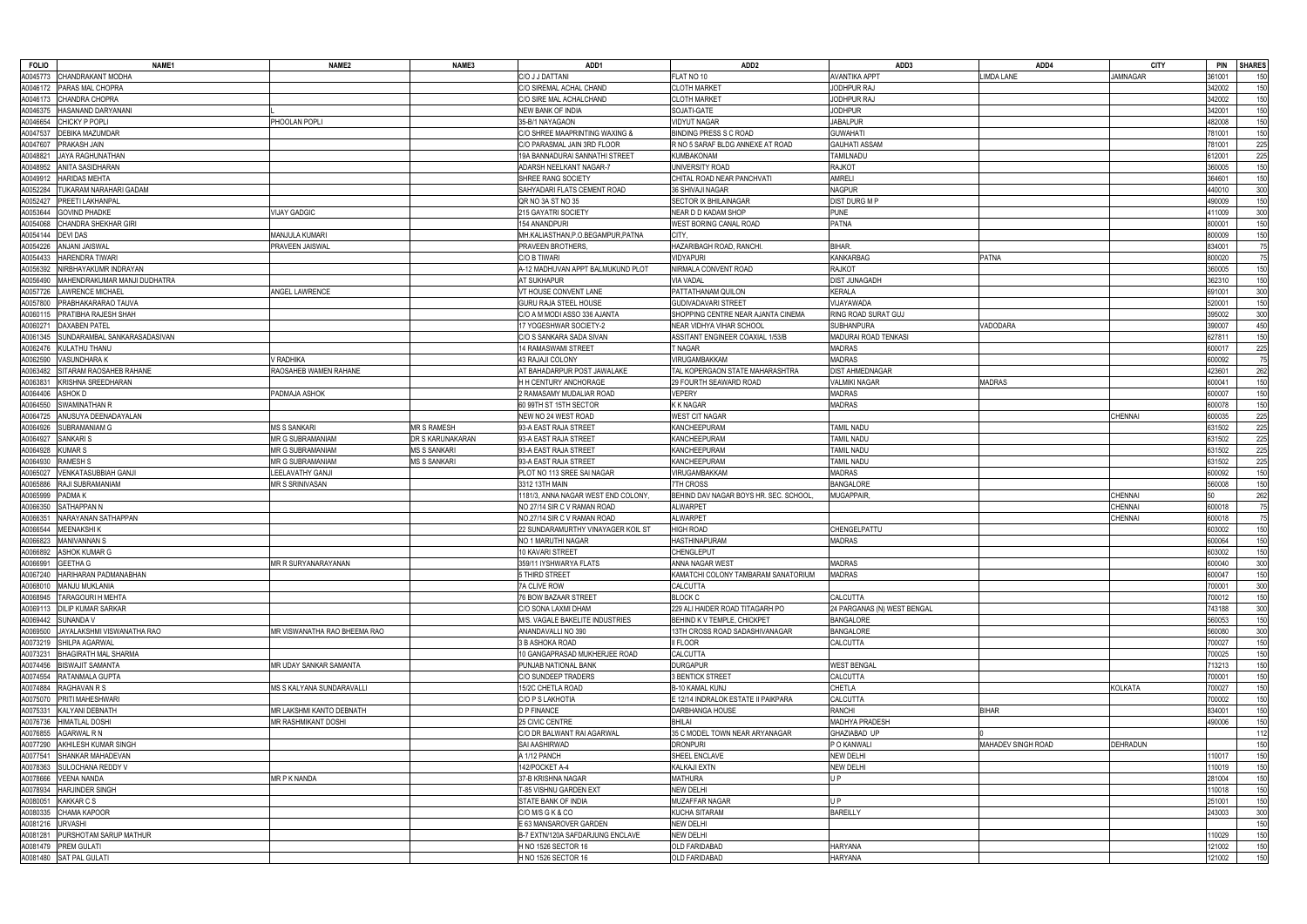| <b>FOLIO</b> | NAME <sub>1</sub>                      | NAME <sub>2</sub>            | NAME3               | ADD1                                       | ADD <sub>2</sub>                             | ADD3                             | ADD4               | <b>CITY</b>     | <b>PIN</b><br><b>SHARES</b> |            |
|--------------|----------------------------------------|------------------------------|---------------------|--------------------------------------------|----------------------------------------------|----------------------------------|--------------------|-----------------|-----------------------------|------------|
| 40045773     | CHANDRAKANT MODHA                      |                              |                     | C/O J J DATTANI                            | FLAT NO 10                                   | <b>AVANTIKA APPT</b>             | IMDA LANE          | <b>JAMNAGAR</b> | 361001                      | 150        |
| A0046172     | PARAS MAL CHOPRA                       |                              |                     | C/O SIREMAL ACHAL CHAND                    | <b>CLOTH MARKET</b>                          | JODHPUR RAJ                      |                    |                 | 342002                      | 150        |
| A0046173     | CHANDRA CHOPRA                         |                              |                     | C/O SIRE MAL ACHALCHAND                    | CLOTH MARKET                                 | JODHPUR RAJ                      |                    |                 | 342002                      | 150        |
| A0046375     | HASANAND DARYANANI                     |                              |                     | NEW BANK OF INDIA                          | SOJATI-GATE                                  | <b>JODHPUR</b>                   |                    |                 | 342001                      | 150        |
| A0046654     | CHICKY P POPLI                         | PHOOLAN POPLI                |                     | 35-B/1 NAYAGAON                            | <b>VIDYUT NAGAR</b>                          | <b>JABALPUR</b>                  |                    |                 | 482008                      | 150        |
| A0047537     | DEBIKA MAZUMDAR                        |                              |                     | C/O SHREE MAAPRINTING WAXING &             | BINDING PRESS S C ROAD                       | <b>GUWAHATI</b>                  |                    |                 | 781001                      | 150        |
| A0047607     | PRAKASH JAIN                           |                              |                     | C/O PARASMAL JAIN 3RD FLOOR                | R NO 5 SARAF BLDG ANNEXE AT ROAD             | <b>GAUHATI ASSAM</b>             |                    |                 | 781001                      | 225        |
| A0048821     | AYA RAGHUNATHAN                        |                              |                     | 19A BANNADURAI SANNATHI STREET             | KUMBAKONAM                                   | TAMILNADU                        |                    |                 | 612001                      | 225        |
| A0048952     | ANITA SASIDHARAN                       |                              |                     | ADARSH NEELKANT NAGAR-7                    | UNIVERSITY ROAD                              | <b>RAJKOT</b>                    |                    |                 | 360005                      | 150        |
| A0049912     | <b>HARIDAS MEHTA</b>                   |                              |                     | SHREE RANG SOCIETY                         | CHITAL ROAD NEAR PANCHVATI                   | <b>AMRELI</b>                    |                    |                 | 364601                      | 150        |
| A0052284     | UKARAM NARAHARI GADAM                  |                              |                     | SAHYADARI FLATS CEMENT ROAD                | 36 SHIVAJI NAGAR                             | <b>NAGPUR</b>                    |                    |                 | 440010                      | 300        |
| A0052427     | PREETI LAKHANPAL                       |                              |                     | QR NO 3A ST NO 35                          | SECTOR IX BHILAINAGAR                        | <b>DIST DURG M P</b>             |                    |                 | 490009                      | 150        |
| A0053644     | <b>GOVIND PHADKE</b>                   | <b>VIJAY GADGIC</b>          |                     | 215 GAYATRI SOCIETY                        | NEAR D D KADAM SHOP                          | <b>PUNE</b>                      |                    |                 | 111009                      | 300        |
|              |                                        |                              |                     |                                            |                                              |                                  |                    |                 |                             |            |
| A0054068     | CHANDRA SHEKHAR GIRI                   |                              |                     | 154 ANANDPURI                              | WEST BORING CANAL ROAD                       | <b>PATNA</b>                     |                    |                 | 800001                      | 150        |
| A0054144     | <b>DEVIDAS</b>                         | MANJULA KUMARI               |                     | MH.KALIASTHAN, P.O.BEGAMPUR, PATNA         | CITY.                                        |                                  |                    |                 | 800009                      | 150        |
| A0054226     | <b>ANJANI JAISWAL</b>                  | PRAVEEN JAISWAL              |                     | PRAVEEN BROTHERS,                          | HAZARIBAGH ROAD, RANCHI                      | BIHAR.                           |                    |                 | 834001                      | 75         |
| A0054433     | HARENDRA TIWARI                        |                              |                     | C/O B TIWARI                               | VIDYAPURI                                    | <b>KANKARBAG</b>                 | PATNA              |                 | 800020                      | 75         |
| A0056392     | NIRBHAYAKUMR INDRAYAN                  |                              |                     | A-12 MADHUVAN APPT BALMUKUND PLOT          | NIRMALA CONVENT ROAD                         | <b>RAJKOT</b>                    |                    |                 | 360005                      | 150        |
| A0056490     | MAHENDRAKUMAR MANJI DUDHATRA           |                              |                     | <b>AT SUKHAPUR</b>                         | <b>VIA VADAL</b>                             | DIST JUNAGADH                    |                    |                 | 362310                      | 150        |
| A0057726     | <b>AWRENCE MICHAEL</b>                 | <b>ANGEL LAWRENCE</b>        |                     | VT HOUSE CONVENT LANE                      | PATTATHANAM QUILON                           | <b>KERALA</b>                    |                    |                 | 691001                      | 300        |
| A0057800     | PRABHAKARARAO TAUVA                    |                              |                     | GURU RAJA STEEL HOUSE                      | <b>GUDIVADAVARI STREET</b>                   | VIJAYAWADA                       |                    |                 | 520001                      | 150        |
| A0060115     | PRATIBHA RAJESH SHAH                   |                              |                     | C/O A M MODI ASSO 336 AJANTA               | SHOPPING CENTRE NEAR AJANTA CINEMA           | RING ROAD SURAT GUJ              |                    |                 | 395002                      | 300        |
| A0060271     | <b>DAXABEN PATEL</b>                   |                              |                     | 17 YOGESHWAR SOCIETY-2                     | NEAR VIDHYA VIHAR SCHOOL                     | SUBHANPURA                       | /ADODARA           |                 | 390007                      | 450        |
| A0061345     | SUNDARAMBAL SANKARASADASIVAN           |                              |                     | C/O S SANKARA SADA SIVAN                   | ASSITANT ENGINEER COAXIAL 1/53/B             | MADURAI ROAD TENKASI             |                    |                 | 627811                      | 150        |
| A0062476     | KULATHU THANU                          |                              |                     | 14 RAMASWAMI STREET                        | T NAGAR                                      | <b>MADRAS</b>                    |                    |                 | 600017                      | 225        |
| A0062590     | VASUNDHARA K                           | / RADHIKA                    |                     | 43 RAJAJI COLONY                           | VIRUGAMBAKKAM                                | MADRAS                           |                    |                 | 600092                      | 75         |
| A0063482     | SITARAM RAOSAHEB RAHANE                | RAOSAHEB WAMEN RAHANE        |                     | AT BAHADARPUR POST JAWALAKE                | TAL KOPERGAON STATE MAHARASHTRA              | <b>DIST AHMEDNAGAR</b>           |                    |                 | 123601                      | 262        |
| A0063831     | KRISHNA SREEDHARAN                     |                              |                     | H H CENTURY ANCHORAGE                      | 29 FOURTH SEAWARD ROAD                       | VALMIKI NAGAR                    | MADRAS             |                 | 600041                      | 150        |
| A0064406     | ASHOK D                                | PADMAJA ASHOK                |                     | 2 RAMASAMY MUDALIAR ROAD                   | <b>VEPERY</b>                                | <b>MADRAS</b>                    |                    |                 | 600007                      | 150        |
| A0064550     | SWAMINATHAN R                          |                              |                     | 60 99TH ST 15TH SECTOR                     | K K NAGAR                                    | MADRAS                           |                    |                 | 600078                      | 150        |
| A0064725     | ANUSUYA DEENADAYALAN                   |                              |                     | NEW NO 24 WEST ROAD                        | <b>WEST CIT NAGAR</b>                        |                                  |                    | <b>CHENNAI</b>  | 600035                      | 225        |
| A0064926     | SUBRAMANIAM G                          | <b>MS S SANKARI</b>          | <b>MR S RAMESH</b>  | 93-A EAST RAJA STREET                      | KANCHEEPURAM                                 | TAMIL NADU                       |                    |                 | 631502                      | 225        |
| A0064927     | SANKARI S                              | MR G SUBRAMANIAM             | DR S KARUNAKARAN    | 93-A EAST RAJA STREET                      | KANCHEEPURAM                                 | Tamil Nadu                       |                    |                 | 631502                      | 225        |
| A0064928     | <b>KUMARS</b>                          | MR G SUBRAMANIAM             | <b>MS S SANKARI</b> | 93-A EAST RAJA STREET                      | KANCHEEPURAM                                 | <b>TAMIL NADU</b>                |                    |                 | 631502                      | 225        |
| A0064930     | <b>RAMESH S</b>                        | MR G SUBRAMANIAM             | <b>MS S SANKARI</b> | 93-A EAST RAJA STREET                      | KANCHEEPURAM                                 | <b>TAMIL NADU</b>                |                    |                 | 631502                      | 225        |
| A0065027     | VENKATASUBBIAH GANJI                   | LEELAVATHY GANJI             |                     | PLOT NO 113 SREE SAI NAGAR                 | VIRUGAMBAKKAM                                | <b>MADRAS</b>                    |                    |                 | 600092                      | 150        |
| A0065886     | RAJI SUBRAMANIAM                       | <b>MR S SRINIVASAN</b>       |                     | 3312 13TH MAIN                             | 7TH CROSS                                    | <b>BANGALORE</b>                 |                    |                 | 560008                      | 150        |
| A0065999     | PADMA K                                |                              |                     | 1181/3, ANNA NAGAR WEST END COLONY         | BEHIND DAV NAGAR BOYS HR. SEC. SCHOOL        | <b>MUGAPPAIR</b>                 |                    | <b>CHENNAI</b>  |                             | 262        |
| A0066350     | SATHAPPAN N                            |                              |                     | NO 27/14 SIR C V RAMAN ROAD                | ALWARPET                                     |                                  |                    | <b>CHENNAI</b>  | 600018                      | 75         |
| A0066351     | NARAYANAN SATHAPPAN                    |                              |                     | NO.27/14 SIR C V RAMAN ROAD                | ALWARPET                                     |                                  |                    | <b>CHENNAI</b>  | 600018                      | 75         |
| A0066544     | MEENAKSHI K                            |                              |                     | 22 SUNDARAMURTHY VINAYAGER KOIL ST         | <b>HIGH ROAD</b>                             | CHENGELPATTU                     |                    |                 | 603002                      | 150        |
| A0066823     | MANIVANNAN S                           |                              |                     | NO 1 MARUTHI NAGAR                         | HASTHINAPURAM                                | <b>MADRAS</b>                    |                    |                 | 600064                      | 150        |
|              | A0066892 ASHOK KUMAR G                 |                              |                     | 10 KAVARI STREET                           | <b>CHENGLEPUT</b>                            |                                  |                    |                 | 603002                      |            |
| A0066991     | <b>GEETHA G</b>                        | MR R SURYANARAYANAN          |                     | 359/11 IYSHWARYA FLATS                     | ANNA NAGAR WEST                              | <b>MADRAS</b>                    |                    |                 | 600040                      | 300        |
| A0067240     | HARIHARAN PADMANABHAN                  |                              |                     | 5 THIRD STREET                             | KAMATCHI COLONY TAMBARAM SANATORIUM          | <b>MADRAS</b>                    |                    |                 | 600047                      | 150        |
| A0068010     | <b>MANJU MUKLANIA</b>                  |                              |                     | 7A CLIVE ROW                               | CALCUTTA                                     |                                  |                    |                 | 700001                      | 300        |
| A0068945     | <b>TARAGOURI H MEHTA</b>               |                              |                     | 76 BOW BAZAAR STREET                       | BLOCK C                                      | CALCUTTA                         |                    |                 | 700012                      | 150        |
| A0069113     | <b>DILIP KUMAR SARKAR</b>              |                              |                     | C/O SONA LAXMI DHAM                        | 229 ALI HAIDER ROAD TITAGARH PO              | 24 PARGANAS (N) WEST BENGAL      |                    |                 | 743188                      | 300        |
| A0069442     | SUNANDA V                              |                              |                     | M/S. VAGALE BAKELITE INDUSTRIES            | BEHIND K V TEMPLE, CHICKPET                  | <b>BANGALORE</b>                 |                    |                 | 560053                      | 150        |
| A0069500     | JAYALAKSHMI VISWANATHA RAO             | MR VISWANATHA RAO BHEEMA RAO |                     | ANANDAVALLINO 390                          | 13TH CROSS ROAD SADASHIVANAGAR               | <b>BANGALORE</b>                 |                    |                 | 560080                      | 300        |
| A0073219     | SHILPA AGARWAL                         |                              |                     | 3 B ASHOKA ROAD                            | <b>II FLOOR</b>                              | CALCUTTA                         |                    |                 | 700027                      | 150        |
| A0073231     | <b>BHAGIRATH MAL SHARMA</b>            |                              |                     | 10 GANGAPRASAD MUKHERJEE ROAD              | <b>CALCUTTA</b>                              |                                  |                    |                 | 700025                      |            |
| A0074456     | <b>BISWAJIT SAMANTA</b>                | MR UDAY SANKAR SAMANTA       |                     | PUNJAB NATIONAL BANK                       | <b>DURGAPUR</b>                              | <b>WEST BENGAL</b>               |                    |                 |                             | 150<br>150 |
|              | RATANMALA GUPTA                        |                              |                     |                                            |                                              |                                  |                    |                 | 713213                      | 150        |
| A0074554     |                                        |                              |                     | C/O SUNDEEP TRADERS                        | <b>3 BENTICK STREET</b>                      | CALCUTTA                         |                    |                 | 700001                      |            |
| A0074884     | RAGHAVAN R S                           | MS S KALYANA SUNDARAVALLI    |                     | 15/2C CHETLA ROAD                          | <b>B-10 KAMAL KUNJ</b>                       | CHETLA                           |                    | <b>KOLKATA</b>  | '00027                      | 150        |
| A0075070     | PRITI MAHESHWARI                       |                              |                     | C/O P S LAKHOTIA                           | E 12/14 INDRALOK ESTATE II PAIKPARA          | CALCUTTA                         |                    |                 | 700002                      | 150        |
| A0075331     | KALYANI DEBNATH                        | MR LAKSHMI KANTO DEBNATH     |                     | <b>D P FINANCE</b>                         | DARBHANGA HOUSE                              | RANCHI                           | BIHAR              |                 | 834001                      | 150        |
| A0076736     | <b>HIMATLAL DOSHI</b>                  | MR RASHMIKANT DOSHI          |                     | 25 CIVIC CENTRE                            | <b>BHILAI</b>                                | <b>MADHYA PRADESH</b>            |                    |                 | 490006                      | 150        |
| A0076855     | AGARWAL R N                            |                              |                     | C/O DR BALWANT RAI AGARWAL                 | 35 C MODEL TOWN NEAR ARYANAGAR               | GHAZIABAD UP                     |                    |                 |                             | 112        |
| A0077290     | AKHILESH KUMAR SINGH                   |                              |                     | SAI AASHIRWAD                              | <b>DRONPURI</b>                              | P O KANWALI                      | MAHADEV SINGH ROAD | <b>DEHRADUN</b> |                             | 150        |
| A0077541     | SHANKAR MAHADEVAN                      |                              |                     | A 1/12 PANCH                               | SHEEL ENCLAVE                                | <b>NEW DELHI</b>                 |                    |                 | 10017                       | 150        |
| A0078363     | <b>SULOCHANA REDDY V</b>               |                              |                     | 142/POCKET A-4                             | KALKAJI EXTN                                 | <b>NEW DELHI</b>                 |                    |                 | 10019                       | 150        |
| A0078666     | <b>VEENA NANDA</b>                     | <b>MR P K NANDA</b>          |                     | 37-B KRISHNA NAGAR                         | <b>MATHURA</b>                               | U P                              |                    |                 | 281004                      | 150        |
| A0078934     | <b>HARJINDER SINGH</b>                 |                              |                     | T-85 VISHNU GARDEN EXT                     | <b>NEW DELHI</b>                             |                                  |                    |                 | 10018                       | 150        |
| A0080051     | <b>KAKKARCS</b>                        |                              |                     | STATE BANK OF INDIA                        | <b>MUZAFFAR NAGAR</b>                        | U P                              |                    |                 | 251001                      | 150        |
| A0080335     | CHAMA KAPOOR                           |                              |                     | C/O M/S G K & CO                           | KUCHA SITARAM                                | <b>BAREILLY</b>                  |                    |                 | 243003                      | 300        |
| A0081216     | <b>JRVASHI</b>                         |                              |                     | E 63 MANSAROVER GARDEN                     | <b>NEW DELHI</b>                             |                                  |                    |                 |                             | 150        |
| A0081281     | PURSHOTAM SARUP MATHUR                 |                              |                     | B-7 EXTN/120A SAFDARJUNG ENCLAVE           | <b>NEW DELHI</b>                             |                                  |                    |                 | 110029                      | 150        |
|              |                                        |                              |                     |                                            |                                              |                                  |                    |                 |                             |            |
| A0081479     | PREM GULATI<br>A0081480 SAT PAL GULATI |                              |                     | H NO 1526 SECTOR 16<br>H NO 1526 SECTOR 16 | <b>OLD FARIDABAD</b><br><b>OLD FARIDABAD</b> | <b>HARYANA</b><br><b>HARYANA</b> |                    |                 | 121002<br>121002            | 150<br>150 |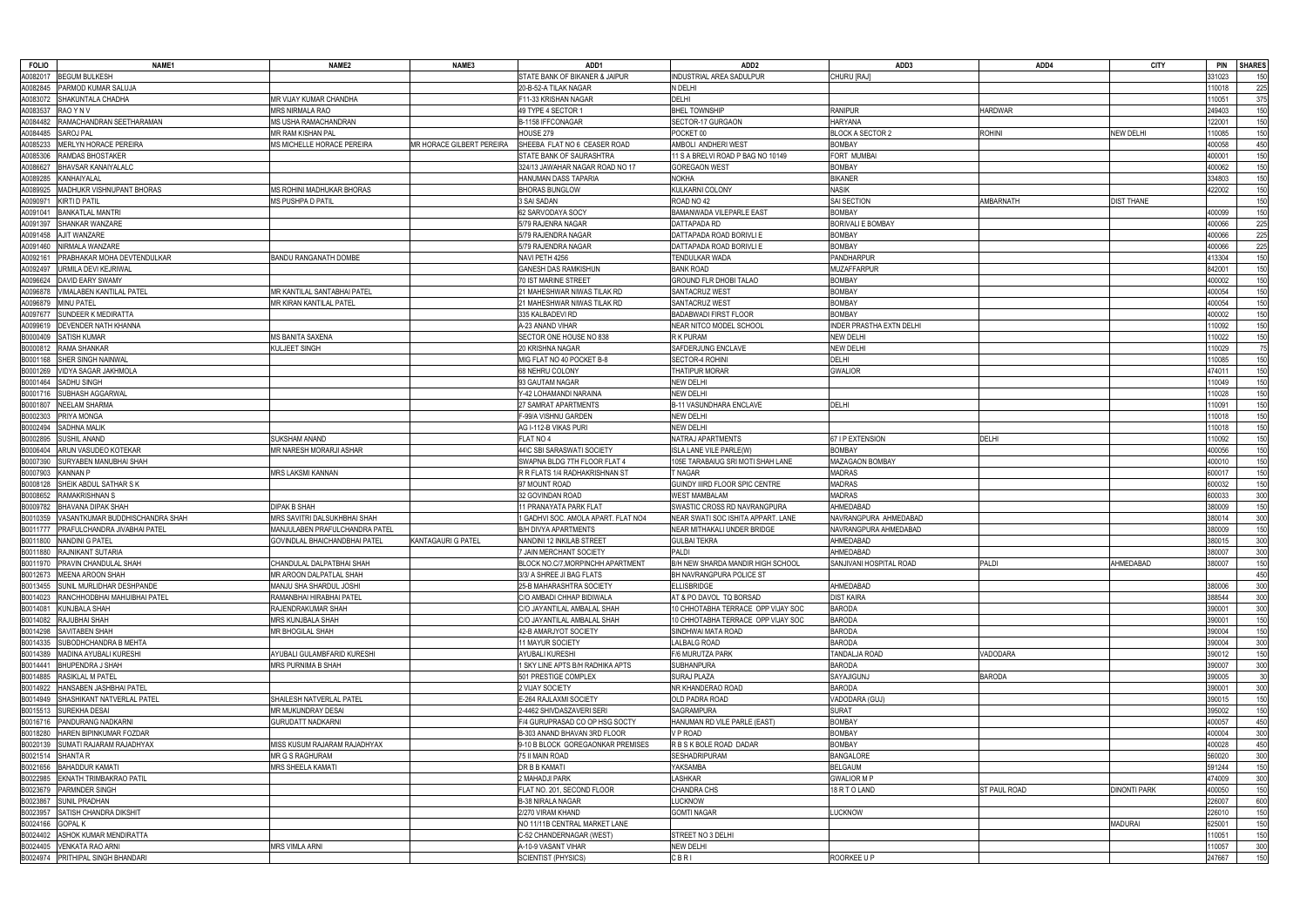| <b>FOLIO</b> | NAME1                              | NAME <sub>2</sub>              | NAME3                     | ADD1                                | ADD <sub>2</sub>                   | ADD3                     | ADD4          | <b>CITY</b>         | <b>SHARES</b><br><b>PIN</b> |
|--------------|------------------------------------|--------------------------------|---------------------------|-------------------------------------|------------------------------------|--------------------------|---------------|---------------------|-----------------------------|
| A0082017     | <b>BEGUM BULKESH</b>               |                                |                           | STATE BANK OF BIKANER & JAIPUR      | NDUSTRIAL AREA SADULPUR            | CHURU [RAJ]              |               |                     | 331023<br>150               |
| A0082845     | PARMOD KUMAR SALUJA                |                                |                           | 20-B-52-A TILAK NAGAR               | N DELHI                            |                          |               |                     | 225<br>10018                |
| A0083072     | <b>SHAKUNTALA CHADHA</b>           | MR VIJAY KUMAR CHANDHA         |                           | F11-33 KRISHAN NAGAR                | DELHI                              |                          |               |                     | 375<br>10051                |
| A0083537     | RAO Y N V                          | MRS NIRMALA RAO                |                           | 49 TYPE 4 SECTOR 1                  | <b>BHEL TOWNSHIP</b>               | <b>RANIPUR</b>           | HARDWAR       |                     | 150<br>249403               |
| A0084482     | RAMACHANDRAN SEETHARAMAN           | MS USHA RAMACHANDRAN           |                           | B-1158 IFFCONAGAR                   | SECTOR-17 GURGAON                  | <b>HARYANA</b>           |               |                     | 122001<br>150               |
| A0084485     | SAROJ PAL                          | MR RAM KISHAN PAL              |                           | HOUSE 279                           | POCKET 00                          | BLOCK A SECTOR 2         | ROHINI        | <b>NEW DELHI</b>    | 150<br>10085                |
| A0085233     | MERLYN HORACE PEREIRA              | MS MICHELLE HORACE PEREIRA     | MR HORACE GILBERT PEREIRA | SHEEBA FLAT NO 6 CEASER ROAD        | AMBOLI ANDHERI WEST                | <b>BOMBAY</b>            |               |                     | 400058                      |
|              | RAMDAS BHOSTAKER                   |                                |                           |                                     |                                    |                          |               |                     | 450                         |
| A0085306     |                                    |                                |                           | STATE BANK OF SAURASHTRA            | 11 S A BRELVI ROAD P BAG NO 10149  | FORT MUMBAI              |               |                     | 150<br>100001               |
| A0086627     | <b>BHAVSAR KANAIYALALC</b>         |                                |                           | 324/13 JAWAHAR NAGAR ROAD NO 17     | <b>GOREGAON WEST</b>               | <b>BOMBAY</b>            |               |                     | 150<br>400062               |
| A0089285     | KANHAIYALAL                        |                                |                           | HANUMAN DASS TAPARIA                | <b>NOKHA</b>                       | <b>BIKANER</b>           |               |                     | 334803<br>150               |
| A0089925     | MADHUKR VISHNUPANT BHORAS          | MS ROHINI MADHUKAR BHORAS      |                           | <b>BHORAS BUNGLOW</b>               | KULKARNI COLONY                    | NASIK                    |               |                     | 150<br>422002               |
| A009097      | <b>KIRTI D PATIL</b>               | MS PUSHPA D PATIL              |                           | 3 SAI SADAN                         | ROAD NO 42                         | <b>SAI SECTION</b>       | AMBARNATH     | <b>DIST THANE</b>   | 150                         |
| A0091041     | <b>BANKATLAL MANTRI</b>            |                                |                           | 62 SARVODAYA SOCY                   | BAMANWADA VILEPARLE EAST           | <b>BOMBAY</b>            |               |                     | 100099<br>150               |
| A0091397     | SHANKAR WANZARE                    |                                |                           | 5/79 RAJENRA NAGAR                  | DATTAPADA RD                       | <b>BORIVALI E BOMBAY</b> |               |                     | 400066<br>225               |
| A0091458     | AJIT WANZARE                       |                                |                           | 5/79 RAJENDRA NAGAR                 | DATTAPADA ROAD BORIVLI E           | <b>BOMBAY</b>            |               |                     | 225<br>400066               |
| A0091460     | NIRMALA WANZARE                    |                                |                           | 5/79 RAJENDRA NAGAR                 | DATTAPADA ROAD BORIVLI E           | <b>BOMBAY</b>            |               |                     | 225<br>400066               |
| A0092161     | PRABHAKAR MOHA DEVTENDULKAR        | BANDU RANGANATH DOMBE          |                           | NAVI PETH 4256                      | TENDULKAR WADA                     | PANDHARPUR               |               |                     | 150<br>113304               |
| A0092497     | URMILA DEVI KEJRIWAL               |                                |                           | GANESH DAS RAMKISHUN                | <b>BANK ROAD</b>                   | MUZAFFARPUR              |               |                     | 150<br>842001               |
| A0096624     | DAVID EARY SWAMY                   |                                |                           | 70 IST MARINE STREET                | <b>GROUND FLR DHOBI TALAO</b>      | <b>BOMBAY</b>            |               |                     | 150<br>400002               |
| A0096878     | VIMALABEN KANTILAL PATEL           | MR KANTILAL SANTABHAI PATEL    |                           | 21 MAHESHWAR NIWAS TILAK RD         | SANTACRUZ WEST                     | <b>BOMBAY</b>            |               |                     | 150<br>400054               |
| A0096879     | MINU PATEL                         | VIR KIRAN KANTILAL PATEL       |                           | 21 MAHESHWAR NIWAS TILAK RD         | SANTACRUZ WEST                     | <b>BOMBAY</b>            |               |                     | 150<br>400054               |
| A0097677     | SUNDEER K MEDIRATTA                |                                |                           | 335 KALBADEVI RD                    | <b>BADABWADI FIRST FLOOR</b>       | <b>BOMBAY</b>            |               |                     | 150<br>400002               |
| A0099619     | DEVENDER NATH KHANNA               |                                |                           | A-23 ANAND VIHAR                    | NEAR NITCO MODEL SCHOOL            | INDER PRASTHA EXTN DELHI |               |                     | 10092<br>150                |
| B0000409     | SATISH KUMAR                       | MS BANITA SAXENA               |                           | SECTOR ONE HOUSE NO 838             | R K PURAM                          | <b>NEW DELHI</b>         |               |                     | 110022<br>150               |
|              |                                    |                                |                           |                                     |                                    |                          |               |                     |                             |
| B0000812     | RAMA SHANKAR                       | KULJEET SINGH                  |                           | 20 KRISHNA NAGAR                    | SAFDERJUNG ENCLAVE                 | <b>NEW DELHI</b>         |               |                     | 10029<br>75                 |
| B0001168     | SHER SINGH NAINWAL                 |                                |                           | MIG FLAT NO 40 POCKET B-8           | SECTOR-4 ROHIN                     | <b>DELHI</b>             |               |                     | 150<br>10085                |
| B0001269     | VIDYA SAGAR JAKHMOLA               |                                |                           | 68 NEHRU COLONY                     | THATIPUR MORAR                     | <b>GWALIOR</b>           |               |                     | 474011<br>150               |
| B0001464     | SADHU SINGH                        |                                |                           | 93 GAUTAM NAGAR                     | NEW DELHI                          |                          |               |                     | 150<br>10049                |
| B0001716     | SUBHASH AGGARWAL                   |                                |                           | Y-42 LOHAMANDI NARAINA              | NEW DELHI                          |                          |               |                     | 150<br>10028                |
| B0001807     | <b>NEELAM SHARMA</b>               |                                |                           | 27 SAMRAT APARTMENTS                | <b>B-11 VASUNDHARA ENCLAVE</b>     | DELHI                    |               |                     | 10091<br>150                |
| B0002303     | PRIYA MONGA                        |                                |                           | F-99/A VISHNU GARDEN                | <b>NEW DELHI</b>                   |                          |               |                     | 150<br>10018                |
| B0002494     | <b>SADHNA MALIK</b>                |                                |                           | AG I-112-B VIKAS PURI               | NEW DELHI                          |                          |               |                     | 110018<br>150               |
| B0002895     | <b>SUSHIL ANAND</b>                | SUKSHAM ANAND                  |                           | FLAT NO 4                           | NATRAJ APARTMENTS                  | 67 I P EXTENSION         | DELHI         |                     | 150<br>110092               |
| B0006404     | ARUN VASUDEO KOTEKAR               | MR NARESH MORARJI ASHAR        |                           | 44\C SBI SARASWATI SOCIETY          | ISLA LANE VILE PARLE(W)            | <b>BOMBAY</b>            |               |                     | 400056<br>150               |
| B0007390     | SURYABEN MANUBHAI SHAH             |                                |                           | SWAPNA BLDG 7TH FLOOR FLAT 4        | 105E TARABAIUG SRI MOTI SHAH LANE  | MAZAGAON BOMBAY          |               |                     | 150<br>400010               |
| B0007903     | <b>KANNAN P</b>                    | MRS LAKSMI KANNAN              |                           | R R FLATS 1/4 RADHAKRISHNAN ST      | T NAGAR                            | MADRAS                   |               |                     | 150<br>600017               |
| B0008128     | SHEIK ABDUL SATHAR S K             |                                |                           | 97 MOUNT ROAD                       | GUINDY IIIRD FLOOR SPIC CENTRE     | MADRAS                   |               |                     | 150<br>600032               |
| B0008652     | RAMAKRISHNAN S                     |                                |                           | 32 GOVINDAN ROAD                    | <b>WEST MAMBALAM</b>               | <b>MADRAS</b>            |               |                     | 300<br>600033               |
| B0009782     | BHAVANA DIPAK SHAH                 | DIPAK B SHAH                   |                           | 1 PRANAYATA PARK FLAT               | SWASTIC CROSS RD NAVRANGPURA       | AHMEDABAD                |               |                     | 380009<br>150               |
| B0010359     | VASANTKUMAR BUDDHISCHANDRA SHAH    | MRS SAVITRI DALSUKHBHAI SHAH   |                           | 1 GADHVI SOC. AMOLA APART. FLAT NO4 | NEAR SWATI SOC ISHITA APPART. LANE | NAVRANGPURA AHMEDABAD    |               |                     | 300<br>380014               |
| B0011777     | PRAFULCHANDRA JIVABHAI PATEL       | MANJULABEN PRAFULCHANDRA PATEL |                           | <b>B/H DIVYA APARTMENTS</b>         | NEAR MITHAKALI UNDER BRIDGE        | NAVRANGPURA AHMEDABAD    |               |                     | 80009<br>150                |
| B0011800     | <b>NANDINI G PATEL</b>             | GOVINDLAL BHAICHANDBHAI PATEL  |                           |                                     |                                    |                          |               |                     | 300                         |
|              |                                    |                                | KANTAGAURI G PATEL        | NANDINI 12 INKILAB STREET           | <b>GULBAI TEKRA</b>                | AHMEDABAD                |               |                     | 380015                      |
|              | B0011880 RAJNIKANT SUTARIA         |                                |                           | JAIN MERCHANT SOCIETY               | Paldi                              | AHMEDABAD                |               |                     | 300<br>380007               |
|              | B0011970 PRAVIN CHANDULAL SHAH     | CHANDULAL DALPATBHAI SHAH      |                           | BLOCK NO.C/7, MORPINCHH APARTMENT   | B/H NEW SHARDA MANDIR HIGH SCHOOL  | SANJIVANI HOSPITAL ROAD  | PALDI         | AHMEDABAD           | 150<br>380007               |
|              | B0012673 MEENA AROON SHAH          | MR AROON DALPATLAL SHAH        |                           | 3/3/ A SHREE JI BAG FLATS           | BH NAVRANGPURA POLICE ST           |                          |               |                     | 450                         |
|              | B0013455 SUNIL MURLIDHAR DESHPANDE | MANJU SHA SHARDUL JOSHI        |                           | 25-B MAHARASHTRA SOCIETY            | <b>ELLISBRIDGE</b>                 | AHMEDABAD                |               |                     | 380006<br>300               |
| B0014023     | RANCHHODBHAI MAHIJIBHAI PATEL      | RAMANBHAI HIRABHAI PATEL       |                           | C/O AMBADI CHHAP BIDIWALA           | AT & PO DAVOL TQ BORSAD            | <b>DIST KAIRA</b>        |               |                     | 300<br>388544               |
| B0014081     | <b>KUNJBALA SHAH</b>               | RAJENDRAKUMAR SHAH             |                           | C/O JAYANTILAL AMBALAL SHAH         | 10 CHHOTABHA TERRACE OPP VIJAY SOC | <b>BARODA</b>            |               |                     | 390001<br>300               |
| B0014082     | RAJUBHAI SHAH                      | MRS KUNJBALA SHAH              |                           | C/O JAYANTILAL AMBALAL SHAH         | 10 CHHOTABHA TERRACE OPP VIJAY SOC | <b>BARODA</b>            |               |                     | 390001<br>150               |
| B0014298     | SAVITABEN SHAH                     | MR BHOGILAL SHAH               |                           | 42-B AMARJYOT SOCIETY               | SINDHWAI MATA ROAD                 | <b>BARODA</b>            |               |                     | 390004<br>150               |
| B0014335     | SUBODHCHANDRA B MEHTA              |                                |                           | 11 MAYUR SOCIETY                    | LALBALG ROAD                       | <b>BARODA</b>            |               |                     | 300<br>390004               |
| B0014389     | MADINA AYUBALI KURESHI             | AYUBALI GULAMBFARID KURESHI    |                           | AYUBALI KURESHI                     | F/6 MURUTZA PARK                   | TANDALJA ROAD            | VADODARA      |                     | 390012<br>150               |
| B0014441     | <b>BHUPENDRA J SHAH</b>            | MRS PURNIMA B SHAH             |                           | 1 SKY LINE APTS B/H RADHIKA APTS    | SUBHANPURA                         | <b>BARODA</b>            |               |                     | 390007<br>300               |
| B0014885     | RASIKLAL M PATEL                   |                                |                           | 501 PRESTIGE COMPLEX                | SURAJ PLAZA                        | SAYAJIGUNJ               | <b>BARODA</b> |                     | 30<br>390005                |
| B0014922     | HANSABEN JASHBHAI PATEL            |                                |                           | 2 VIJAY SOCIETY                     | NR KHANDERAO ROAD                  | <b>BARODA</b>            |               |                     | 390001<br>300               |
| B0014949     | SHASHIKANT NATVERLAL PATEL         | SHAILESH NATVERLAL PATEL       |                           | E-264 RAJLAXMI SOCIETY              | OLD PADRA ROAD                     | VADODARA (GUJ)           |               |                     | 150<br>390015               |
| B0015513     | SUREKHA DESAI                      | MR MUKUNDRAY DESAI             |                           | 2-4462 SHIVDASZAVERI SERI           | <b>SAGRAMPURA</b>                  | <b>SURAT</b>             |               |                     | 395002<br>150               |
|              | B0016716 PANDURANG NADKARNI        | GURUDATT NADKARNI              |                           | F/4 GURUPRASAD CO OP HSG SOCTY      | HANUMAN RD VILE PARLE (EAST)       | <b>BOMBAY</b>            |               |                     | 450<br>400057               |
| B0018280     | HAREN BIPINKUMAR FOZDAR            |                                |                           | B-303 ANAND BHAVAN 3RD FLOOR        | V P ROAD                           | <b>BOMBAY</b>            |               |                     | 400004<br>300               |
| B0020139     | SUMATI RAJARAM RAJADHYAX           | MISS KUSUM RAJARAM RAJADHYAX   |                           | 9-10 B BLOCK GOREGAONKAR PREMISES   | R B S K BOLE ROAD DADAR            | <b>BOMBAY</b>            |               |                     | 450<br>400028               |
| B0021514     | <b>SHANTA R</b>                    | MR G S RAGHURAM                |                           | 75 II MAIN ROAD                     | SESHADRIPURAM                      | <b>BANGALORE</b>         |               |                     | 300<br>560020               |
| B0021656     | <b>BAHADDUR KAMATI</b>             | MRS SHEELA KAMATI              |                           | DR B B KAMATI                       | YAKSAMBA                           | <b>BELGAUM</b>           |               |                     | 150<br>591244               |
|              |                                    |                                |                           |                                     | <b>LASHKAR</b>                     |                          |               |                     |                             |
| B0022985     | <b>EKNATH TRIMBAKRAO PATIL</b>     |                                |                           | 2 MAHADJI PARK                      |                                    | <b>GWALIOR M P</b>       |               |                     | 300<br>474009               |
| B0023679     | <b>PARMNDER SINGH</b>              |                                |                           | FLAT NO. 201, SECOND FLOOR          | <b>CHANDRA CHS</b>                 | 18 R T O LAND            | ST PAUL ROAD  | <b>DINONTI PARK</b> | 100050<br>150               |
| B0023867     | <b>SUNIL PRADHAN</b>               |                                |                           | <b>B-38 NIRALA NAGAR</b>            | LUCKNOW                            |                          |               |                     | 600<br>226007               |
| B0023957     | <b>SATISH CHANDRA DIKSHIT</b>      |                                |                           | 2/270 VIRAM KHAND                   | <b>GOMTI NAGAR</b>                 | <b>LUCKNOW</b>           |               |                     | 226010<br>150               |
| B0024166     | <b>GOPAL K</b>                     |                                |                           | NO 11/11B CENTRAL MARKET LANE       |                                    |                          |               | <b>MADURAI</b>      | 625001<br>150               |
| B0024402     | ASHOK KUMAR MENDIRATTA             |                                |                           | C-52 CHANDERNAGAR (WEST)            | STREET NO 3 DELHI                  |                          |               |                     | 10051<br>150                |
| B0024405     | <b>VENKATA RAO ARNI</b>            | MRS VIMLA ARNI                 |                           | A-10-9 VASANT VIHAR                 | <b>NEW DELHI</b>                   |                          |               |                     | 300<br>110057               |
|              | B0024974 PRITHIPAL SINGH BHANDARI  |                                |                           | <b>SCIENTIST (PHYSICS)</b>          | CBRI                               | ROORKEE U P              |               |                     | 150<br>247667               |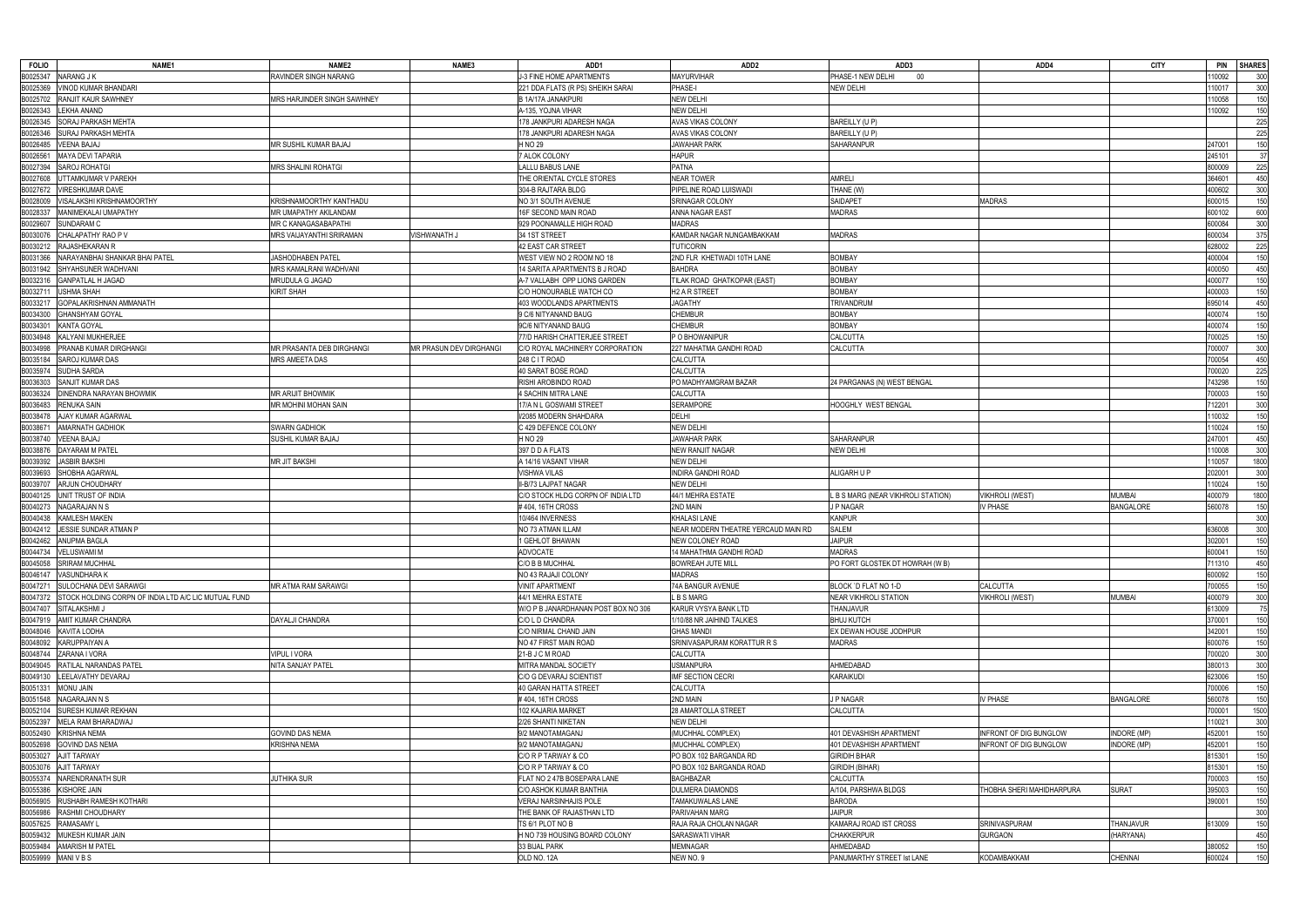| <b>FOLIO</b><br>NAME1                                            | NAME <sub>2</sub>           | NAME3                          | ADD1                                | ADD <sub>2</sub>                    | ADD3                               | ADD4                          | <b>CITY</b>        |        | PIN SHARES |
|------------------------------------------------------------------|-----------------------------|--------------------------------|-------------------------------------|-------------------------------------|------------------------------------|-------------------------------|--------------------|--------|------------|
| B0025347<br>NARANG J K                                           | RAVINDER SINGH NARANG       |                                | J-3 FINE HOME APARTMENTS            | <b>MAYURVIHAR</b>                   | PHASE-1 NEW DELHI<br>- 00          |                               |                    | 110092 | 300        |
| B0025369<br><b>VINOD KUMAR BHANDARI</b>                          |                             |                                | 221 DDA FLATS (R PS) SHEIKH SARAI   | PHASE-I                             | <b>NEW DELHI</b>                   |                               |                    | 110017 | 300        |
| B0025702<br><b>RANJIT KAUR SAWHNEY</b>                           | MRS HARJINDER SINGH SAWHNEY |                                | B 1A/17A JANAKPURI                  | <b>NEW DELHI</b>                    |                                    |                               |                    | 110058 | 150        |
| B0026343<br>LEKHA ANAND                                          |                             |                                | A-135, YOJNA VIHAR                  | <b>NEW DELHI</b>                    |                                    |                               |                    | 110092 | 150        |
| B0026345<br>SORAJ PARKASH MEHTA                                  |                             |                                | 178 JANKPURI ADARESH NAGA           | AVAS VIKAS COLONY                   | BAREILLY (U P)                     |                               |                    |        | 225        |
| B0026346<br>SURAJ PARKASH MEHTA                                  |                             |                                | 178 JANKPURI ADARESH NAGA           | <b>AVAS VIKAS COLONY</b>            | BAREILLY (U P)                     |                               |                    |        | 225        |
| B0026485<br><b>VEENA BAJAJ</b>                                   | MR SUSHIL KUMAR BAJAJ       |                                | H NO 29                             | <b>JAWAHAR PARK</b>                 | SAHARANPUR                         |                               |                    | 247001 | 150        |
| B0026561<br><b>MAYA DEVI TAPARIA</b>                             |                             |                                | 7 ALOK COLONY                       | <b>HAPUR</b>                        |                                    |                               |                    | 245101 | 37         |
| <b>SAROJ ROHATGI</b><br>B0027394                                 | MRS SHALINI ROHATGI         |                                | <b>LALLU BABUS LANE</b>             | <b>PATNA</b>                        |                                    |                               |                    | 800009 | 225        |
| B0027608<br>UTTAMKUMAR V PAREKH                                  |                             |                                | THE ORIENTAL CYCLE STORES           | <b>NEAR TOWER</b>                   | <b>AMRELI</b>                      |                               |                    | 364601 | 450        |
| B0027672<br><b>VIRESHKUMAR DAVE</b>                              |                             |                                | 304-B RAJTARA BLDG                  | PIPELINE ROAD LUISWADI              | THANE (W)                          |                               |                    | 400602 | 300        |
| B0028009<br>VISALAKSHI KRISHNAMOORTHY                            | KRISHNAMOORTHY KANTHADU     |                                | NO 3/1 SOUTH AVENUE                 | SRINAGAR COLONY                     | <b>SAIDAPET</b>                    | <b>MADRAS</b>                 |                    | 600015 | 150        |
| B0028337<br>MANIMEKALAI UMAPATHY                                 | MR UMAPATHY AKILANDAM       |                                | 16F SECOND MAIN ROAD                | ANNA NAGAR EAST                     | <b>MADRAS</b>                      |                               |                    | 600102 | 600        |
| B0029607<br>SUNDARAM C                                           | MR C KANAGASABAPATHI        |                                | 929 POONAMALLE HIGH ROAD            | <b>MADRAS</b>                       |                                    |                               |                    | 600084 | 300        |
| CHALAPATHY RAO P V<br>B0030076                                   | MRS VAIJAYANTHI SRIRAMAN    | <b>JISHWANATH J</b>            | 34 1ST STREET                       | KAMDAR NAGAR NUNGAMBAKKAM           | <b>MADRAS</b>                      |                               |                    | 600034 | 375        |
| RAJASHEKARAN R<br>B0030212                                       |                             |                                | 42 EAST CAR STREET                  | <b>TUTICORIN</b>                    |                                    |                               |                    | 628002 | 225        |
| B0031366<br>NARAYANBHAI SHANKAR BHAI PATEL                       | JASHODHABEN PATEL           |                                | WEST VIEW NO 2 ROOM NO 18           | 2ND FLR KHETWADI 10TH LANE          | <b>BOMBAY</b>                      |                               |                    | 400004 | 150        |
| B0031942 SHYAHSUNER WADHVANI                                     | MRS KAMALRANI WADHVANI      |                                | 14 SARITA APARTMENTS B J ROAD       | <b>BAHDRA</b>                       | <b>BOMBAY</b>                      |                               |                    | 400050 | 450        |
| B0032316<br><b>GANPATLAL H JAGAD</b>                             | MRUDULA G JAGAD             |                                | A-7 VALLABH OPP LIONS GARDEN        | TILAK ROAD GHATKOPAR (EAST)         | <b>BOMBAY</b>                      |                               |                    | 400077 | 150        |
| B0032711<br><b>USHMA SHAH</b>                                    | KIRIT SHAH                  |                                | C/O HONOURABLE WATCH CO             | H <sub>2</sub> A R STREET           | <b>BOMBAY</b>                      |                               |                    | 400003 | 150        |
| B0033217<br>GOPALAKRISHNAN AMMANATH                              |                             |                                | 403 WOODLANDS APARTMENTS            | <b>JAGATHY</b>                      | TRIVANDRUM                         |                               |                    | 695014 | 450        |
| B0034300<br><b>GHANSHYAM GOYAL</b>                               |                             |                                | 9 C/6 NITYANAND BAUG                | <b>CHEMBUR</b>                      | <b>BOMBAY</b>                      |                               |                    | 400074 | 150        |
| B0034301 KANTA GOYAL                                             |                             |                                | 9C/6 NITYANAND BAUG                 | <b>CHEMBUR</b>                      | <b>BOMBAY</b>                      |                               |                    | 400074 | 150        |
| B0034948 KALYANI MUKHERJEE                                       |                             |                                | 77/D HARISH CHATTERJEE STREET       | P O BHOWANIPUR                      | CALCUTTA                           |                               |                    | 700025 | 150        |
| B0034998<br>PRANAB KUMAR DIRGHANGI                               | MR PRASANTA DEB DIRGHANGI   | <b>MR PRASUN DEV DIRGHANGI</b> | C/O ROYAL MACHINERY CORPORATION     | 227 MAHATMA GANDHI ROAD             | CALCUTTA                           |                               |                    | 700007 | 300        |
| B0035184 SAROJ KUMAR DAS                                         | MRS AMEETA DAS              |                                | 248 C I T ROAD                      | CALCUTTA                            |                                    |                               |                    | 700054 | 450        |
| B0035974<br>SUDHA SARDA                                          |                             |                                | 40 SARAT BOSE ROAD                  | <b>CALCUTTA</b>                     |                                    |                               |                    |        |            |
| B0036303                                                         |                             |                                |                                     | PO MADHYAMGRAM BAZAR                |                                    |                               |                    | 700020 | 225        |
| SANJIT KUMAR DAS                                                 |                             |                                | RISHI AROBINDO ROAD                 |                                     | 24 PARGANAS (N) WEST BENGAL        |                               |                    | 743298 | 150        |
| <b>DINENDRA NARAYAN BHOWMIK</b><br>B0036324                      | MR ARIJIT BHOWMIK           |                                | 4 SACHIN MITRA LANE                 | CALCUTTA                            |                                    |                               |                    | 700003 | 150        |
| B0036483<br><b>RENUKA SAIN</b>                                   | MR MOHINI MOHAN SAIN        |                                | 17/A N L GOSWAMI STREET             | <b>SERAMPORE</b>                    | HOOGHLY WEST BENGAL                |                               |                    | 712201 | 300        |
| B0038478<br>AJAY KUMAR AGARWAL                                   |                             |                                | I/2085 MODERN SHAHDARA              | <b>DELHI</b>                        |                                    |                               |                    | 110032 | 150        |
| <b>AMARNATH GADHIOK</b><br>B0038671                              | SWARN GADHIOK               |                                | C 429 DEFENCE COLONY                | <b>NEW DELHI</b>                    |                                    |                               |                    | 110024 | 150        |
| B0038740<br><b>VEENA BAJAJ</b>                                   | SUSHIL KUMAR BAJAJ          |                                | H NO 29                             | <b>JAWAHAR PARK</b>                 | <b>SAHARANPUR</b>                  |                               |                    | 247001 | 450        |
| DAYARAM M PATEL<br>B0038876                                      |                             |                                | 397 D D A FLATS                     | <b>NEW RANJIT NAGAR</b>             | <b>NEW DELHI</b>                   |                               |                    | 110008 | 300        |
| B0039392<br><b>JASBIR BAKSHI</b>                                 | <b>MR JIT BAKSHI</b>        |                                | A 14/16 VASANT VIHAR                | <b>NEW DELHI</b>                    |                                    |                               |                    | 110057 | 1800       |
| SHOBHA AGARWAL<br>B0039693                                       |                             |                                | <b>VISHWA VILAS</b>                 | INDIRA GANDHI ROAD                  | ALIGARH U P                        |                               |                    | 202001 | 300        |
| B0039707 ARJUN CHOUDHARY                                         |                             |                                | II-B/73 LAJPAT NAGAR                | <b>NEW DELHI</b>                    |                                    |                               |                    | 110024 | 150        |
| B0040125<br>UNIT TRUST OF INDIA                                  |                             |                                | C/O STOCK HLDG CORPN OF INDIA LTD   | 44/1 MEHRA ESTATE                   | L B S MARG (NEAR VIKHROLI STATION) | <b>VIKHROLI (WEST)</b>        | <b>MUMBAI</b>      | 400079 | 1800       |
| B0040273<br>NAGARAJAN N S                                        |                             |                                | #404, 16TH CROSS                    | 2ND MAIN                            | <b>JP NAGAR</b>                    | / PHASE                       | <b>BANGALORE</b>   | 560078 | 150        |
| B0040438<br><b>KAMLESH MAKEN</b>                                 |                             |                                | 10/464 INVERNESS                    | <b>KHALASI LANE</b>                 | <b>KANPUR</b>                      |                               |                    |        | 300        |
| JESSIE SUNDAR ATMAN P<br>B0042412                                |                             |                                | NO 73 ATMAN ILLAM                   | NEAR MODERN THEATRE YERCAUD MAIN RD | <b>SALEM</b>                       |                               |                    | 636008 | 300        |
| B0042462 ANUPMA BAGLA                                            |                             |                                | 1 GEHLOT BHAWAN                     | NEW COLONEY ROAD                    | <b>JAIPUR</b>                      |                               |                    | 302001 | 150        |
| B0044734 VELUSWAMI M                                             |                             |                                | ADVOCATE                            | 14 MAHATHMA GANDHI ROAD             | MADRAS                             |                               |                    | 600041 | 150        |
| B0045058 SRIRAM MUCHHAL                                          |                             |                                | C/O B B MUCHHAL                     | <b>BOWREAH JUTE MILL</b>            | PO FORT GLOSTEK DT HOWRAH (W B)    |                               |                    | 711310 | 450        |
| B0046147 VASUNDHARA K                                            |                             |                                | NO 43 RAJAJI COLONY                 | <b>MADRAS</b>                       |                                    |                               |                    | 600092 | 150        |
| B0047271<br>SULOCHANA DEVI SARAWGI                               | MR ATMA RAM SARAWGI         |                                | <b>VINIT APARTMENT</b>              | 74A BANGUR AVENUE                   | BLOCK 'D FLAT NO 1-D               | CALCUTTA                      |                    | 700055 | 150        |
| B0047372<br>STOCK HOLDING CORPN OF INDIA LTD A/C LIC MUTUAL FUND |                             |                                | 44/1 MEHRA ESTATE                   | L B S MARG                          | <b>NEAR VIKHROLI STATION</b>       | <b>VIKHROLI (WEST)</b>        | <b>MUMBAI</b>      | 400079 | 300        |
| B0047407 SITALAKSHMIJ                                            |                             |                                | W/O P B JANARDHANAN POST BOX NO 306 | KARUR VYSYA BANK LTD                | <b>THANJAVUR</b>                   |                               |                    | 613009 | 75         |
| B0047919<br>AMIT KUMAR CHANDRA                                   | <b>DAYALJI CHANDRA</b>      |                                | C/O L D CHANDRA                     | 1/10/88 NR JAIHIND TALKIES          | <b>BHUJ KUTCH</b>                  |                               |                    | 370001 | 150        |
| B0048046 KAVITA LODHA                                            |                             |                                | C/O NIRMAL CHAND JAIN               | <b>GHAS MANDI</b>                   | EX DEWAN HOUSE JODHPUR             |                               |                    | 342001 | 150        |
| B0048092 KARUPPAIYAN A                                           |                             |                                | NO 47 FIRST MAIN ROAD               | SRINIVASAPURAM KORATTUR R S         | <b>MADRAS</b>                      |                               |                    | 600076 | 150        |
| B0048744 ZARANA I VORA                                           | <b>VIPUL I VORA</b>         |                                | 21-B J C M ROAD                     | CALCUTTA                            |                                    |                               |                    | 700020 | 300        |
| B0049045 RATILAL NARANDAS PATEL                                  | NITA SANJAY PATEL           |                                | MITRA MANDAL SOCIETY                | <b>USMANPURA</b>                    | AHMEDABAD                          |                               |                    | 380013 | 300        |
| B0049130 LEELAVATHY DEVARAJ                                      |                             |                                | C/O G DEVARAJ SCIENTIST             | IMF SECTION CECRI                   | <b>KARAIKUDI</b>                   |                               |                    | 623006 | 150        |
| B0051331<br><b>MONU JAIN</b>                                     |                             |                                | 40 GARAN HATTA STREET               | CALCUTTA                            |                                    |                               |                    | 700006 | 150        |
| B0051548 NAGARAJAN N S                                           |                             |                                | #404, 16TH CROSS                    | 2ND MAIN                            | J P NAGAR                          | IV PHASE                      | <b>BANGALORE</b>   | 560078 | 150        |
| B0052104 SURESH KUMAR REKHAN                                     |                             |                                | 102 KAJARIA MARKET                  | 28 AMARTOLLA STREET                 | <b>CALCUTTA</b>                    |                               |                    | 700001 | 1500       |
| B0052397<br>MELA RAM BHARADWAJ                                   |                             |                                | 2/26 SHANTI NIKETAN                 | <b>NEW DELHI</b>                    |                                    |                               |                    | 110021 | 300        |
| B0052490 KRISHNA NEMA                                            | <b>GOVIND DAS NEMA</b>      |                                | 9/2 MANOTAMAGANJ                    | (MUCHHAL COMPLEX)                   | 401 DEVASHISH APARTMENT            | <b>INFRONT OF DIG BUNGLOW</b> | <b>INDORE (MP)</b> | 452001 | 150        |
| B0052698<br><b>GOVIND DAS NEMA</b>                               | KRISHNA NEMA                |                                | 9/2 MANOTAMAGANJ                    | (MUCHHAL COMPLEX)                   | 401 DEVASHISH APARTMENT            | <b>INFRONT OF DIG BUNGLOW</b> | <b>INDORE (MP)</b> | 452001 | 150        |
| <b>AJIT TARWAY</b><br>B0053027                                   |                             |                                | C/O R P TARWAY & CO                 | PO BOX 102 BARGANDA RD              | <b>GIRIDIH BIHAR</b>               |                               |                    | 815301 | 150        |
| B0053076<br><b>AJIT TARWAY</b>                                   |                             |                                | C/O R P TARWAY & CO                 | PO BOX 102 BARGANDA ROAD            | GIRIDIH (BIHAR)                    |                               |                    | 815301 | 150        |
| B0055374<br>NARENDRANATH SUR                                     | JUTHIKA SUR                 |                                | FLAT NO 2 47B BOSEPARA LANE         | <b>BAGHBAZAR</b>                    | <b>CALCUTTA</b>                    |                               |                    | 700003 | 150        |
| B0055386<br><b>KISHORE JAIN</b>                                  |                             |                                | C/O.ASHOK KUMAR BANTHIA             | <b>DULMERA DIAMONDS</b>             | A/104, PARSHWA BLDGS               | THOBHA SHERI MAHIDHARPURA     | <b>SURAT</b>       | 395003 | 150        |
| B0056905<br>RUSHABH RAMESH KOTHARI                               |                             |                                | VERAJ NARSINHAJIS POLE              | TAMAKUWALAS LANE                    | <b>BARODA</b>                      |                               |                    | 390001 | 150        |
| B0056986<br>RASHMI CHOUDHARY                                     |                             |                                | THE BANK OF RAJASTHAN LTD           | PARIVAHAN MARG                      | <b>JAIPUR</b>                      |                               |                    |        | 300        |
| B0057625<br><b>RAMASAMY L</b>                                    |                             |                                | TS 6/1 PLOT NO B                    | RAJA RAJA CHOLAN NAGAR              | KAMARAJ ROAD IST CROSS             | SRINIVASPURAM                 | THANJAVUR          | 613009 | 150        |
| MUKESH KUMAR JAIN<br>B0059432                                    |                             |                                | H NO 739 HOUSING BOARD COLONY       | SARASWATI VIHAR                     | <b>CHAKKERPUR</b>                  | GURGAON                       | (HARYANA)          |        | 450        |
| B0059484 AMARISH M PATEL                                         |                             |                                | 33 BIJAL PARK                       | <b>MEMNAGAR</b>                     | AHMEDABAD                          |                               |                    | 380052 | 150        |
| B0059999 MANI V B S                                              |                             |                                | OLD NO. 12A                         | NEW NO. 9                           | PANUMARTHY STREET Ist LANE         | KODAMBAKKAM                   | CHENNAI            | 600024 | 150        |
|                                                                  |                             |                                |                                     |                                     |                                    |                               |                    |        |            |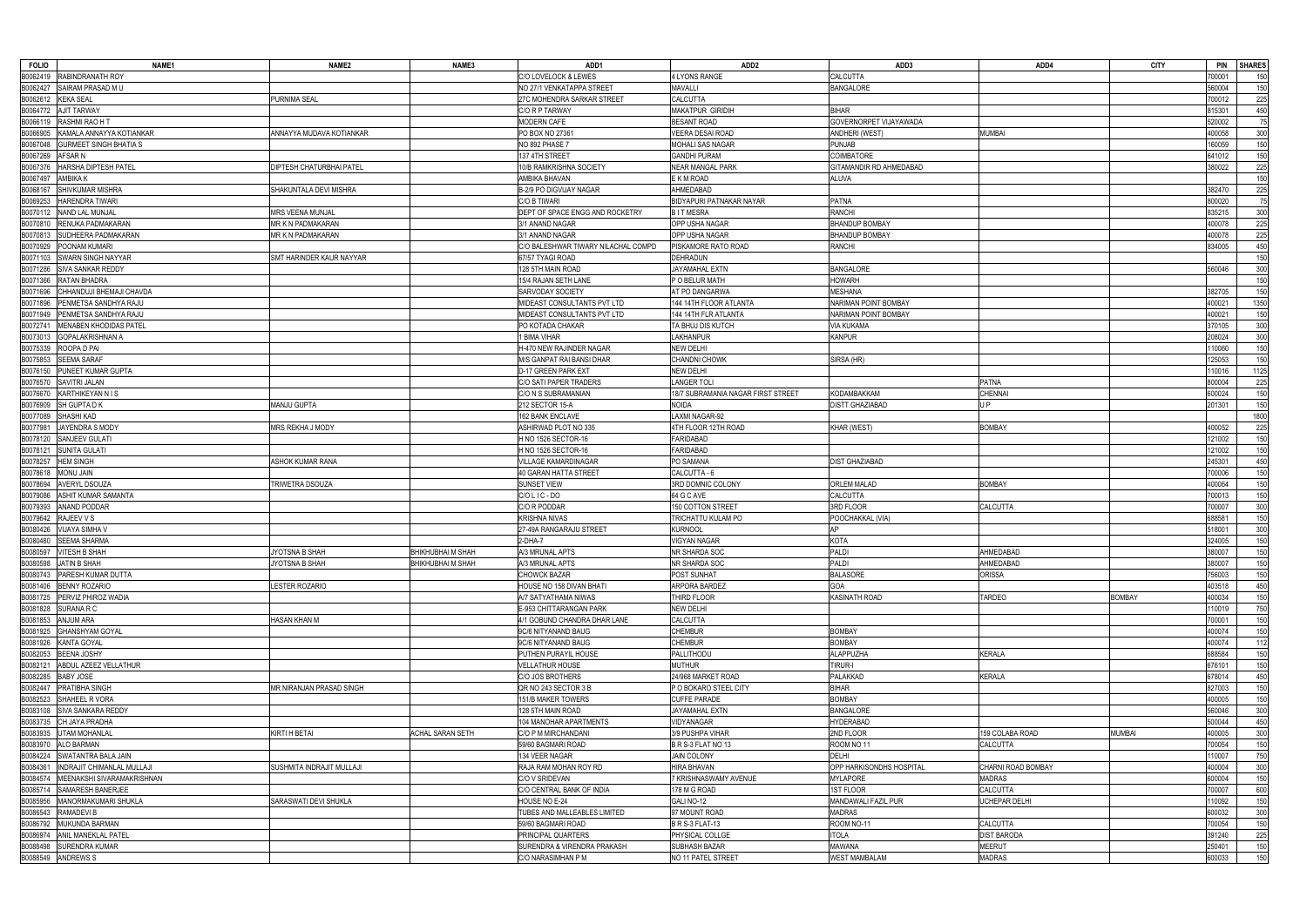| <b>FOLIO</b><br>NAME1                                    | NAME <sub>2</sub>         | NAME3                    | ADD1                                   | ADD <sub>2</sub>                   | ADD3                     | ADD4               | <b>CITY</b>   | <b>PIN</b><br><b>SHARES</b> |
|----------------------------------------------------------|---------------------------|--------------------------|----------------------------------------|------------------------------------|--------------------------|--------------------|---------------|-----------------------------|
| B0062419 RABINDRANATH ROY                                |                           |                          | C/O LOVELOCK & LEWES                   | 4 LYONS RANGE                      | CALCUTTA                 |                    |               | '00001<br>150               |
| B0062427<br>SAIRAM PRASAD MU                             |                           |                          | NO 27/1 VENKATAPPA STREET              | <b>MAVALLI</b>                     | <b>BANGALORE</b>         |                    |               | 150<br>560004               |
| B0062612 KEKA SEAL                                       | <b>PURNIMA SEAL</b>       |                          | 27C MOHENDRA SARKAR STREET             | CALCUTTA                           |                          |                    |               | 225<br>700012               |
| B0064772 AJIT TARWAY                                     |                           |                          | C/O R P TARWAY                         | MAKATPUR GIRIDIH                   | BIHAR                    |                    |               | 450<br>315301               |
| B0066119 RASHMI RAO H T                                  |                           |                          | <b>MODERN CAFE</b>                     | <b>BESANT ROAD</b>                 | GOVERNORPET VIJAYAWADA   |                    |               | 75<br>520002                |
| B0066905<br>KAMALA ANNAYYA KOTIANKAR                     | ANNAYYA MUDAVA KOTIANKAR  |                          | PO BOX NO 27361                        | <b>VEERA DESAI ROAD</b>            | <b>ANDHERI</b> (WEST)    | MUMBAI             |               | 300<br>400058               |
| B0067048<br><b>GURMEET SINGH BHATIA S</b>                |                           |                          | NO 892 PHASE 7                         | MOHALI SAS NAGAR                   | <b>PUNJAB</b>            |                    |               | 150<br>160059               |
| B0067269<br>AFSAR N                                      |                           |                          | 137 4TH STREET                         | <b>GANDHI PURAM</b>                | COIMBATORE               |                    |               | 150<br>641012               |
| <b>HARSHA DIPTESH PATEL</b><br>B0067376                  | DIPTESH CHATURBHAI PATEL  |                          | 10/B RAMKRISHNA SOCIETY                | <b>NEAR MANGAL PARK</b>            | GITAMANDIR RD AHMEDABAD  |                    |               | 380022<br>225               |
| B0067497<br>AMBIKA K                                     |                           |                          | AMBIKA BHAVAN                          | E K M ROAD                         | <b>ALUVA</b>             |                    |               | 150                         |
| SHIVKUMAR MISHRA<br>B0068167                             | SHAKUNTALA DEVI MISHRA    |                          | B-2/9 PO DIGVIJAY NAGAR                | AHMEDABAD                          |                          |                    |               | 225<br>382470               |
| <b>HARENDRA TIWARI</b><br>B0069253                       |                           |                          | C/O B TIWARI                           | <b>BIDYAPURI PATNAKAR NAYAR</b>    | <b>PATNA</b>             |                    |               | 75<br>800020                |
| B0070112 NAND LAL MUNJAL                                 | MRS VEENA MUNJAL          |                          | DEPT OF SPACE ENGG AND ROCKETRY        | <b>BITMESRA</b>                    | <b>RANCHI</b>            |                    |               | 300<br>835215               |
| B0070810<br>RENUKA PADMAKARAN                            | MR K N PADMAKARAN         |                          | 3/1 ANAND NAGAR                        | OPP USHA NAGAR                     | <b>BHANDUP BOMBAY</b>    |                    |               | 225<br>400078               |
| B0070813<br>SUDHEERA PADMAKARAN                          | MR K N PADMAKARAN         |                          | 3/1 ANAND NAGAR                        | OPP USHA NAGAR                     | <b>BHANDUP BOMBAY</b>    |                    |               | 225<br>400078               |
| B0070929<br>POONAM KUMARI                                |                           |                          | C/O BALESHWAR TIWARY NILACHAL COMPD    | PISKAMORE RATO ROAD                | <b>RANCHI</b>            |                    |               | 834005<br>450               |
| B0071103<br>SWARN SINGH NAYYAR                           | SMT HARINDER KAUR NAYYAR  |                          | 67/57 TYAGI ROAD                       | <b>DEHRADUN</b>                    |                          |                    |               | 150                         |
| B0071286 SIVA SANKAR REDDY                               |                           |                          | 128 5TH MAIN ROAD                      | JAYAMAHAL EXTN                     | <b>BANGALORE</b>         |                    |               | 560046<br>300               |
| B0071366 RATAN BHADRA                                    |                           |                          | 15/4 RAJAN SETH LANE                   | P O BELUR MATH                     | <b>HOWARH</b>            |                    |               | 150                         |
| B0071696<br>CHHANDUJI BHEMAJI CHAVDA                     |                           |                          | SARVODAY SOCIETY                       | AT PO DANGARWA                     | <b>MESHANA</b>           |                    |               | 150<br>382705               |
| B0071896<br>PENMETSA SANDHYA RAJU                        |                           |                          | MIDEAST CONSULTANTS PVT LTD            | 144 14TH FLOOR ATLANTA             | NARIMAN POINT BOMBAY     |                    |               | 1350<br>400021              |
| B0071949 PENMETSA SANDHYA RAJU                           |                           |                          | MIDEAST CONSULTANTS PVT LTD            | 144 14TH FLR ATLANTA               | NARIMAN POINT BOMBAY     |                    |               | 150<br>400021               |
| B0072741<br><b>MENABEN KHODIDAS PATEL</b>                |                           |                          | PO KOTADA CHAKAR                       | TA BHUJ DIS KUTCH                  | <b>VIA KUKAMA</b>        |                    |               | 370105<br>300               |
| B0073013<br><b>GOPALAKRISHNAN A</b>                      |                           |                          | 1 BIMA VIHAR                           | LAKHANPUR                          | <b>KANPUR</b>            |                    |               | 300<br>208024               |
| B0075339 ROOPA D PAI                                     |                           |                          | H-470 NEW RAJINDER NAGAR               | <b>NEW DELHI</b>                   |                          |                    |               | 150<br>110060               |
| B0075853<br><b>SEEMA SARAF</b>                           |                           |                          | M/S GANPAT RAI BANSI DHAR              | CHANDNI CHOWK                      | SIRSA (HR)               |                    |               | 150<br>125053               |
| B0076150 PUNEET KUMAR GUPTA                              |                           |                          | <b>D-17 GREEN PARK EXT</b>             | <b>NEW DELHI</b>                   |                          |                    |               | 10016<br>1125               |
| B0076570<br>SAVITRI JALAN                                |                           |                          | C/O SATI PAPER TRADERS                 | <b>LANGER TOLI</b>                 |                          | PATNA              |               | 225<br>800004               |
|                                                          |                           |                          |                                        | 18/7 SUBRAMANIA NAGAR FIRST STREET | KODAMBAKKAM              |                    |               | 150                         |
| B0076670<br>KARTHIKEYAN N I S<br>B0076909<br>SH GUPTA DK | MANJU GUPTA               |                          | C/O N S SUBRAMANIAN<br>212 SECTOR 15-A | NOIDA                              | <b>DISTT GHAZIABAD</b>   | CHENNAI<br>I P     |               | 600024<br>150<br>201301     |
|                                                          |                           |                          |                                        |                                    |                          |                    |               | 1800                        |
| B0077089<br>SHASHI KAD                                   |                           |                          | 162 BANK ENCLAVE                       | LAXMI NAGAR-92                     |                          |                    |               |                             |
| B0077981<br>JAYENDRA S MODY                              | MRS REKHA J MODY          |                          | ASHIRWAD PLOT NO 335                   | 4TH FLOOR 12TH ROAD                | KHAR (WEST)              | <b>BOMBAY</b>      |               | 225<br>400052               |
| B0078120 SANJEEV GULATI                                  |                           |                          | H NO 1526 SECTOR-16                    | <b>FARIDABAD</b>                   |                          |                    |               | 150<br>121002               |
| B0078121<br>SUNITA GULATI                                |                           |                          | H NO 1526 SECTOR-16                    | <b>FARIDABAD</b>                   |                          |                    |               | 121002<br>150               |
| B0078257<br><b>HEM SINGH</b>                             | ASHOK KUMAR RANA          |                          | <b>VILLAGE KAMARDINAGAR</b>            | PO SAMANA                          | <b>DIST GHAZIABAD</b>    |                    |               | 450<br>245301               |
| B0078618<br><b>MONU JAIN</b>                             |                           |                          | 40 GARAN HATTA STREET                  | CALCUTTA - 6                       |                          |                    |               | 150<br>700006               |
| B0078694<br><b>AVERYL DSOUZA</b>                         | TRIWETRA DSOUZA           |                          | <b>SUNSET VIEW</b>                     | 3RD DOMNIC COLONY                  | <b>ORLEM MALAD</b>       | <b>BOMBAY</b>      |               | 150<br>400064               |
| B0079086<br>ASHIT KUMAR SAMANTA                          |                           |                          | C/OLIC-DO                              | 64 G C AVE                         | CALCUTTA                 |                    |               | 150<br>700013               |
| B0079393<br>ANAND PODDAR                                 |                           |                          | C/O R PODDAR                           | 150 COTTON STREET                  | 3RD FLOOR                | CALCUTTA           |               | 300<br>700007               |
| B0079642<br>RAJEEV V S                                   |                           |                          | <b>KRISHNA NIVAS</b>                   | TRICHATTU KULAM PO                 | POOCHAKKAL (VIA)         |                    |               | 150<br>688581               |
| B0080426<br>VIJAYA SIMHA V                               |                           |                          | 27-49A RANGARAJU STREET                | Kurnool                            | ΔP                       |                    |               | 300<br>518001               |
| B0080480<br><b>SEEMA SHARMA</b>                          |                           |                          | 2-DHA-7                                | <b>VIGYAN NAGAR</b>                | <b>KOTA</b>              |                    |               | 150<br>324005               |
| B0080597 VITESH B SHAH                                   | JYOTSNA B SHAH            | BHIKHUBHAI M SHAH        | A/3 MRUNAL APTS                        | NR SHARDA SOC                      | Paldi                    | <b>AHMEDABAD</b>   |               | 380007                      |
| B0080598 JATIN B SHAH                                    | JYOTSNA B SHAH            | <b>BHIKHUBHAI M SHAH</b> | A/3 MRUNAL APTS                        | NR SHARDA SOC                      | PALDI                    | AHMEDABAD          |               | 380007<br>150               |
| B0080743 PARESH KUMAR DUTTA                              |                           |                          | <b>CHOWCK BAZAR</b>                    | POST SUNHAT                        | <b>BALASORE</b>          | ORISSA             |               | 756003<br>150               |
| B0081406 BENNY ROZARIO                                   | <b>LESTER ROZARIO</b>     |                          | HOUSE NO 158 DIVAN BHATI               | ARPORA BARDEZ                      | GOA                      |                    |               | 450<br>403518               |
| B0081725 PERVIZ PHIROZ WADIA                             |                           |                          | A/7 SATYATHAMA NIWAS                   | Third Floor                        | KASINATH ROAD            | TARDEO             | <b>BOMBAY</b> | 150<br>400034               |
| B0081828 SURANA R C                                      |                           |                          | E-953 CHITTARANGAN PARK                | <b>NEW DELHI</b>                   |                          |                    |               | 750<br>110019               |
| B0081853<br>ANJUM ARA                                    | <b>HASAN KHAN M</b>       |                          | 4/1 GOBUND CHANDRA DHAR LANE           | CALCUTTA                           |                          |                    |               | 150<br>700001               |
| B0081925<br><b>GHANSHYAM GOYAL</b>                       |                           |                          | 9C/6 NITYANAND BAUG                    | <b>CHEMBUR</b>                     | <b>BOMBAY</b>            |                    |               | 400074<br>150               |
| B0081926 KANTA GOYAL                                     |                           |                          | 9C/6 NITYANAND BAUG                    | <b>CHEMBUR</b>                     | <b>BOMBAY</b>            |                    |               | 112<br>400074               |
| B0082053<br><b>BEENA JOSHY</b>                           |                           |                          | PUTHEN PURAYIL HOUSE                   | PALLITHODU                         | <b>ALAPPUZHA</b>         | KERALA             |               | 688584<br>150               |
| B0082121<br>ABDUL AZEEZ VELLATHUR                        |                           |                          | <b>VELLATHUR HOUSE</b>                 | <b>MUTHUR</b>                      | <b>TIRUR-I</b>           |                    |               | 150<br>676101               |
| B0082285 BABY JOSE                                       |                           |                          | C/O JOS BROTHERS                       | 24/968 MARKET ROAD                 | PALAKKAD                 | KERALA             |               | 450<br>678014               |
| B0082447<br>PRATIBHA SINGH                               | MR NIRANJAN PRASAD SINGH  |                          | QR NO 243 SECTOR 3 B                   | P O BOKARO STEEL CITY              | <b>BIHAR</b>             |                    |               | 150<br>827003               |
| B0082523<br>SHAHEEL R VORA                               |                           |                          | 151/B MAKER TOWERS                     | <b>CUFFE PARADE</b>                | <b>BOMBAY</b>            |                    |               | 150<br>400005               |
| B0083108 SIVA SANKARA REDDY                              |                           |                          | 128 5TH MAIN ROAD                      | JAYAMAHAL EXTN                     | <b>BANGALORE</b>         |                    |               | 300<br>560046               |
| B0083735 CH JAYA PRADHA                                  |                           |                          | 104 MANOHAR APARTMENTS                 | VIDYANAGAR                         | <b>HYDERABAD</b>         |                    |               | 450<br>500044               |
| B0083935<br><b>UTAM MOHANLAL</b>                         | KIRTI H BETAI             | <b>ACHAL SARAN SETH</b>  | C/O P M MIRCHANDANI                    | 3/9 PUSHPA VIHAR                   | 2ND FLOOR                | 159 COLABA ROAD    | <b>MUMBAI</b> | 400005<br>300               |
| B0083970<br><b>ALO BARMAN</b>                            |                           |                          | 59/60 BAGMARI ROAD                     | B R S-3 FLAT NO 13                 | ROOM NO 11               | CALCUTTA           |               | 150<br>700054               |
| B0084224 SWATANTRA BALA JAIN                             |                           |                          | 134 VEER NAGAR                         | <b>JAIN COLONY</b>                 | DELHI                    |                    |               | 750<br>110007               |
| B0084361<br>INDRAJIT CHIMANLAL MULLAJI                   | SUSHMITA INDRAJIT MULLAJI |                          | RAJA RAM MOHAN ROY RD                  | HIRA BHAVAN                        | OPP HARKISONDHS HOSPITAL | CHARNI ROAD BOMBAY |               | 300<br>400004               |
| B0084574<br>MEENAKSHI SIVARAMAKRISHNAN                   |                           |                          | C/O V SRIDEVAN                         | 7 KRISHNASWAMY AVENUE              | <b>MYLAPORE</b>          | <b>MADRAS</b>      |               | 600004<br>150               |
| B0085714<br>SAMARESH BANERJEE                            |                           |                          | C/O CENTRAL BANK OF INDIA              | 178 M G ROAD                       | 1ST FLOOR                | CALCUTTA           |               | 600<br>700007               |
| B0085956<br>MANORMAKUMARI SHUKLA                         | SARASWATI DEVI SHUKLA     |                          | HOUSE NO E-24                          | GALI NO-12                         | MANDAWALI FAZIL PUR      | JCHEPAR DELHI      |               | 150<br>110092               |
| B0086543 RAMADEVI B                                      |                           |                          | TUBES AND MALLEABLES LIMITED           | 97 MOUNT ROAD                      | MADRAS                   |                    |               | 600032<br>300               |
| B0086792<br>MUKUNDA BARMAN                               |                           |                          | 59/60 BAGMARI ROAD                     | B R S-3 FLAT-13                    | ROOM NO-11               | <b>CALCUTTA</b>    |               | 150<br>700054               |
| B0086974 ANIL MANEKLAL PATEL                             |                           |                          | PRINCIPAL QUARTERS                     | PHYSICAL COLLGE                    | <b>ITOLA</b>             | <b>DIST BARODA</b> |               | 225<br>391240               |
| B0088498 SURENDRA KUMAR                                  |                           |                          | SURENDRA & VIRENDRA PRAKASH            | SUBHASH BAZAR                      | MAWANA                   | <b>MEERUT</b>      |               | 150<br>250401               |
| B0088549 ANDREWS S                                       |                           |                          | C/O NARASIMHAN P M                     | NO 11 PATEL STREET                 | <b>WEST MAMBALAM</b>     | <b>MADRAS</b>      |               | 150<br>600033               |
|                                                          |                           |                          |                                        |                                    |                          |                    |               |                             |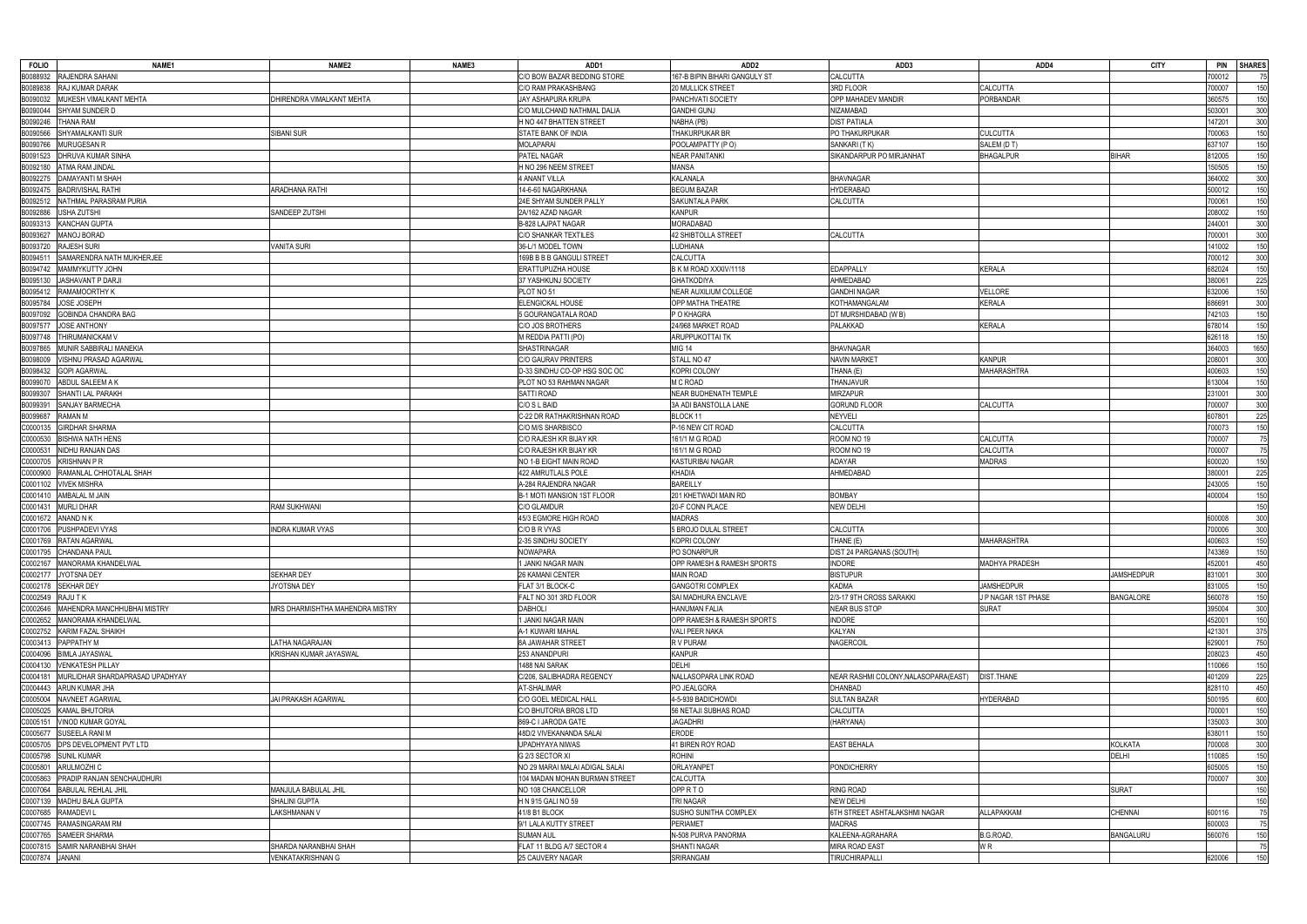| <b>FOLIO</b>     | NAME1                                    | NAME <sub>2</sub>               | NAME3 | ADD1                              | ADD <sub>2</sub>              | ADD3                                  | ADD4                  | <b>CITY</b>       | <b>PIN</b><br><b>SHARES</b> |
|------------------|------------------------------------------|---------------------------------|-------|-----------------------------------|-------------------------------|---------------------------------------|-----------------------|-------------------|-----------------------------|
|                  | B0088932 RAJENDRA SAHANI                 |                                 |       | C/O BOW BAZAR BEDDING STORE       | 167-B BIPIN BIHARI GANGULY ST | CALCUTTA                              |                       |                   | '00012<br>75                |
| B0089838         | RAJ KUMAR DARAK                          |                                 |       | C/O RAM PRAKASHBANG               | <b>20 MULLICK STREET</b>      | 3RD FLOOR                             | <b>CALCUTTA</b>       |                   | 150<br>700007               |
| B0090032         | MUKESH VIMALKANT MEHTA                   | DHIRENDRA VIMALKANT MEHTA       |       | JAY ASHAPURA KRUPA                | PANCHVATI SOCIETY             | OPP MAHADEV MANDIR                    | PORBANDAR             |                   | 150<br>360575               |
| B0090044         | SHYAM SUNDER D                           |                                 |       | C/O MULCHAND NATHMAL DALIA        | <b>GANDHI GUNJ</b>            | NIZAMABAD                             |                       |                   | 300<br>503001               |
| B0090246         | <b>THANA RAM</b>                         |                                 |       | H NO 447 BHATTEN STREET           | NABHA (PB)                    | <b>DIST PATIALA</b>                   |                       |                   | 47201<br>300                |
| B0090566         | SHYAMALKANTI SUR                         | SIBANI SUR                      |       | STATE BANK OF INDIA               | THAKURPUKAR BR                | PO THAKURPUKAR                        | <b>CULCUTTA</b>       |                   | 700063<br>150               |
| B0090766         | MURUGESAN R                              |                                 |       | <b>MOLAPARAI</b>                  | POOLAMPATTY (PO)              | SANKARI (TK)                          | SALEM (DT)            |                   | 637107<br>150               |
| B0091523         | <b>DHRUVA KUMAR SINHA</b>                |                                 |       | PATEL NAGAR                       | <b>NEAR PANITANKI</b>         | SIKANDARPUR PO MIRJANHAT              | <b>BHAGALPUR</b>      | <b>BIHAR</b>      | 150<br>312005               |
|                  |                                          |                                 |       |                                   |                               |                                       |                       |                   |                             |
| B0092180         | ATMA RAM JINDAL                          |                                 |       | H NO 296 NEEM STREET              | <b>MANSA</b>                  |                                       |                       |                   | 50505<br>150                |
| B0092275         | <b>DAMAYANTI M SHAH</b>                  |                                 |       | 4 ANANT VILLA                     | <b>KALANALA</b>               | <b>BHAVNAGAR</b>                      |                       |                   | 364002<br>300               |
|                  | B0092475 BADRIVISHAL RATHI               | ARADHANA RATHI                  |       | 14-6-60 NAGARKHANA                | <b>BEGUM BAZAR</b>            | <b>HYDERABAD</b>                      |                       |                   | 150<br>500012               |
|                  | B0092512 NATHMAL PARASRAM PURIA          |                                 |       | 24E SHYAM SUNDER PALLY            | SAKUNTALA PARK                | CALCUTTA                              |                       |                   | 150<br>700061               |
| B0092886         | <b>USHA ZUTSHI</b>                       | SANDEEP ZUTSHI                  |       | 2A/162 AZAD NAGAR                 | <b>KANPUR</b>                 |                                       |                       |                   | 150<br>208002               |
| B0093313         | KANCHAN GUPTA                            |                                 |       | B-828 LAJPAT NAGAR                | MORADABAD                     |                                       |                       |                   | 244001<br>300               |
| B0093627         | MANOJ BORAD                              |                                 |       | C/O SHANKAR TEXTILES              | 42 SHIBTOLLA STREET           | <b>CALCUTTA</b>                       |                       |                   | 300<br>700001               |
| B0093720         | <b>RAJESH SURI</b>                       | <b>VANITA SURI</b>              |       | 36-L/1 MODEL TOWN                 | LUDHIANA                      |                                       |                       |                   | 141002<br>150               |
| B0094511         | SAMARENDRA NATH MUKHERJEE                |                                 |       | 169B B B B GANGULI STREET         | <b>CALCUTTA</b>               |                                       |                       |                   | 300<br>700012               |
|                  | B0094742 MAMMYKUTTY JOHN                 |                                 |       | <b>ERATTUPUZHA HOUSE</b>          | B K M ROAD XXXIV/1118         | <b>EDAPPALLY</b>                      | <b>KERALA</b>         |                   | 150<br>682024               |
| B0095130         | JASHAVANT P DARJI                        |                                 |       | 37 YASHKUNJ SOCIETY               | <b>GHATKODIYA</b>             | AHMEDABAD                             |                       |                   | 225<br>80061                |
|                  | B0095412 RAMAMOORTHY K                   |                                 |       | PLOT NO 51                        | <b>NEAR AUXILIUM COLLEGE</b>  | <b>GANDHI NAGAR</b>                   | VELLORE               |                   | 150<br>632006               |
|                  | B0095784 JOSE JOSEPH                     |                                 |       | ELENGICKAL HOUSE                  | OPP MATHA THEATRE             | KOTHAMANGALAM                         | <b>KERALA</b>         |                   | 686691<br>300               |
| B0097092         | <b>GOBINDA CHANDRA BAG</b>               |                                 |       | 5 GOURANGATALA ROAD               | P O KHAGRA                    | DT MURSHIDABAD (W B)                  |                       |                   | 150<br>742103               |
| B0097577         | <b>JOSE ANTHONY</b>                      |                                 |       | C/O JOS BROTHERS                  | 24/968 MARKET ROAD            | PALAKKAD                              | <b>KERALA</b>         |                   | 678014<br>150               |
| B0097748         | THIRUMANICKAM V                          |                                 |       | M REDDIA PATTI (PO)               | <b>ARUPPUKOTTAI TK</b>        |                                       |                       |                   | 150<br>626118               |
| B0097865         | MUNIR SABBIRALI MANEKIA                  |                                 |       | <b>SHASTRINAGAR</b>               | <b>MIG 14</b>                 | <b>BHAVNAGAR</b>                      |                       |                   | 364003<br>1650              |
| B0098009         | VISHNU PRASAD AGARWAL                    |                                 |       | <b>C/O GAURAV PRINTERS</b>        | STALL NO 47                   | <b>NAVIN MARKET</b>                   | <b>KANPUR</b>         |                   | 300<br>208001               |
| B0098432         | <b>GOPI AGARWAL</b>                      |                                 |       | D-33 SINDHU CO-OP HSG SOC OC      | <b>KOPRI COLONY</b>           | THANA (E)                             | <b>MAHARASHTRA</b>    |                   | 150<br>400603               |
| B0099070         | ABDUL SALEEM A K                         |                                 |       | PLOT NO 53 RAHMAN NAGAR           | M C ROAD                      | THANJAVUR                             |                       |                   | 613004<br>150               |
| B0099307         | SHANTI LAL PARAKH                        |                                 |       | SATTI ROAD                        | NEAR BUDHENATH TEMPLE         | <b>MIRZAPUR</b>                       |                       |                   | 300<br>231001               |
| B0099391         | <b>SANJAY BARMECHA</b>                   |                                 |       | C/O S L BAID                      | 3A ADI BANSTOLLA LANE         | GORUND FLOOR                          | CALCUTTA              |                   | 300<br>700007               |
| B0099687         | <b>RAMAN M</b>                           |                                 |       | C-22 DR RATHAKRISHNAN ROAD        | BLOCK <sub>11</sub>           | <b>NEYVELI</b>                        |                       |                   | 225<br>607801               |
| C0000135         | <b>GIRDHAR SHARMA</b>                    |                                 |       | C/O M/S SHARBISCO                 | P-16 NEW CIT ROAD             | <b>CALCUTTA</b>                       |                       |                   | 700073<br>150               |
| C0000530         | <b>BISHWA NATH HENS</b>                  |                                 |       | C/O RAJESH KR BIJAY KR            | 161/1 M G ROAD                | ROOM NO 19                            | <b>CALCUTTA</b>       |                   | 75<br>700007                |
| C0000531         | NIDHU RANJAN DAS                         |                                 |       | C/O RAJESH KR BIJAY KR            | 161/1 M G ROAD                | ROOM NO 19                            | CALCUTTA              |                   | 75<br>700007                |
| C0000705         |                                          |                                 |       |                                   |                               | <b>ADAYAR</b>                         | <b>MADRAS</b>         |                   |                             |
|                  | <b>KRISHNAN P R</b>                      |                                 |       | NO 1-B EIGHT MAIN ROAD            | <b>KASTURIBAI NAGAR</b>       |                                       |                       |                   | 150<br>600020<br>225        |
| C0000900         | RAMANLAL CHHOTALAL SHAH                  |                                 |       | 422 AMRUTLALS POLE                | KHADIA                        | AHMEDABAD                             |                       |                   | 380001                      |
|                  | C0001102 VIVEK MISHRA                    |                                 |       | A-284 RAJENDRA NAGAR              | <b>BAREILLY</b>               |                                       |                       |                   | 150<br>243005               |
|                  | C0001410 AMBALAL M JAIN                  |                                 |       | <b>B-1 MOTI MANSION 1ST FLOOR</b> | 201 KHETWADI MAIN RD          | <b>BOMBAY</b>                         |                       |                   | 400004<br>150               |
| C0001431         | <b>MURLI DHAR</b>                        | <b>RAM SUKHWANI</b>             |       | <b>C/O GLAMDUR</b>                | 20-F CONN PLACE               | <b>NEW DELHI</b>                      |                       |                   | 150                         |
| C0001672         | ANAND N K                                |                                 |       | 45/3 EGMORE HIGH ROAD             | <b>MADRAS</b>                 |                                       |                       |                   | 300<br>600008               |
| C0001706         | PUSHPADEVI VYAS                          | <b>INDRA KUMAR VYAS</b>         |       | C/O B R VYAS                      | 5 BROJO DULAL STREET          | <b>CALCUTTA</b>                       |                       |                   | 300<br>700006               |
|                  | C0001769 RATAN AGARWAL                   |                                 |       | 2-35 SINDHU SOCIETY               | KOPRI COLONY                  | [HANE (E)                             | <b>MAHARASHTRA</b>    |                   | 150<br>400603               |
|                  | C0001795 CHANDANA PAUL                   |                                 |       | NOWAPARA                          | PO SONARPUR                   | DIST 24 PARGANAS (SOUTH)              |                       |                   | 743369                      |
|                  | C0002167 MANORAMA KHANDELWAL             |                                 |       | JANKI NAGAR MAIN                  | OPP RAMESH & RAMESH SPORTS    | <b>INDORE</b>                         | <b>MADHYA PRADESH</b> |                   | 450<br>452001               |
|                  | C0002177 JYOTSNA DEY                     | <b>SEKHAR DEY</b>               |       | 26 KAMANI CENTER                  | MAIN ROAD                     | <b>BISTUPUR</b>                       |                       | <b>JAMSHEDPUR</b> | 831001<br>300               |
|                  | C0002178 SEKHAR DEY                      | JYOTSNA DEY                     |       | FLAT 3/1 BLOCK-C                  | <b>GANGOTRI COMPLEX</b>       | <b>KADMA</b>                          | <b>JAMSHEDPUR</b>     |                   | 831005<br>150               |
| C0002549 RAJU TK |                                          |                                 |       | FALT NO 301 3RD FLOOR             | SAI MADHURA ENCLAVE           | 2/3-17 9TH CROSS SARAKKI              | J P NAGAR 1ST PHASE   | <b>BANGALORE</b>  | 150<br>560078               |
| C0002646         | MAHENDRA MANCHHUBHAI MISTRY              | MRS DHARMISHTHA MAHENDRA MISTRY |       | <b>DABHOLI</b>                    | <b>HANUMAN FALIA</b>          | <b>NEAR BUS STOP</b>                  | <b>SURAT</b>          |                   | 300<br>395004               |
|                  | C0002652 MANORAMA KHANDELWAL             |                                 |       | 1 JANKI NAGAR MAIN                | OPP RAMESH & RAMESH SPORTS    | <b>INDORE</b>                         |                       |                   | 150<br>452001               |
|                  | C0002752 KARIM FAZAL SHAIKH              |                                 |       | A-1 KUWARI MAHAL                  | VALI PEER NAKA                | KALYAN                                |                       |                   | 375<br>421301               |
|                  | C0003413 PAPPATHY M                      | ATHA NAGARAJAN                  |       | 8A JAWAHAR STREET                 | R V PURAM                     | NAGERCOIL                             |                       |                   | 750<br>629001               |
|                  | C0004096 BIMLA JAYASWAL                  | KRISHAN KUMAR JAYASWAL          |       | 253 ANANDPURI                     | <b>KANPUR</b>                 |                                       |                       |                   | 208023<br>450               |
|                  | C0004130 VENKATESH PILLAY                |                                 |       | 1488 NAI SARAK                    | <b>DELHI</b>                  |                                       |                       |                   | 150<br>10066                |
|                  | C0004181 MURLIDHAR SHARDAPRASAD UPADHYAY |                                 |       | C/206. SALIBHADRA REGENCY         | NALLASOPARA LINK ROAD         | NEAR RASHMI COLONY, NALASOPARA (EAST) | <b>DIST.THANE</b>     |                   | 225<br>401209               |
|                  | C0004443 ARUN KUMAR JHA                  |                                 |       | AT-SHALIMAR                       | PO JEALGORA                   | DHANBAD                               |                       |                   | 828110<br>450               |
|                  | C0005004 NAVNEET AGARWAL                 | JAI PRAKASH AGARWAL             |       | C/O GOEL MEDICAL HALL             | 4-5-939 BADICHOWDI            | <b>SULTAN BAZAR</b>                   | <b>HYDERABAD</b>      |                   | 600<br>500195               |
| C0005025         | <b>KAMAL BHUTORIA</b>                    |                                 |       | C/O BHUTORIA BROS LTD             | 56 NETAJI SUBHAS ROAD         | <b>CALCUTTA</b>                       |                       |                   | 700001<br>150               |
|                  | C0005151 VINOD KUMAR GOYAL               |                                 |       | 869-C I JARODA GATE               | <b>JAGADHRI</b>               | (HARYANA)                             |                       |                   | 300<br>135003               |
| C0005677         | SUSEELA RANI M                           |                                 |       | 48D/2 VIVEKANANDA SALAI           | ERODE                         |                                       |                       |                   | 638011<br>150               |
|                  | C0005705 DPS DEVELOPMENT PVT LTD         |                                 |       | UPADHYAYA NIWAS                   | 41 BIREN ROY ROAD             | <b>EAST BEHALA</b>                    |                       | <b>KOLKATA</b>    | 300<br>700008               |
|                  | C0005798 SUNIL KUMAR                     |                                 |       | G 2/3 SECTOR XI                   | <b>ROHINI</b>                 |                                       |                       | <b>DELHI</b>      | 110085<br>150               |
|                  | C0005801 ARULMOZHI C                     |                                 |       | NO 29 MARAI MALAI ADIGAL SALAI    | ORLAYANPET                    | <b>PONDICHERRY</b>                    |                       |                   | 605005<br>150               |
| C0005863         | PRADIP RANJAN SENCHAUDHURI               |                                 |       | 104 MADAN MOHAN BURMAN STREET     | CALCUTTA                      |                                       |                       |                   | 300<br>700007               |
|                  | C0007064 BABULAL REHLAL JHIL             | MANJULA BABULAL JHIL            |       | NO 108 CHANCELLOR                 | OPPRTO                        | RING ROAD                             |                       | <b>SURAT</b>      | 150                         |
|                  | C0007139 MADHU BALA GUPTA                | SHALINI GUPTA                   |       | H N 915 GALI NO 59                | TRI NAGAR                     | <b>NEW DELHI</b>                      |                       |                   | 150                         |
| C0007685         | RAMADEVI L                               | AKSHMANAN V                     |       | 41/8 B1 BLOCK                     | SUSHO SUNITHA COMPLEX         | 6TH STREET ASHTALAKSHMI NAGAR         | <b>ALLAPAKKAM</b>     | <b>CHENNAI</b>    | 600116<br>75                |
|                  | C0007745 RAMASINGARAM RM                 |                                 |       | 9/1 LALA KUTTY STREET             | <b>PERIAMET</b>               | <b>MADRAS</b>                         |                       |                   | 75<br>600003                |
|                  | C0007765 SAMEER SHARMA                   |                                 |       | <b>SUMAN AUL</b>                  | N-508 PURVA PANORMA           | KALEENA-AGRAHARA                      | B.G.ROAD,             | <b>BANGALURU</b>  | 150<br>560076               |
|                  | C0007815 SAMIR NARANBHAI SHAH            | SHARDA NARANBHAI SHAH           |       | FLAT 11 BLDG A/7 SECTOR 4         | SHANTI NAGAR                  | MIRA ROAD EAST                        | WR                    |                   | 75                          |
| C0007874 JANANI  |                                          | VENKATAKRISHNAN G               |       | 25 CAUVERY NAGAR                  | SRIRANGAM                     | TIRUCHIRAPALLI                        |                       |                   | 150<br>620006               |
|                  |                                          |                                 |       |                                   |                               |                                       |                       |                   |                             |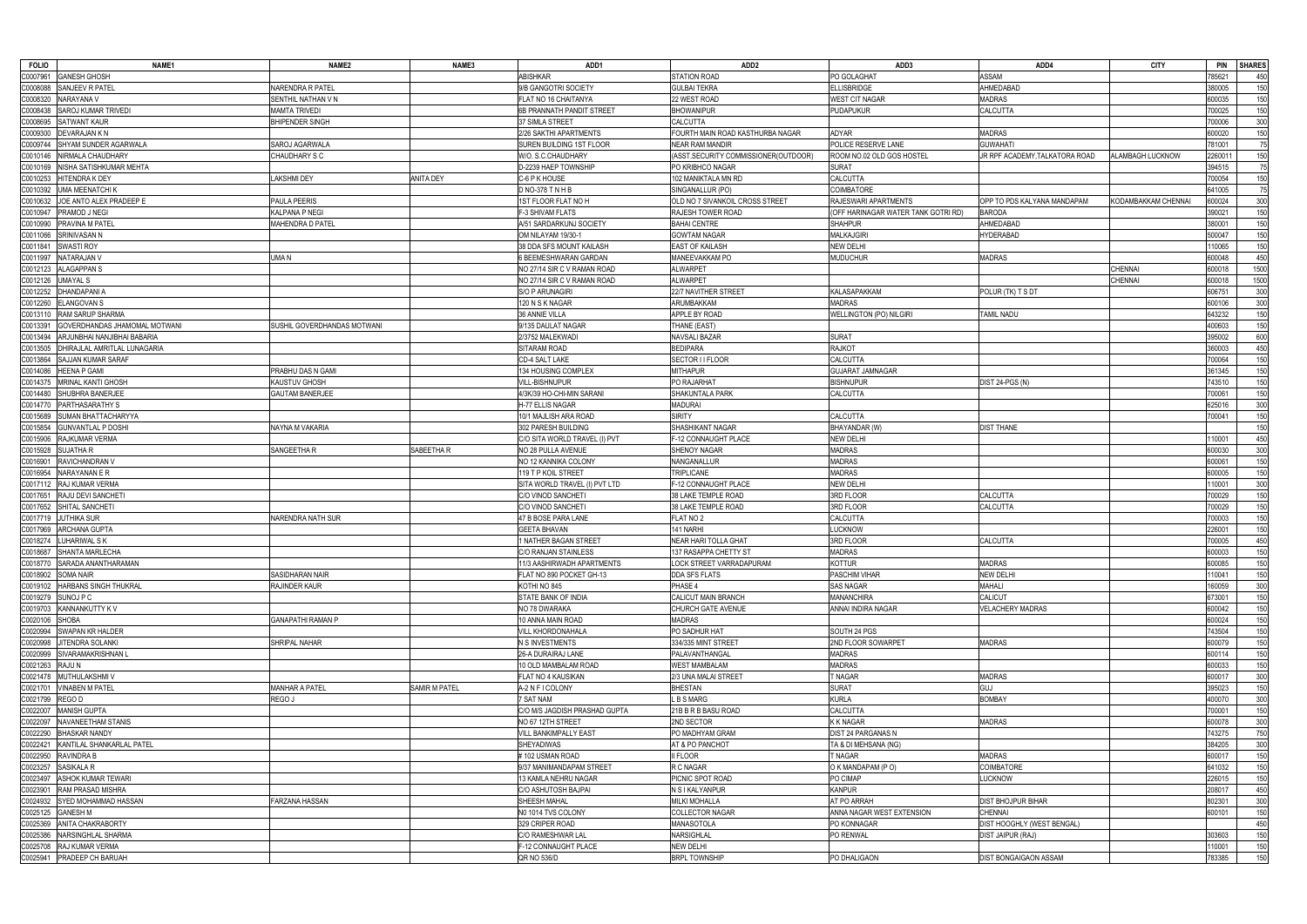| <b>FOLIO</b>         | NAME1                              | NAME <sub>2</sub>           | NAME3            | ADD1                          | ADD <sub>2</sub>                     | ADD3                                | ADD4                          | <b>CITY</b>             | <b>PIN</b>          | <b>SHARES</b> |
|----------------------|------------------------------------|-----------------------------|------------------|-------------------------------|--------------------------------------|-------------------------------------|-------------------------------|-------------------------|---------------------|---------------|
|                      | C0007961 GANESH GHOSH              |                             |                  | <b>ABISHKAR</b>               | <b>STATION ROAD</b>                  | PO GOLAGHAT                         | <b>ASSAM</b>                  |                         | 785621              | 450           |
| C0008088             | SANJEEV R PATEL                    | NARENDRA R PATEL            |                  | 9/B GANGOTRI SOCIETY          | <b>GULBAI TEKRA</b>                  | <b>ELLISBRIDGE</b>                  | AHMEDABAD                     |                         | 380005              | 150           |
| C0008320             | NARAYANA V                         | SENTHIL NATHAN V N          |                  | FLAT NO 16 CHAITANYA          | 22 WEST ROAD                         | <b>WEST CIT NAGAR</b>               | MADRAS                        |                         | 600035              | 150           |
| C0008438             | SAROJ KUMAR TRIVEDI                | <b>MAMTA TRIVEDI</b>        |                  | 6B PRANNATH PANDIT STREET     | <b>BHOWANIPUR</b>                    | PUDAPUKUR                           | CALCUTTA                      |                         | 700025              | 150           |
| C0008695             | <b>SATWANT KAUR</b>                | <b>BHIPENDER SINGH</b>      |                  | 37 SIMLA STREET               | CALCUTTA                             |                                     |                               |                         | 700006              | 300           |
| C0009300             | DEVARAJAN K N                      |                             |                  | 2/26 SAKTHI APARTMENTS        | FOURTH MAIN ROAD KASTHURBA NAGAR     | <b>ADYAR</b>                        | MADRAS                        |                         | 600020              | 150           |
| C0009744             | SHYAM SUNDER AGARWALA              | SAROJ AGARWALA              |                  | SUREN BUILDING 1ST FLOOR      | <b>NEAR RAM MANDIR</b>               | POLICE RESERVE LANE                 | <b>GUWAHATI</b>               |                         | 781001              | 75            |
| C0010146             | NIRMALA CHAUDHARY                  | CHAUDHARY S C               |                  | W/O. S.C.CHAUDHARY            | (ASST.SECURITY COMMISSIONER(OUTDOOR) | ROOM NO.02 OLD GOS HOSTEL           | JR RPF ACADEMY,TALKATORA ROAD | <b>ALAMBAGH LUCKNOW</b> | 226001 <sup>-</sup> | 150           |
| C0010169             | NISHA SATISHKUMAR MEHTA            |                             |                  | D-2239 HAEP TOWNSHIP          | PO KRIBHCO NAGAR                     | <b>SURAT</b>                        |                               |                         | 394515              | 75            |
| C0010253             | <b>HITENDRAK DEY</b>               | <b>AKSHMI DEY</b>           | <b>ANITA DEY</b> | C-6 P K HOUSE                 | 102 MANIKTALA MN RD                  | CALCUTTA                            |                               |                         | 700054              | 150           |
| C0010392             | <b>UMA MEENATCHI K</b>             |                             |                  | D NO-378 T N H B              | SINGANALLUR (PO)                     | COIMBATORE                          |                               |                         | 641005              | 75            |
| C0010632             | JOE ANTO ALEX PRADEEP E            | PAULA PEERIS                |                  | 1ST FLOOR FLAT NO H           | OLD NO 7 SIVANKOIL CROSS STREET      | RAJESWARI APARTMENTS                | OPP TO PDS KALYANA MANDAPAM   | KODAMBAKKAM CHENNAI     | 600024              | 300           |
|                      | C0010947 PRAMOD J NEGI             | <b>KALPANA P NEGI</b>       |                  | F-3 SHIVAM FLATS              | RAJESH TOWER ROAD                    | (OFF HARINAGAR WATER TANK GOTRI RD) | BARODA                        |                         | 390021              | 150           |
|                      | C0010990 PRAVINA M PATEL           | MAHENDRA D PATEL            |                  | A/51 SARDARKUNJ SOCIETY       | <b>BAHAI CENTRE</b>                  | <b>SHAHPUR</b>                      | AHMEDABAD                     |                         | 380001              | 150           |
|                      | C0011066 SRINIVASAN N              |                             |                  | OM NILAYAM 19/30-1            | <b>GOWTAM NAGAR</b>                  | <b>MALKAJGIRI</b>                   | HYDERABAD                     |                         | 500047              | 150           |
|                      | C0011841 SWASTI ROY                |                             |                  | 38 DDA SFS MOUNT KAILASH      | <b>EAST OF KAILASH</b>               | <b>NEW DELHI</b>                    |                               |                         | 110065              | 150           |
|                      | C0011997 NATARAJAN V               | UMA N                       |                  | 6 BEEMESHWARAN GARDAN         | <b>MANEEVAKKAM PO</b>                | <b>MUDUCHUR</b>                     | <b>MADRAS</b>                 |                         | 600048              |               |
|                      |                                    |                             |                  |                               |                                      |                                     |                               |                         |                     | 450<br>1500   |
|                      | C0012123 ALAGAPPAN S               |                             |                  | NO 27/14 SIR C V RAMAN ROAD   | <b>ALWARPET</b>                      |                                     |                               | <b>CHENNAI</b>          | 600018              |               |
|                      | C0012126 UMAYAL S                  |                             |                  | NO 27/14 SIR C V RAMAN ROAD   | <b>ALWARPET</b>                      |                                     |                               | <b>CHENNAI</b>          | 600018              | 1500          |
| C0012252             | <b>DHANDAPANIA</b>                 |                             |                  | <b>S/O P ARUNAGIRI</b>        | 22/7 NAVITHER STREET                 | <b>KALASAPAKKAM</b>                 | POLUR (TK) T S DT             |                         | 606751              | 300           |
| C0012260             | <b>ELANGOVAN S</b>                 |                             |                  | 120 N S K NAGAR               | ARUMBAKKAM                           | MADRAS                              |                               |                         | 600106              | 300           |
|                      | C0013110 RAM SARUP SHARMA          |                             |                  | 36 ANNIE VILLA                | APPLE BY ROAD                        | <b>WELLINGTON (PO) NILGIRI</b>      | tamil nadu                    |                         | 643232              | 150           |
| C0013391             | GOVERDHANDAS JHAMOMAL MOTWANI      | SUSHIL GOVERDHANDAS MOTWANI |                  | 9/135 DAULAT NAGAR            | THANE (EAST)                         |                                     |                               |                         | 400603              | 150           |
| C0013494             | ARJUNBHAI NANJIBHAI BABARIA        |                             |                  | 2/3752 MALEKWADI              | <b>NAVSALI BAZAR</b>                 | <b>SURAT</b>                        |                               |                         | 395002              | 600           |
| C0013505             | DHIRAJLAL AMRITLAL LUNAGARIA       |                             |                  | SITARAM ROAD                  | <b>BEDIPARA</b>                      | <b>RAJKOT</b>                       |                               |                         | 360003              | 450           |
| C0013864             | SAJJAN KUMAR SARAF                 |                             |                  | CD-4 SALT LAKE                | SECTOR I I FLOOR                     | CALCUTTA                            |                               |                         | 700064              | 150           |
| C0014086             | <b>HEENA P GAMI</b>                | PRABHU DAS N GAMI           |                  | 134 HOUSING COMPLEX           | <b>MITHAPUR</b>                      | GUJARAT JAMNAGAR                    |                               |                         | 361345              | 150           |
|                      | C0014375 MRINAL KANTI GHOSH        | <b>KAUSTUV GHOSH</b>        |                  | Vill-Bishnupur                | PO RAJARHAT                          | <b>BISHNUPUR</b>                    | DIST 24-PGS (N)               |                         | 743510              | 150           |
|                      | C0014480 SHUBHRA BANERJEE          | <b>GAUTAM BANERJEE</b>      |                  | 4/3K/39 HO-CHI-MIN SARANI     | SHAKUNTALA PARK                      | CALCUTTA                            |                               |                         | 700061              | 150           |
|                      | C0014770 PARTHASARATHY S           |                             |                  | H-77 ELLIS NAGAR              | <b>MADURAI</b>                       |                                     |                               |                         | 625016              | 300           |
|                      | C0015689 SUMAN BHATTACHARYYA       |                             |                  | 10/1 MAJLISH ARA ROAD         | <b>SIRITY</b>                        | <b>CALCUTTA</b>                     |                               |                         | 700041              | 150           |
|                      | C0015854 GUNVANTLAL P DOSHI        | NAYNA M VAKARIA             |                  | 302 PARESH BUILDING           | SHASHIKANT NAGAR                     | BHAYANDAR (W)                       | DIST THANE                    |                         |                     | 150           |
|                      | C0015906 RAJKUMAR VERMA            |                             |                  | C/O SITA WORLD TRAVEL (I) PVT | -12 CONNAUGHT PLACE                  | <b>NEW DELHI</b>                    |                               |                         | 110001              | 450           |
|                      | C0015928 SUJATHAR                  | SANGEETHA R                 | SABEETHA R       | NO 28 PULLA AVENUE            | SHENOY NAGAR                         | <b>MADRAS</b>                       |                               |                         | 600030              | 300           |
|                      | C0016901 RAVICHANDRAN V            |                             |                  | NO 12 KANNIKA COLONY          | NANGANALLUR                          | <b>MADRAS</b>                       |                               |                         | 600061              | 150           |
|                      | C0016954 NARAYANAN E R             |                             |                  | 119 T P KOIL STREET           | <b>TRIPLICANE</b>                    | <b>MADRAS</b>                       |                               |                         | 600005              | 150           |
|                      | C0017112 RAJ KUMAR VERMA           |                             |                  | SITA WORLD TRAVEL (I) PVT LTD | F-12 CONNAUGHT PLACE                 | <b>NEW DELHI</b>                    |                               |                         | 110001              | 300           |
| C0017651             | RAJU DEVI SANCHETI                 |                             |                  | C/O VINOD SANCHETI            | 38 LAKE TEMPLE ROAD                  | 3RD FLOOR                           | CALCUTTA                      |                         | 700029              | 150           |
|                      | C0017652 SHITAL SANCHETI           |                             |                  | C/O VINOD SANCHET             | 38 LAKE TEMPLE ROAD                  | 3RD FLOOR                           | CALCUTTA                      |                         | 700029              | 150           |
|                      | C0017719 JUTHIKA SUR               | NARENDRA NATH SUR           |                  | 47 B BOSE PARA LANE           | FLAT NO <sub>2</sub>                 | CALCUTTA                            |                               |                         | 700003              | 150           |
| C0017969             | <b>ARCHANA GUPTA</b>               |                             |                  | <b>GEETA BHAVAN</b>           | 141 NARHI                            | LUCKNOW                             |                               |                         | 226001              | 150           |
|                      | C0018274 LUHARIWAL SK              |                             |                  | 1 NATHER BAGAN STREET         | NEAR HARI TOLLA GHAT                 | 3RD FLOOR                           | CALCUTTA                      |                         | 700005              | 450           |
|                      | C0018687 SHANTA MARLECHA           |                             |                  | C/O RANJAN STAINLESS          | 137 RASAPPA CHETTY ST                | <b>MADRAS</b>                       |                               |                         | 600003              | 150           |
|                      | C0018770 SARADA ANANTHARAMAN       |                             |                  | 11/3 AASHIRWADH APARTMENTS    | LOCK STREET VARRADAPURAM             | <b>KOTTUR</b>                       | <b>MADRAS</b>                 |                         | 600085              | 150           |
|                      | C0018902 SOMA NAIR                 | <b>SASIDHARAN NAIR</b>      |                  | FLAT NO 890 POCKET GH-13      | DDA SFS FLATS                        | PASCHIM VIHAR                       | <b>NEW DELHI</b>              |                         | 110041              | 150           |
|                      | C0019102 HARBANS SINGH THUKRAL     | RAJINDER KAUR               |                  | KOTHI NO 845                  | PHASE 4                              | SAS NAGAR                           | MAHALI                        |                         | 160059              | 300           |
|                      | C0019279 SUNOJ P C                 |                             |                  | STATE BANK OF INDIA           | CALICUT MAIN BRANCH                  | <b>MANANCHIRA</b>                   | CALICUT                       |                         | 673001              | 150           |
|                      | C0019703 KANNANKUTTY KV            |                             |                  | NO 78 DWARAKA                 | CHURCH GATE AVENUE                   | ANNAI INDIRA NAGAR                  | <b>VELACHERY MADRAS</b>       |                         | 600042              | 150           |
| C0020106 SHOBA       |                                    | <b>GANAPATHI RAMAN P</b>    |                  | 10 ANNA MAIN ROAD             | <b>MADRAS</b>                        |                                     |                               |                         | 600024              | 150           |
|                      | <b>SWAPAN KR HALDER</b>            |                             |                  | VILL KHORDONAHALA             | PO SADHUR HAT                        | SOUTH 24 PGS                        |                               |                         | 743504              | 150           |
| C0020994<br>C0020998 | JITENDRA SOLANKI                   | SHRIPAL NAHAR               |                  | <b>N S INVESTMENTS</b>        | 334/335 MINT STREET                  | 2ND FLOOR SOWARPET                  | <b>MADRAS</b>                 |                         | 600079              |               |
|                      |                                    |                             |                  |                               |                                      |                                     |                               |                         |                     | 150           |
|                      | C0020999 SIVARAMAKRISHNAN L        |                             |                  | 26-A DURAIRAJ LANE            | PALAVANTHANGAL                       | <b>MADRAS</b>                       |                               |                         | 600114              | 150           |
| C0021263 RAJU N      |                                    |                             |                  | 10 OLD MAMBALAM ROAD          | <b>WEST MAMBALAM</b>                 | MADRAS                              |                               |                         | 600033              | 150           |
|                      | C0021478 MUTHULAKSHMI V            |                             |                  | FLAT NO 4 KAUSIKAN            | 2/3 UNA MALAI STREET                 | T NAGAR                             | <b>MADRAS</b>                 |                         | 600017              | 300           |
|                      | C0021701 VINABEN M PATEL           | <b>MANHAR A PATEL</b>       | SAMIR M PATEL    | A-2 N F I COLONY              | <b>BHESTAN</b>                       | <b>SURAT</b>                        | GUJ                           |                         | 395023              | 150           |
| C0021799 REGO D      |                                    | REGO J                      |                  | 7 SAT NAM                     | L B S MARG                           | <b>KURLA</b>                        | <b>BOMBAY</b>                 |                         | 400070              | 300           |
|                      | C0022007 MANISH GUPTA              |                             |                  | C/O M/S JAGDISH PRASHAD GUPTA | 21B B R B BASU ROAD                  | <b>CALCUTTA</b>                     |                               |                         | 700001              | 150           |
| C0022097             | NAVANEETHAM STANIS                 |                             |                  | NO 67 12TH STREET             | 2ND SECTOR                           | <b>KKNAGAR</b>                      | <b>MADRAS</b>                 |                         | 600078              | 300           |
| C0022290             | <b>BHASKAR NANDY</b>               |                             |                  | <b>VILL BANKIMPALLY EAST</b>  | PO MADHYAM GRAM                      | DIST 24 PARGANAS N                  |                               |                         | 743275              | 750           |
|                      | C0022421 KANTILAL SHANKARLAL PATEL |                             |                  | SHEYADIWAS                    | AT & PO PANCHOT                      | TA & DI MEHSANA (NG)                |                               |                         | 384205              | 300           |
|                      | C0022950 RAVINDRA B                |                             |                  | #102 USMAN ROAD               | II FLOOR                             | T NAGAR                             | <b>MADRAS</b>                 |                         | 600017              | 150           |
|                      | C0023257 SASIKALAR                 |                             |                  | 9/37 MANIMANDAPAM STREET      | R C NAGAR                            | O K MANDAPAM (PO)                   | <b>COIMBATORE</b>             |                         | 641032              | 150           |
| C0023497             | <b>ASHOK KUMAR TEWARI</b>          |                             |                  | 13 KAMLA NEHRU NAGAR          | PICNIC SPOT ROAD                     | PO CIMAP                            | <b>UCKNOW</b>                 |                         | 226015              | 150           |
| C0023901             | RAM PRASAD MISHRA                  |                             |                  | C/O ASHUTOSH BAJPAI           | N S I KALYANPUR                      | <b>KANPUR</b>                       |                               |                         | 208017              | 450           |
|                      | C0024932 SYED MOHAMMAD HASSAN      | FARZANA HASSAN              |                  | SHEESH MAHAL                  | MILKI MOHALLA                        | AT PO ARRAH                         | DIST BHOJPUR BIHAR            |                         | 802301              | 300           |
|                      | C0025125 GANESH M                  |                             |                  | NO 1014 TVS COLONY            | <b>COLLECTOR NAGAR</b>               | ANNA NAGAR WEST EXTENSION           | <b>CHENNAI</b>                |                         | 600101              | 150           |
| C0025369             | <b>ANITA CHAKRABORTY</b>           |                             |                  | 329 CRIPER ROAD               | MANASOTOLA                           | PO KONNAGAR                         | DIST HOOGHLY (WEST BENGAL)    |                         |                     | 450           |
| C0025386             | NARSINGHLAL SHARMA                 |                             |                  | C/O RAMESHWAR LAL             | NARSIGHLAL                           | PO RENWAL                           | DIST JAIPUR (RAJ)             |                         | 303603              | 150           |
|                      | C0025708 RAJ KUMAR VERMA           |                             |                  | F-12 CONNAUGHT PLACE          | NEW DELHI                            |                                     |                               |                         | 110001              | 150           |
|                      | C0025941 PRADEEP CH BARUAH         |                             |                  | QR NO 536/D                   | <b>BRPL TOWNSHIP</b>                 | PO DHALIGAON                        | DIST BONGAIGAON ASSAM         |                         | 783385              | 150           |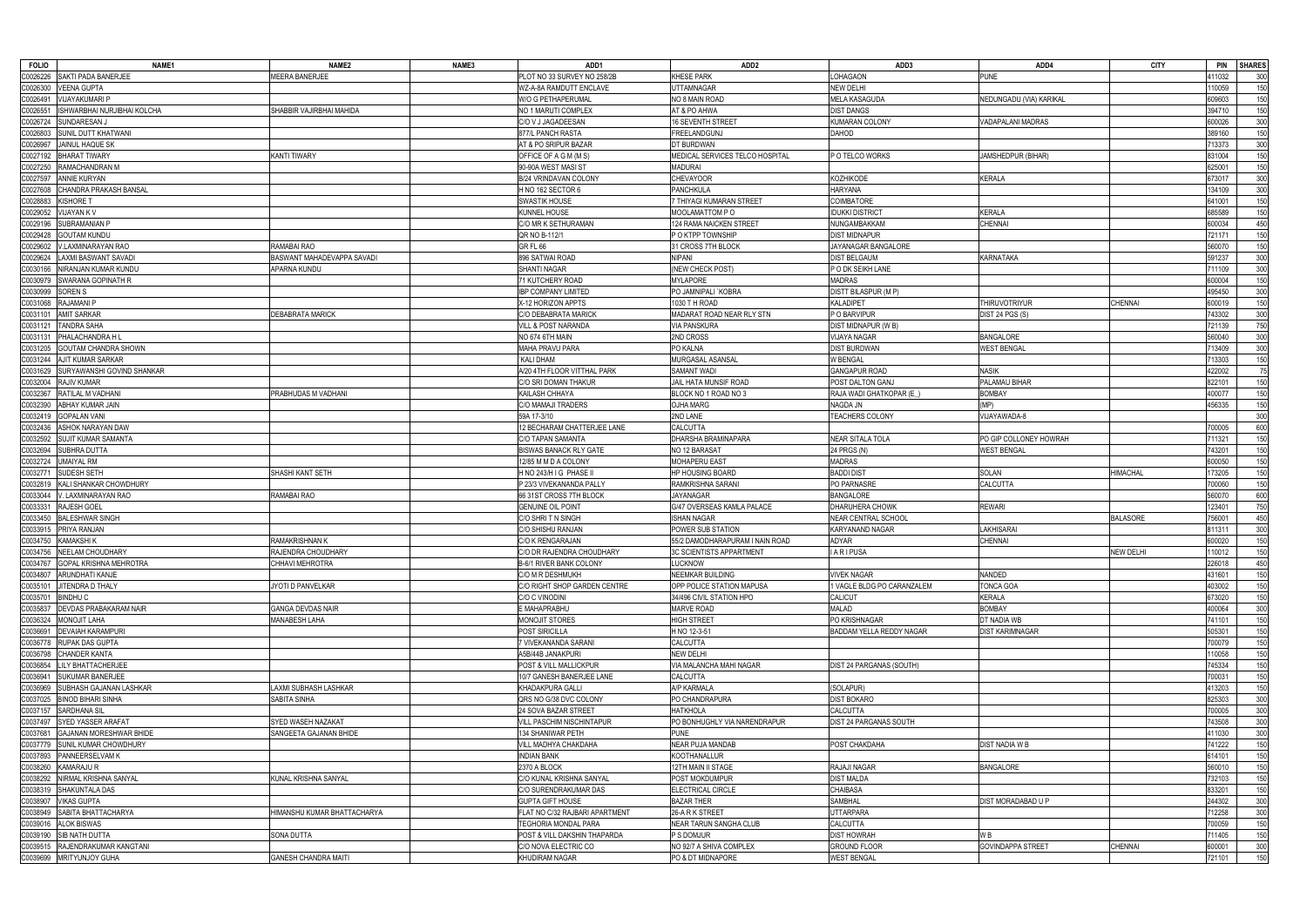| <b>FOLIO</b>                              | NAME <sub>1</sub> | NAME2                       | NAME3 | ADD1                           | ADD <sub>2</sub>                    | ADD3                            | ADD4                     | <b>CITY</b>      | <b>PIN</b> | <b>SHARES</b> |
|-------------------------------------------|-------------------|-----------------------------|-------|--------------------------------|-------------------------------------|---------------------------------|--------------------------|------------------|------------|---------------|
| SAKTI PADA BANERJEE<br>20026226           |                   | <b>MEERA BANERJEE</b>       |       | PLOT NO 33 SURVEY NO 258/2B    | <b>KHESE PARK</b>                   | LOHAGAON                        | <b>PUNE</b>              |                  | 411032     | 300           |
| <b>VEENA GUPTA</b><br>0026300             |                   |                             |       | WZ-A-8A RAMDUTT ENCLAVE        | <b>UTTAMNAGAR</b>                   | <b>NEW DELHI</b>                |                          |                  | 110059     | 150           |
| <b>VIJAYAKUMARI P</b><br>00026491         |                   |                             |       | W/O G PETHAPERUMAL             | NO 8 MAIN ROAD                      | MELA KASAGUDA                   | NEDUNGADU (VIA) KARIKAL  |                  | 609603     | 150           |
| ISHWARBHAI NURJIBHAI KOLCHA<br>2002655    |                   | SHABBIR VAJIRBHAI MAHIDA    |       | NO 1 MARUTI COMPLEX            | AT & PO AHWA                        | <b>DIST DANGS</b>               |                          |                  | 394710     | 150           |
| SUNDARESAN J<br>C0026724                  |                   |                             |       | C/O V J JAGADEESAN             | <b>16 SEVENTH STREET</b>            | <b>KUMARAN COLONY</b>           | <b>ADAPALANI MADRAS</b>  |                  | 600026     | 300           |
| SUNIL DUTT KHATWANI<br>00026803           |                   |                             |       | 877/L PANCH RASTA              | FREELANDGUNJ                        | DAHOD                           |                          |                  | 389160     | 150           |
| JAINUL HAQUE SK<br>00026967               |                   |                             |       | AT & PO SRIPUR BAZAR           | DT BURDWAN                          |                                 |                          |                  | 713373     | 300           |
| C0027192<br><b>BHARAT TIWARY</b>          |                   | <b>KANTI TIWARY</b>         |       | OFFICE OF A G M (M S)          | MEDICAL SERVICES TELCO HOSPITAL     | P O TELCO WORKS                 | JAMSHEDPUR (BIHAR)       |                  | 831004     | 150           |
| C0027250<br>RAMACHANDRAN M                |                   |                             |       | 90-90A WEST MASI ST            | <b>MADURAI</b>                      |                                 |                          |                  | 625001     | 150           |
| C0027597<br>ANNIE KURYAN                  |                   |                             |       | B/24 VRINDAVAN COLONY          | <b>CHEVAYOOR</b>                    | <b>KOZHIKODE</b>                | KERALA                   |                  | 673017     | 300           |
| C0027608<br>CHANDRA PRAKASH BANSAL        |                   |                             |       | H NO 162 SECTOR 6              | PANCHKULA                           | <b>HARYANA</b>                  |                          |                  | 134109     | 300           |
| KISHORE T<br>00028883                     |                   |                             |       | <b>SWASTIK HOUSE</b>           | 7 THIYAGI KUMARAN STREET            | COIMBATORE                      |                          |                  | 641001     | 150           |
| C0029052<br>VIJAYAN K V                   |                   |                             |       | <b>KUNNEL HOUSE</b>            | MOOLAMATTOM PO                      | <b>IDUKKI DISTRICT</b>          | <b>KERALA</b>            |                  | 685589     | 150           |
| SUBRAMANIAN P<br>00029196                 |                   |                             |       | C/O MR K SETHURAMAN            | 124 RAMA NAICKEN STREET             | NUNGAMBAKKAM                    | CHENNAI                  |                  | 600034     | 450           |
| GOUTAM KUNDU<br>0029428                   |                   |                             |       | QR NO B-112/1                  | P O KTPP TOWNSHIP                   | <b>DIST MIDNAPUR</b>            |                          |                  | 721171     | 150           |
| V.LAXMINARAYAN RAO                        |                   | RAMABAI RAO                 |       | <b>GR FL 66</b>                |                                     | JAYANAGAR BANGALORE             |                          |                  | 560070     | 150           |
| 00029602<br>LAXMI BASWANT SAVADI          |                   | BASWANT MAHADEVAPPA SAVADI  |       | 896 SATWAI ROAD                | 31 CROSS 7TH BLOCK<br><b>NIPANI</b> | <b>DIST BELGAUM</b>             |                          |                  | 591237     | 300           |
| 20029624                                  |                   |                             |       |                                |                                     |                                 | <b>KARNATAKA</b>         |                  |            |               |
| C0030166<br>VIRANJAN KUMAR KUNDU          |                   | APARNA KUNDU                |       | SHANTI NAGAR                   | (NEW CHECK POST)                    | P O DK SEIKH LANE               |                          |                  | 711109     | 300           |
| SWARANA GOPINATH R<br>C0030979            |                   |                             |       | 71 KUTCHERY ROAD               | <b>MYLAPORE</b>                     | <b>MADRAS</b>                   |                          |                  | 600004     | 150           |
| 00030999<br>SOREN S                       |                   |                             |       | <b>IBP COMPANY LIMITED</b>     | PO JAMNIPALI `KOBRA                 | <b>DISTT BILASPUR (M P)</b>     |                          |                  | 495450     | 300           |
| RAJAMANI P<br>C0031068                    |                   |                             |       | X-12 HORIZON APPTS             | 1030 TH ROAD                        | <b>KALADIPET</b>                | <b>THIRUVOTRIYUR</b>     | <b>CHENNAI</b>   | 600019     | 150           |
| <b>AMIT SARKAR</b><br>00031101            |                   | <b>DEBABRATA MARICK</b>     |       | C/O DEBABRATA MARICK           | MADARAT ROAD NEAR RLY STN           | P O BARVIPUR                    | DIST 24 PGS (S)          |                  | 743302     | 300           |
| TANDRA SAHA<br>C0031121                   |                   |                             |       | <b>VILL &amp; POST NARANDA</b> | <b>VIA PANSKURA</b>                 | DIST MIDNAPUR (W B)             |                          |                  | 721139     | 750           |
| PHALACHANDRA H L                          |                   |                             |       | NO 674 6TH MAIN                | 2ND CROSS                           | VIJAYA NAGAR                    | <b>BANGALORE</b>         |                  | 560040     | 300           |
| GOUTAM CHANDRA SHOWN<br>C0031205          |                   |                             |       | MAHA PRAVU PARA                | PO KALNA                            | DIST BURDWAN                    | <b>WEST BENGAL</b>       |                  | 713409     | 300           |
| C0031244<br><b>AJIT KUMAR SARKAR</b>      |                   |                             |       | KALI DHAM                      | MURGASAL ASANSAL                    | <b>V BENGAL</b>                 |                          |                  | 713303     | 150           |
| C0031629<br>SURYAWANSHI GOVIND SHANKAR    |                   |                             |       | A/20 4TH FLOOR VITTHAL PARK    | SAMANT WADI                         | <b>GANGAPUR ROAD</b>            | <b>NASIK</b>             |                  | 422002     | 75            |
| <b>RAJIV KUMAR</b><br>C0032004            |                   |                             |       | C/O SRI DOMAN THAKUR           | JAIL HATA MUNSIF ROAD               | POST DALTON GANJ                | PALAMAU BIHAR            |                  | 822101     | 150           |
| RATILAL M VADHANI<br>00032367             |                   | PRABHUDAS M VADHANI         |       | KAILASH CHHAYA                 | BLOCK NO 1 ROAD NO 3                | RAJA WADI GHATKOPAR (E_)        | <b>BOMBAY</b>            |                  | 400077     | 150           |
| <b>ABHAY KUMAR JAIN</b><br>C0032390       |                   |                             |       | C/O MAMAJI TRADERS             | <b>OJHA MARG</b>                    | NAGDA JN                        | (MP)                     |                  | 456335     | 150           |
| C0032419<br><b>GOPALAN VANI</b>           |                   |                             |       | 59A 17-3/10                    | 2ND LANE                            | <b>TEACHERS COLONY</b>          | VIJAYAWADA-8             |                  |            | 300           |
| ASHOK NARAYAN DAW<br>C0032436             |                   |                             |       | 12 BECHARAM CHATTERJEE LANE    | CALCUTTA                            |                                 |                          |                  | 700005     | 600           |
| SUJIT KUMAR SAMANTA<br>00032592           |                   |                             |       | C/O TAPAN SAMANTA              | DHARSHA BRAMINAPARA                 | <b>NEAR SITALA TOLA</b>         | PO GIP COLLONEY HOWRAH   |                  | 711321     | 150           |
| C0032694<br><b>SUBHRA DUTTA</b>           |                   |                             |       | <b>BISWAS BANACK RLY GATE</b>  | NO 12 BARASAT                       | 24 PRGS (N)                     | <b>WEST BENGAL</b>       |                  | 743201     | 150           |
| <b>UMAIYAL RM</b><br>C0032724             |                   |                             |       | 12/85 M M D A COLONY           | <b>MOHAPERU EAST</b>                | <b>MADRAS</b>                   |                          |                  | 600050     | 150           |
| <b>SUDESH SETH</b>                        |                   |                             |       |                                |                                     | <b>BADDI DIST</b>               |                          | <b>HIMACHAL</b>  | 173205     | 150           |
| 0003277                                   |                   | SHASHI KANT SETH            |       | H NO 243/H I G PHASE II        | HP HOUSING BOARD                    |                                 | <b>SOLAN</b>             |                  |            |               |
| KALI SHANKAR CHOWDHURY<br>00032819        |                   |                             |       | P 23/3 VIVEKANANDA PALLY       | RAMKRISHNA SARANI                   | PO PARNASRE                     | CALCUTTA                 |                  | 700060     | 150           |
| C0033044<br>V. LAXMINARAYAN RAO           |                   | RAMABAI RAO                 |       | 66 31ST CROSS 7TH BLOCK        | <b>JAYANAGAR</b>                    | <b>BANGALORE</b>                |                          |                  | 560070     | 600           |
| RAJESH GOEL<br>C0033331                   |                   |                             |       | <b>GENUINE OIL POINT</b>       | G/47 OVERSEAS KAMLA PALACE          | DHARUHERA CHOWK                 | <b>REWARI</b>            |                  | 123401     | 750           |
| <b>BALESHWAR SINGH</b><br>00033450        |                   |                             |       | C/O SHRI T N SINGH             | <b>ISHAN NAGAR</b>                  | NEAR CENTRAL SCHOOL             |                          | <b>BALASORE</b>  | 756001     | 450           |
| PRIYA RANJAN<br>00033915                  |                   |                             |       | C/O SHISHU RANJAN              | POWER SUB STATION                   | KARYANAND NAGAR                 | LAKHISARAI               |                  | 811311     | 300           |
| <b>KAMAKSHI K</b><br>C0034750             |                   | <b>RAMAKRISHNAN K</b>       |       | C/O K RENGARAJAN               | 55/2 DAMODHARAPURAM I NAIN ROAD     | ADYAR                           | CHENNAI                  |                  | 600020     | 150           |
| C0034756 NEELAM CHOUDHARY                 |                   | RAJENDRA CHOUDHARY          |       | C/O DR RAJENDRA CHOUDHARY      | <b>3C SCIENTISTS APPARTMENT</b>     | <b>IARIPUSA</b>                 |                          | <b>NEW DELHI</b> | 110012     | 150           |
| C0034767 GOPAL KRISHNA MEHROTRA           |                   | CHHAVI MEHROTRA             |       | <b>B-6/1 RIVER BANK COLONY</b> | LUCKNOW                             |                                 |                          |                  | 226018     | 450           |
| C0034807<br>ARUNDHATI KANJE               |                   |                             |       | C/O M R DESHMUKH               | NEEMKAR BUILDING                    | <b>VIVEK NAGAR</b>              | NANDED                   |                  | 431601     | 150           |
| <b>JITENDRA D THALY</b><br>C0035101       |                   | JYOTI D PANVELKAR           |       | C/O RIGHT SHOP GARDEN CENTRE   | OPP POLICE STATION MAPUSA           | 1 VAGLE BLDG PO CARANZALEM      | TONCA GOA                |                  | 403002     | 150           |
| C0035701<br><b>BINDHU C</b>               |                   |                             |       | C/O C VINODINI                 | 34/496 CIVIL STATION HPO            | CALICUT                         | KERALA                   |                  | 673020     | 150           |
| C0035837<br><b>DEVDAS PRABAKARAM NAIR</b> |                   | <b>GANGA DEVDAS NAIR</b>    |       | E MAHAPRABHU                   | <b>MARVE ROAD</b>                   | <b>MALAD</b>                    | <b>BOMBAY</b>            |                  | 400064     | 300           |
| MONOJIT LAHA<br>C0036324                  |                   | <b>MANABESH LAHA</b>        |       | <b>MONOJIT STORES</b>          | <b>HIGH STREET</b>                  | PO KRISHNAGAR                   | DT NADIA WB              |                  | 741101     | 150           |
| <b>DEVAIAH KARAMPURI</b><br>C0036691      |                   |                             |       | POST SIRICILLA                 | H NO 12-3-51                        | <b>BADDAM YELLA REDDY NAGAR</b> | <b>DIST KARIMNAGAR</b>   |                  | 505301     | 150           |
| RUPAK DAS GUPTA<br>C0036778               |                   |                             |       | 7 VIVEKANANDA SARANI           | CALCUTTA                            |                                 |                          |                  | 700079     | 150           |
| <b>CHANDER KANTA</b><br>C0036798          |                   |                             |       | A5B/44B JANAKPURI              | <b>NEW DELHI</b>                    |                                 |                          |                  | 110058     | 150           |
| <b>LILY BHATTACHERJEE</b><br>C0036854     |                   |                             |       | POST & VILL MALLICKPUR         | VIA MALANCHA MAHI NAGAR             | DIST 24 PARGANAS (SOUTH)        |                          |                  | 745334     | 150           |
| SUKUMAR BANERJEE<br>00036941              |                   |                             |       | 10/7 GANESH BANERJEE LANE      | CALCUTTA                            |                                 |                          |                  | 700031     | 150           |
| SUBHASH GAJANAN LASHKAR<br>C0036969       |                   | LAXMI SUBHASH LASHKAR       |       | KHADAKPURA GALLI               | A/P KARMALA                         | (SOLAPUR)                       |                          |                  | 413203     | 150           |
| C0037025<br><b>BINOD BIHARI SINHA</b>     |                   | SABITA SINHA                |       | QRS NO G/38 DVC COLONY         | PO CHANDRAPURA                      | <b>DIST BOKARO</b>              |                          |                  | 825303     | 300           |
| <b>SARDHANA SIL</b><br>C0037157           |                   |                             |       | 24 SOVA BAZAR STREET           | <b>HATKHOLA</b>                     | <b>CALCUTTA</b>                 |                          |                  | 700005     | 300           |
| SYED YASSER ARAFAT<br>C0037497            |                   | SYED WASEH NAZAKAT          |       | VILL PASCHIM NISCHINTAPUR      | PO BONHUGHLY VIA NARENDRAPUR        | DIST 24 PARGANAS SOUTH          |                          |                  | 743508     | 300           |
| GAJANAN MORESHWAR BHIDE<br>C0037681       |                   | SANGEETA GAJANAN BHIDE      |       | 134 SHANIWAR PETH              | <b>PUNE</b>                         |                                 |                          |                  | 411030     | 300           |
| SUNIL KUMAR CHOWDHURY<br>C0037779         |                   |                             |       | VILL MADHYA CHAKDAHA           | <b>NEAR PUJA MANDAB</b>             | POST CHAKDAHA                   | <b>DIST NADIA W B</b>    |                  | 741222     | 150           |
| PANNEERSELVAM K<br>00037893               |                   |                             |       | <b>INDIAN BANK</b>             | <b>KOOTHANALLUR</b>                 |                                 |                          |                  | 614101     | 150           |
| <b>KAMARAJU R</b><br>C0038260             |                   |                             |       | 2370 A BLOCK                   | 12TH MAIN II STAGE                  | RAJAJI NAGAR                    | <b>BANGALORE</b>         |                  | 560010     | 150           |
| C0038292<br>VIRMAL KRISHNA SANYAL         |                   | KUNAL KRISHNA SANYAL        |       | C/O KUNAL KRISHNA SANYAL       | POST MOKDUMPUR                      | <b>DIST MALDA</b>               |                          |                  | 732103     | 150           |
| SHAKUNTALA DAS                            |                   |                             |       | C/O SURENDRAKUMAR DAS          | ELECTRICAL CIRCLE                   | <b>CHAIBASA</b>                 |                          |                  | 833201     | 150           |
| C0038319                                  |                   |                             |       |                                |                                     |                                 |                          |                  |            | 300           |
| C0038907<br><b>VIKAS GUPTA</b>            |                   |                             |       | <b>GUPTA GIFT HOUSE</b>        | <b>BAZAR THER</b>                   | SAMBHAL                         | DIST MORADABAD U P       |                  | 244302     |               |
| SABITA BHATTACHARYA<br>C0038949           |                   | HIMANSHU KUMAR BHATTACHARYA |       | FLAT NO C/32 RAJBARI APARTMENT | 26-A R K STREET                     | <b>UTTARPARA</b>                |                          |                  | 712258     | 300           |
| <b>ALOK BISWAS</b><br>C0039016            |                   |                             |       | TEGHORIA MONDAL PARA           | NEAR TARUN SANGHA CLUB              | <b>CALCUTTA</b>                 |                          |                  | 700059     | 150           |
| C0039190<br><b>SIB NATH DUTTA</b>         |                   | <b>SONA DUTTA</b>           |       | POST & VILL DAKSHIN THAPARDA   | P S DOMJUR                          | <b>DIST HOWRAH</b>              | W B                      |                  | 711405     | 150           |
| C0039515 RAJENDRAKUMAR KANGTANI           |                   |                             |       | C/O NOVA ELECTRIC CO           | NO 92/7 A SHIVA COMPLEX             | <b>GROUND FLOOR</b>             | <b>GOVINDAPPA STREET</b> | CHENNAI          | 600001     | 300           |
| C0039699 MRITYUNJOY GUHA                  |                   | <b>GANESH CHANDRA MAITI</b> |       | KHUDIRAM NAGAR                 | PO & DT MIDNAPORE                   | <b>WEST BENGAL</b>              |                          |                  | 721101     | 150           |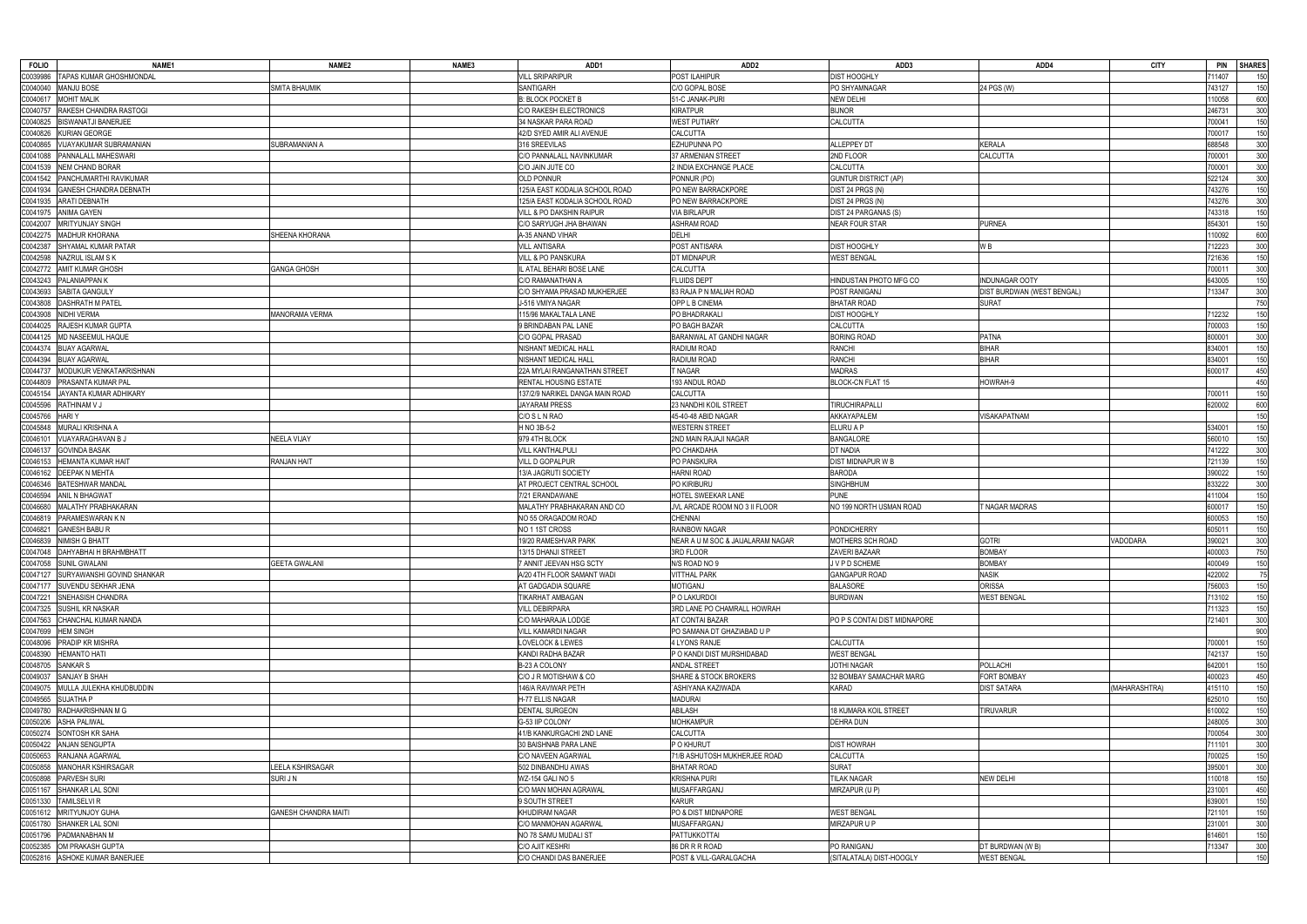| <b>FOLIO</b><br>NAME <sub>1</sub>         | NAME <sub>2</sub>           | NAME3 | ADD1                            | ADD2                              | ADD3                         | ADD4                        | <b>CITY</b>   | <b>PIN</b><br><b>SHARES</b> |
|-------------------------------------------|-----------------------------|-------|---------------------------------|-----------------------------------|------------------------------|-----------------------------|---------------|-----------------------------|
| TAPAS KUMAR GHOSHMONDAL<br>0039986:       |                             |       | <b>VILL SRIPARIPUR</b>          | POST ILAHIPUR                     | <b>DIST HOOGHLY</b>          |                             |               | 1407<br>150                 |
| C0040040<br><b>MANJU BOSE</b>             | <b>SMITA BHAUMIK</b>        |       | <b>SANTIGARH</b>                | C/O GOPAL BOSE                    | PO SHYAMNAGAR                | 24 PGS (W)                  |               | 743127<br>150               |
| <b>MOHIT MALIK</b><br>C0040617            |                             |       | <b>B: BLOCK POCKET B</b>        | 51-C JANAK-PURI                   | <b>NEW DELHI</b>             |                             |               | 600<br>10058                |
| C0040757<br>RAKESH CHANDRA RASTOGI        |                             |       | C/O RAKESH ELECTRONICS          | <b>KIRATPUR</b>                   | <b>BIJNOR</b>                |                             |               | 300<br>246731               |
| <b>BISWANATJI BANERJEE</b><br>C0040825    |                             |       | 34 NASKAR PARA ROAD             | <b>WEST PUTIARY</b>               | CALCUTTA                     |                             |               | 150<br>700041               |
| C0040826<br>KURIAN GEORGE                 |                             |       | 42/D SYED AMIR ALI AVENUE       | <b>CALCUTTA</b>                   |                              |                             |               | 150<br>700017               |
| C0040865<br>VIJAYAKUMAR SUBRAMANIAN       | SUBRAMANIAN A               |       | 316 SREEVILAS                   | <b>EZHUPUNNA PO</b>               | <b>ALLEPPEY DT</b>           | <b>KERALA</b>               |               | 688548<br>300               |
| C0041088<br>PANNALALL MAHESWARI           |                             |       | C/O PANNALALL NAVINKUMAR        | 37 ARMENIAN STREET                | 2ND FLOOR                    | <b>CALCUTTA</b>             |               | 300<br>'00001               |
| <b>NEM CHAND BORAR</b><br>C0041539        |                             |       | C/O JAIN JUTE CO                | 2 INDIA EXCHANGE PLACE            | <b>CALCUTTA</b>              |                             |               | 300<br>700001               |
| C0041542<br>PANCHUMARTHI RAVIKUMAR        |                             |       | <b>OLD PONNUR</b>               | PONNUR (PO)                       | <b>GUNTUR DISTRICT (AP)</b>  |                             |               | 522124<br>300               |
| C0041934<br><b>GANESH CHANDRA DEBNATH</b> |                             |       | 125/A EAST KODALIA SCHOOL ROAD  | PO NEW BARRACKPORE                | DIST 24 PRGS (N)             |                             |               | 743276<br>150               |
| C0041935<br><b>ARATI DEBNATH</b>          |                             |       | 125/A EAST KODALIA SCHOOL ROAD  | PO NEW BARRACKPORE                | DIST 24 PRGS (N)             |                             |               | 300<br>'43276               |
| C0041975<br><b>ANIMA GAYEN</b>            |                             |       | VILL & PO DAKSHIN RAIPUR        | <b>VIA BIRLAPUR</b>               | DIST 24 PARGANAS (S)         |                             |               | 743318<br>150               |
| C0042007<br><b>MRITYUNJAY SINGH</b>       |                             |       | C/O SARYUGH JHA BHAWAN          | <b>ASHRAM ROAD</b>                | <b>NEAR FOUR STAR</b>        | PURNEA                      |               | 150<br>854301               |
| <b>MADHUR KHORANA</b><br>00042275         | SHEENA KHORANA              |       | A-35 ANAND VIHAR                | <b>DELHI</b>                      |                              |                             |               | 600<br>10092                |
| SHYAMAL KUMAR PATAR<br>C0042387           |                             |       | <b>VILL ANTISARA</b>            | POST ANTISARA                     | <b>DIST HOOGHLY</b>          | W B                         |               | 12223<br>300                |
| C0042598<br>NAZRUL ISLAM S K              |                             |       | <b>VILL &amp; PO PANSKURA</b>   | DT MIDNAPUR                       | <b>WEST BENGAL</b>           |                             |               | 150<br>721636               |
| <b>AMIT KUMAR GHOSH</b><br>C0042772       | <b>GANGA GHOSH</b>          |       | IL ATAL BEHARI BOSE LANE        | <b>CALCUTTA</b>                   |                              |                             |               | 300<br>700011               |
| PALANIAPPAN K<br>C0043243                 |                             |       | C/O RAMANATHAN A                | <b>FLUIDS DEPT</b>                | HINDUSTAN PHOTO MFG CO       | <b>INDUNAGAR OOTY</b>       |               | 150<br>343005               |
| C0043693<br>SABITA GANGULY                |                             |       | C/O SHYAMA PRASAD MUKHERJEE     | 83 RAJA P N MALIAH ROAD           | POST RANIGANJ                | DIST BURDWAN (WEST BENGAL)  |               | 300<br>13347                |
| <b>DASHRATH M PATEL</b><br>C0043808       |                             |       | J-516 VMIYA NAGAR               | OPP L B CINEMA                    | <b>BHATAR ROAD</b>           | SURAT                       |               | 750                         |
| 00043908<br>NIDHI VERMA                   | MANORAMA VERMA              |       | 115/96 MAKALTALA LANE           | PO BHADRAKALI                     | <b>DIST HOOGHLY</b>          |                             |               | 150                         |
| RAJESH KUMAR GUPTA<br>C0044025            |                             |       | 9 BRINDABAN PAL LANE            | PO BAGH BAZAR                     | CALCUTTA                     |                             |               | 12232<br>700003             |
| MD NASEEMUL HAQUE                         |                             |       | C/O GOPAL PRASAD                |                                   |                              | <b>PATNA</b>                |               | 150<br>800001               |
| C0044125                                  |                             |       |                                 | BARANWAL AT GANDHI NAGAR          | <b>BORING ROAD</b>           |                             |               | 300                         |
| C0044374 BIJAY AGARWAL                    |                             |       | NISHANT MEDICAL HALL            | RADIUM ROAD                       | <b>RANCHI</b>                | <b>BIHAR</b>                |               | 834001<br>150               |
| <b>BIJAY AGARWAL</b><br>C0044394          |                             |       | NISHANT MEDICAL HALL            | RADIUM ROAD                       | <b>RANCHI</b>                | <b>BIHAR</b>                |               | 150<br>834001               |
| C0044737<br>MODUKUR VENKATAKRISHNAN       |                             |       | 22A MYLAI RANGANATHAN STREET    | T NAGAR                           | <b>MADRAS</b>                |                             |               | 450<br>600017               |
| C0044809<br>PRASANTA KUMAR PAL            |                             |       | <b>RENTAL HOUSING ESTATE</b>    | 193 ANDUL ROAD                    | <b>BLOCK-CN FLAT 15</b>      | HOWRAH-9                    |               | 450                         |
| C0045154<br>JAYANTA KUMAR ADHIKARY        |                             |       | 137/2/9 NARIKEL DANGA MAIN ROAD | CALCUTTA                          |                              |                             |               | 150<br>700011               |
| C0045596<br>RATHINAM V J                  |                             |       | <b>JAYARAM PRESS</b>            | 23 NANDHI KOIL STREET             | <b>TIRUCHIRAPALLI</b>        |                             |               | 600<br>320002               |
| C0045766<br>HARI Y                        |                             |       | C/O S L N RAO                   | 45-40-48 ABID NAGAR               | AKKAYAPALEM                  | /ISAKAPATNAM                |               | 150                         |
| MURALI KRISHNA A<br>C0045848              |                             |       | H NO 3B-5-2                     | <b>WESTERN STREET</b>             | ELURU A P                    |                             |               | 150<br>534001               |
| VIJAYARAGHAVAN B J<br>00046101            | <b>NEELA VIJAY</b>          |       | 979 4TH BLOCK                   | 2ND MAIN RAJAJI NAGAR             | <b>BANGALORE</b>             |                             |               | 150<br>560010               |
| <b>GOVINDA BASAK</b><br>C0046137          |                             |       | <b>VILL KANTHALPULI</b>         | PO CHAKDAHA                       | DT NADIA                     |                             |               | 300<br>741222               |
| C0046153<br>HEMANTA KUMAR HAIT            | <b>RANJAN HAIT</b>          |       | VILL D GOPALPUR                 | PO PANSKURA                       | DIST MIDNAPUR W B            |                             |               | 150<br>721139               |
| C0046162<br><b>DEEPAK N MEHTA</b>         |                             |       | 13/A JAGRUTI SOCIETY            | <b>HARNI ROAD</b>                 | <b>BARODA</b>                |                             |               | 150<br>390022               |
| <b>BATESHWAR MANDAL</b><br>C0046346       |                             |       | AT PROJECT CENTRAL SCHOOL       | PO KIRIBURU                       | <b>SINGHBHUM</b>             |                             |               | 300<br>333222               |
| C0046594<br>ANIL N BHAGWAT                |                             |       | 7/21 ERANDAWANE                 | HOTEL SWEEKAR LANE                | <b>PUNE</b>                  |                             |               | 150<br>11004                |
| MALATHY PRABHAKARAN<br>C0046680           |                             |       | MALATHY PRABHAKARAN AND CO      | JVL ARCADE ROOM NO 3 II FLOOR     | NO 199 NORTH USMAN ROAD      | <b><i>FNAGAR MADRAS</i></b> |               | 600017<br>150               |
| C0046819<br>PARAMESWARAN K N              |                             |       | NO 55 ORAGADOM ROAD             | <b>CHENNAI</b>                    |                              |                             |               | 150<br>600053               |
| <b>GANESH BABU R</b><br>C0046821          |                             |       | NO 1 1ST CROSS                  | RAINBOW NAGAR                     | <b>PONDICHERRY</b>           |                             |               | 605011<br>150               |
| C0046839<br>NIMISH G BHATT                |                             |       | 19/20 RAMESHVAR PARK            | NEAR A U M SOC & JAIJALARAM NAGAR | MOTHERS SCH ROAD             | gotri                       | VADODARA      | 300<br>390021               |
| C0047048 DAHYABHAI H BRAHMBHATT           |                             |       | 13/15 DHANJI STREET             | 3RD FLOOR                         | ZAVERI BAZAAR                | <b>BOMBAY</b>               |               | 750<br>400003               |
| C0047058 SUNIL GWALANI                    | <b>GEETA GWALANI</b>        |       | 7 ANNIT JEEVAN HSG SCTY         | N/S ROAD NO 9                     | JVPD SCHEME                  | <b>BOMBAY</b>               |               | 150<br>100049               |
| C0047127<br>SURYAWANSHI GOVIND SHANKAR    |                             |       | A/20 4TH FLOOR SAMANT WADI      | <b>VITTHAL PARK</b>               | <b>GANGAPUR ROAD</b>         | <b>NASIK</b>                |               | 422002<br>75                |
| SUVENDU SEKHAR JENA<br>C0047177           |                             |       | AT GADGADIA SQUARE              | MOTIGANJ                          | <b>BALASORE</b>              | <b>ORISSA</b>               |               | 756003<br>150               |
| SNEHASISH CHANDRA<br>C0047221             |                             |       | TIKARHAT AMBAGAN                | P O LAKURDOI                      | <b>BURDWAN</b>               | WEST BENGAL                 |               | 150<br>713102               |
| <b>SUSHIL KR NASKAR</b><br>C0047325       |                             |       | <b>VILL DEBIRPARA</b>           | 3RD LANE PO CHAMRALL HOWRAH       |                              |                             |               | 11323<br>150                |
| C0047563<br>CHANCHAL KUMAR NANDA          |                             |       | C/O MAHARAJA LODGE              | AT CONTAI BAZAR                   | PO P S CONTAI DIST MIDNAPORE |                             |               | 300<br>721401               |
| <b>HEM SINGH</b><br>C0047699              |                             |       | <b>VILL KAMARDI NAGAR</b>       | PO SAMANA DT GHAZIABAD U P        |                              |                             |               | 900                         |
| PRADIP KR MISHRA<br>C0048096              |                             |       | <b>LOVELOCK &amp; LEWES</b>     | 4 LYONS RANJE                     | CALCUTTA                     |                             |               | 150<br>700001               |
| <b>HEMANTO HATI</b><br>C0048390           |                             |       | KANDI RADHA BAZAR               | P O KANDI DIST MURSHIDABAD        | <b>WEST BENGAL</b>           |                             |               | 742137<br>150               |
| C0048705<br>SANKAR S                      |                             |       | B-23 A COLONY                   | ANDAL STREET                      | <b>JOTHI NAGAR</b>           | <b>POLLACHI</b>             |               | 642001<br>150               |
| C0049037<br>SANJAY B SHAH                 |                             |       | C/O J R MOTISHAW & CO           | <b>SHARE &amp; STOCK BROKERS</b>  | 32 BOMBAY SAMACHAR MARG      | <b>FORT BOMBAY</b>          |               | 450<br>400023               |
| MULLA JULEKHA KHUDBUDDIN<br>C0049075      |                             |       | 146/A RAVIWAR PETH              | `ASHIYANA KAZIWADA                | KARAD                        | <b>DIST SATARA</b>          | (MAHARASHTRA) | 415110<br>150               |
| C0049565<br>SUJATHA P                     |                             |       | H-77 ELLIS NAGAR                | <b>MADURAI</b>                    |                              |                             |               | 150<br>625010               |
| C0049780<br>RADHAKRISHNAN M G             |                             |       | <b>DENTAL SURGEON</b>           | ABILASH                           | 18 KUMARA KOIL STREET        | <b>TIRUVARUR</b>            |               | 610002<br>150               |
| <b>ASHA PALIWAL</b><br>C0050206           |                             |       | G-53 IIP COLONY                 | <b>MOHKAMPUR</b>                  | <b>DEHRA DUN</b>             |                             |               | 300<br>248005               |
| SONTOSH KR SAHA<br>C0050274               |                             |       | 41/B KANKURGACHI 2ND LANE       | CALCUTTA                          |                              |                             |               | 700054<br>300               |
| C0050422<br>ANJAN SENGUPTA                |                             |       | 30 BAISHNAB PARA LANE           | P O KHURUT                        | <b>DIST HOWRAH</b>           |                             |               | 300<br>11101                |
| RANJANA AGARWAL<br>C0050653               |                             |       | C/O NAVEEN AGARWAL              | 71/B ASHUTOSH MUKHERJEE ROAD      | <b>CALCUTTA</b>              |                             |               | 150<br>700025               |
| 00050858<br><b>MANOHAR KSHIRSAGAR</b>     | LEELA KSHIRSAGAR            |       | 502 DINBANDHU AWAS              | <b>BHATAR ROAD</b>                | <b>SURAT</b>                 |                             |               | 300<br>395001               |
| C0050898<br>PARVESH SURI                  | <b>SURIJN</b>               |       | <b>WZ-154 GALI NO 5</b>         | <b>KRISHNA PURI</b>               | <b>TILAK NAGAR</b>           | <b>NEW DELHI</b>            |               | 10018<br>150                |
| C0051167<br>SHANKAR LAL SONI              |                             |       | C/O MAN MOHAN AGRAWAL           | MUSAFFARGANJ                      | MIRZAPUR (U P)               |                             |               | 231001<br>450               |
| TAMILSELVI R<br>C0051330                  |                             |       | <b>9 SOUTH STREET</b>           | <b>KARUR</b>                      |                              |                             |               | 150<br>639001               |
| C0051612<br>MRITYUNJOY GUHA               | <b>GANESH CHANDRA MAITI</b> |       | KHUDIRAM NAGAR                  | PO & DIST MIDNAPORE               | <b>WEST BENGAL</b>           |                             |               | 721101<br>150               |
| C0051780<br>SHANKER LAL SONI              |                             |       | C/O MANMOHAN AGARWAL            | <b>MUSAFFARGANJ</b>               | MIRZAPUR U P                 |                             |               | 300<br>231001               |
| C0051796 PADMANABHAN M                    |                             |       | NO 78 SAMU MUDALI ST            | PATTUKKOTTAI                      |                              |                             |               | 614601<br>150               |
| OM PRAKASH GUPTA<br>0052385               |                             |       | <b>C/O AJIT KESHRI</b>          | 86 DR R R ROAD                    | PO RANIGANJ                  | DT BURDWAN (W B)            |               | 300<br>713347               |
| C0052816 ASHOKE KUMAR BANERJEE            |                             |       | C/O CHANDI DAS BANERJEE         | POST & VILL-GARALGACHA            | (SITALATALA) DIST-HOOGLY     | <b>WEST BENGAL</b>          |               | 150                         |
|                                           |                             |       |                                 |                                   |                              |                             |               |                             |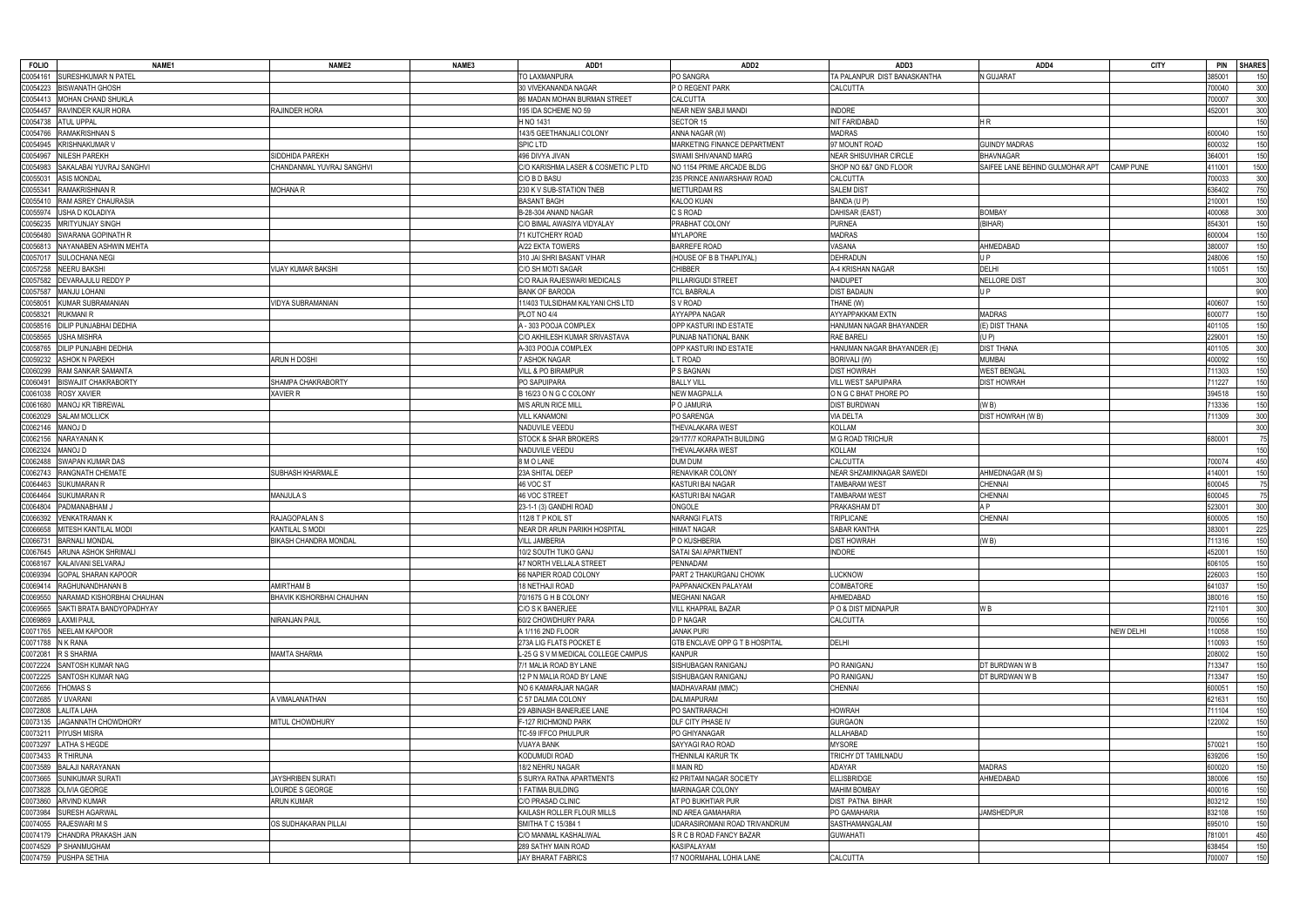| <b>FOLIO</b>         | NAME1                            | NAME <sub>2</sub>         | NAME3 | ADD1                                         | ADD <sub>2</sub>                                    | ADD3                                             | ADD4                            | <b>CITY</b>      | <b>PIN</b><br><b>SHARES</b> |            |
|----------------------|----------------------------------|---------------------------|-------|----------------------------------------------|-----------------------------------------------------|--------------------------------------------------|---------------------------------|------------------|-----------------------------|------------|
| C0054161             | <b>SURESHKUMAR N PATEL</b>       |                           |       | TO LAXMANPURA                                | PO SANGRA                                           | TA PALANPUR DIST BANASKANTHA                     | <b>J GUJARAT</b>                |                  | 85001                       | 150        |
| C0054223             | <b>BISWANATH GHOSH</b>           |                           |       | 30 VIVEKANANDA NAGAR                         | P O REGENT PARK                                     | CALCUTTA                                         |                                 |                  | 700040                      | 300        |
| C0054413             | MOHAN CHAND SHUKLA               |                           |       | 86 MADAN MOHAN BURMAN STREET                 | CALCUTTA                                            |                                                  |                                 |                  | 700007                      | 300        |
| C0054457             | <b>RAVINDER KAUR HORA</b>        | RAJINDER HORA             |       | 195 IDA SCHEME NO 59                         | NEAR NEW SABJI MANDI                                | <b>INDORE</b>                                    |                                 |                  | 152001                      | 300        |
| C0054738             | <b>ATUL UPPAL</b>                |                           |       | H NO 1431                                    | SECTOR 15                                           | NIT FARIDABAD                                    | HR.                             |                  |                             | 150        |
| C0054766             | RAMAKRISHNAN S                   |                           |       | 143/5 GEETHANJALI COLONY                     | ANNA NAGAR (W)                                      | <b>MADRAS</b>                                    |                                 |                  | 600040                      | 150        |
| C0054945             | KRISHNAKUMAR V                   |                           |       | <b>SPIC LTD</b>                              | MARKETING FINANCE DEPARTMENT                        | 97 MOUNT ROAD                                    | <b>GUINDY MADRAS</b>            |                  | 600032                      | 150        |
| C0054967             | NILESH PAREKH                    | SIDDHIDA PAREKH           |       | 496 DIVYA JIVAN                              | SWAMI SHIVANAND MARG                                | NEAR SHISUVIHAR CIRCLE                           | <b>BHAVNAGAR</b>                |                  | 364001                      | 150        |
| C0054983             | SAKALABAI YUVRAJ SANGHVI         | CHANDANMAL YUVRAJ SANGHVI |       | C/O KARISHMA LASER & COSMETIC P LTD          | NO 1154 PRIME ARCADE BLDG                           | SHOP NO 6&7 GND FLOOR                            | SAIFEE LANE BEHIND GULMOHAR APT | <b>CAMP PUNE</b> | 111001                      | 1500       |
| C0055031             | <b>ASIS MONDAL</b>               |                           |       | C/O B D BASU                                 | 235 PRINCE ANWARSHAW ROAD                           | CALCUTTA                                         |                                 |                  | 700033                      | 300        |
| C0055341             | <b>RAMAKRISHNAN R</b>            | <b>MOHANA R</b>           |       | 230 K V SUB-STATION TNEB                     | METTURDAM RS                                        | <b>SALEM DIST</b>                                |                                 |                  | 636402                      | 750        |
| C0055410             | <b>RAM ASREY CHAURASIA</b>       |                           |       | <b>BASANT BAGH</b>                           | KALOO KUAN                                          | BANDA (U P)                                      |                                 |                  | 210001                      | 150        |
| C0055974             | USHA D KOLADIYA                  |                           |       | B-28-304 ANAND NAGAR                         | C S ROAD                                            | DAHISAR (EAST)                                   | <b>BOMBAY</b>                   |                  | 400068                      | 300        |
| C0056235             | MRITYUNJAY SINGH                 |                           |       | C/O BIMAL AWASIYA VIDYALAY                   | PRABHAT COLONY                                      | PURNEA                                           | (BIHAR)                         |                  | 854301                      | 150        |
| C0056480             | SWARANA GOPINATH R               |                           |       | 71 KUTCHERY ROAD                             | <b>MYLAPORE</b>                                     | <b>MADRAS</b>                                    |                                 |                  | 600004                      | 150        |
| C0056813             | NAYANABEN ASHWIN MEHTA           |                           |       | A/22 EKTA TOWERS                             | <b>BARREFE ROAD</b>                                 | VASANA                                           | AHMEDABAD                       |                  | 380007                      | 150        |
| C0057017             | <b>SULOCHANA NEGI</b>            |                           |       | 310 JAI SHRI BASANT VIHAR                    | (HOUSE OF B B THAPLIYAL)                            | DEHRADUN                                         | J P                             |                  | 248006                      | 150        |
| C0057258             | NEERU BAKSHI                     | VIJAY KUMAR BAKSHI        |       | C/O SH MOTI SAGAR                            | CHIBBER                                             | A-4 KRISHAN NAGAR                                | <b>DELHI</b>                    |                  | 10051                       | 150        |
| C0057582             | DEVARAJULU REDDY P               |                           |       | C/O RAJA RAJESWARI MEDICALS                  | PILLARIGUDI STREET                                  | NAIDUPET                                         | NELLORE DIST                    |                  |                             | 300        |
| C0057587             | MANJU LOHANI                     |                           |       | <b>BANK OF BARODA</b>                        | <b>TCL BABRALA</b>                                  | <b>DIST BADAUN</b>                               | J P                             |                  |                             | 900        |
| C0058051             | KUMAR SUBRAMANIAN                | VIDYA SUBRAMANIAN         |       | 11/403 TULSIDHAM KALYANI CHS LTD             | S V ROAD                                            | THANE (W)                                        |                                 |                  | 400607                      | 150        |
| C0058321             | RUKMANI R                        |                           |       | PLOT NO 4/4                                  | AYYAPPA NAGAR                                       | AYYAPPAKKAM EXTN                                 | <b>MADRAS</b>                   |                  | 600077                      | 150        |
| C0058516             | DILIP PUNJABHAI DEDHIA           |                           |       | A - 303 POOJA COMPLEX                        | OPP KASTURI IND ESTATE                              | HANUMAN NAGAR BHAYANDER                          | (E) DIST THANA                  |                  | 401105                      | 150        |
| C0058565             | JSHA MISHRA                      |                           |       | C/O AKHILESH KUMAR SRIVASTAVA                | PUNJAB NATIONAL BANK                                | RAE BARELI                                       | (UP)                            |                  | 229001                      | 150        |
| C0058765             | ILIP PUNJABHI DEDHIA             |                           |       | A-303 POOJA COMPLEX                          | OPP KASTURI IND ESTATE                              | HANUMAN NAGAR BHAYANDER (E)                      | DIST THANA                      |                  | 401105                      | 300        |
| C0059232             | <b>ASHOK N PAREKH</b>            | ARUN H DOSHI              |       | 7 ASHOK NAGAR                                | T ROAD                                              | <b>BORIVALI (W)</b>                              | <b>MUMBAI</b>                   |                  | 400092                      | 150        |
| C0060299             | RAM SANKAR SAMANTA               |                           |       | <b>VILL &amp; PO BIRAMPUR</b>                | P S BAGNAN                                          | <b>DIST HOWRAH</b>                               | <b>WEST BENGAL</b>              |                  | 711303                      | 150        |
| C0060491             | <b>BISWAJIT CHAKRABORTY</b>      | SHAMPA CHAKRABORTY        |       | PO SAPUIPARA                                 | <b>BALLY VILL</b>                                   | <b>VILL WEST SAPUIPARA</b>                       | <b>DIST HOWRAH</b>              |                  | 11227                       | 150        |
| C0061038             | <b>ROSY XAVIER</b>               | <b>XAVIER R</b>           |       | B 16/23 O N G C COLONY                       | <b>NEW MAGPALLA</b>                                 | O N G C BHAT PHORE PO                            |                                 |                  | 394518                      | 150        |
| C0061680             | MANOJ KR TIBREWAL                |                           |       | <b>M/S ARUN RICE MILL</b>                    | P O JAMURIA                                         | <b>DIST BURDWAN</b>                              | (W B)                           |                  | 13336                       | 150        |
| C0062029             | <b>SALAM MOLLICK</b>             |                           |       | <b>VILL KANAMONI</b>                         | PO SARENGA                                          | <b>VIA DELTA</b>                                 | DIST HOWRAH (W B)               |                  | 11309                       | 300        |
| C0062146             | a loman                          |                           |       | NADUVILE VEEDU                               | THEVALAKARA WEST                                    | KOLLAM                                           |                                 |                  |                             | 300        |
| C0062156             | NARAYANAN K                      |                           |       | STOCK & SHAR BROKERS                         | 29/177/7 KORAPATH BUILDING                          | M G ROAD TRICHUR                                 |                                 |                  | 680001                      | 75         |
| C0062324             | MANOJ D                          |                           |       | NADUVILE VEEDU                               | <b>THEVALAKARA WEST</b>                             | <b>KOLLAM</b>                                    |                                 |                  |                             |            |
| C0062488             |                                  |                           |       |                                              |                                                     | <b>CALCUTTA</b>                                  |                                 |                  |                             | 150        |
|                      | SWAPAN KUMAR DAS                 | SUBHASH KHARMALE          |       | 8 M O LANE                                   | DUM DUM                                             |                                                  |                                 |                  | 700074                      | 450        |
| C0062743             | RANGNATH CHEMATE                 |                           |       | 23A SHITAL DEEP<br>46 VOC ST                 | RENAVIKAR COLONY                                    | NEAR SHZAMIKNAGAR SAWEDI<br><b>TAMBARAM WEST</b> | AHMEDNAGAR (M S)                |                  | 114001                      | 150        |
| 0064463<br>C0064464  | SUKUMARAN R                      |                           |       | 46 VOC STREET                                | KASTURI BAI NAGAR                                   |                                                  | CHENNAI                         |                  | 600045<br>600045            | 75         |
|                      | <b>SUKUMARAN R</b>               | <b>MANJULA S</b>          |       |                                              | KASTURI BAI NAGAR                                   | TAMBARAM WEST                                    | <b>CHENNAI</b><br>A P           |                  |                             | 75         |
| C0064804             | PADMANABHAM J                    | RAJAGOPALAN S             |       | 23-1-1 (3) GANDHI ROAD                       | ONGOLE                                              | PRAKASHAM DT                                     |                                 |                  | 523001                      | 300        |
| C0066392             | VENKATRAMAN K                    |                           |       | 112/8 T P KOIL ST                            | <b>NARANGI FLATS</b>                                | TRIPLICANE                                       | <b>CHENNAI</b>                  |                  | 600005                      | 150        |
| C0066658             | MITESH KANTILAL MODI             | <b>KANTILAL S MODI</b>    |       | NEAR DR ARUN PARIKH HOSPITAL                 | <b>HIMAT NAGAR</b>                                  | SABAR KANTHA                                     |                                 |                  | 383001                      | 225        |
| C0066731             | <b>BARNALI MONDAL</b>            | BIKASH CHANDRA MONDAL     |       | VILL JAMBERIA                                | P O KUSHBERIA                                       | DIST HOWRAH                                      | (W B)                           |                  | 11316                       | 150        |
|                      | C0067645 ARUNA ASHOK SHRIMALI    |                           |       | 10/2 SOUTH TUKO GANJ                         | SATAI SAI APARTMENT                                 | <b>INDORE</b>                                    |                                 |                  | 452001                      |            |
|                      | C0068167 KALAIVANI SELVARAJ      |                           |       | 47 NORTH VELLALA STREET                      | PENNADAM                                            |                                                  |                                 |                  | 606105                      | 150        |
|                      | C0069394 GOPAL SHARAN KAPOOR     |                           |       | 66 NAPIER ROAD COLONY                        | PART 2 THAKURGANJ CHOWK                             | <b>LUCKNOW</b>                                   |                                 |                  | 226003                      | 150        |
| C0069414             | RAGHUNANDHANAN B                 | <b>AMIRTHAM B</b>         |       | <b>18 NETHAJI ROAD</b>                       | PAPPANAICKEN PALAYAM                                | <b>COIMBATORE</b>                                |                                 |                  | 641037                      | 150        |
| C0069550             | NARAMAD KISHORBHAI CHAUHAN       | BHAVIK KISHORBHAI CHAUHAN |       | 70/1675 G H B COLONY<br>C/O S K BANERJEE     | MEGHANI NAGAR<br><b>VILL KHAPRAIL BAZAR</b>         | AHMEDABAD                                        |                                 |                  | 380016                      | 150        |
| C0069565             | SAKTI BRATA BANDYOPADHYAY        |                           |       |                                              |                                                     | PO & DIST MIDNAPUR                               | W B                             |                  | 721101                      | 300        |
| C0069869             | <b>LAXMI PAUL</b>                | NIRANJAN PAUL             |       | 60/2 CHOWDHURY PARA                          | <b>D P NAGAR</b>                                    | <b>CALCUTTA</b>                                  |                                 |                  | 700056                      | 150        |
| C0071765<br>C0071788 | <b>NEELAM KAPOOR</b><br>N K RANA |                           |       | A 1/116 2ND FLOOR<br>273A LIG FLATS POCKET E | <b>JANAK PURI</b><br>GTB ENCLAVE OPP G T B HOSPITAL | DELHI                                            |                                 | <b>NEW DELHI</b> | 110058<br>110093            | 150<br>150 |
|                      |                                  | <b>MAMTA SHARMA</b>       |       |                                              | <b>KANPUR</b>                                       |                                                  |                                 |                  |                             |            |
| C0072081             | R S SHARMA                       |                           |       | L-25 G S V M MEDICAL COLLEGE CAMPUS          |                                                     | PO RANIGANJ                                      | DT BURDWAN W B                  |                  | 208002                      | 150        |
| C0072224             | SANTOSH KUMAR NAG                |                           |       | 7/1 MALIA ROAD BY LANE                       | SISHUBAGAN RANIGANJ                                 |                                                  |                                 |                  | 713347                      | 150<br>150 |
| C0072225             | SANTOSH KUMAR NAG                |                           |       | 12 P N MALIA ROAD BY LANE                    | SISHUBAGAN RANIGANJ                                 | PO RANIGANJ                                      | DT BURDWAN W B                  |                  | 713347                      |            |
| C0072656             | <b>THOMAS S</b>                  |                           |       | NO 6 KAMARAJAR NAGAR                         | MADHAVARAM (MMC)                                    | CHENNAI                                          |                                 |                  | 600051                      | 150        |
| C0072685             | V UVARANI                        | A VIMALANATHAN            |       | C 57 DALMIA COLONY                           | <b>DALMIAPURAM</b>                                  |                                                  |                                 |                  | 621631                      | 150        |
| C0072808             | ALITA LAHA                       |                           |       | 29 ABINASH BANERJEE LANE                     | PO SANTRARACHI                                      | <b>HOWRAH</b>                                    |                                 |                  | 11104                       | 150        |
| C0073135             | JAGANNATH CHOWDHORY              | MITUL CHOWDHURY           |       | F-127 RICHMOND PARK                          | DLF CITY PHASE IV                                   | <b>GURGAON</b>                                   |                                 |                  | 122002                      | 150        |
| C0073211             | <b>PIYUSH MISRA</b>              |                           |       | TC-59 IFFCO PHULPUR                          | PO GHIYANAGAR                                       | ALLAHABAD                                        |                                 |                  |                             | 150        |
| C0073297             | LATHA S HEGDE                    |                           |       | <b>VIJAYA BANK</b>                           | SAYYAGI RAO ROAD                                    | <b>MYSORE</b>                                    |                                 |                  | 570021                      | 150        |
| C0073433             | R THIRUNA                        |                           |       | KODUMUDI ROAD                                | THENNILAI KARUR TK                                  | TRICHY DT TAMILNADU                              |                                 |                  | 639206                      | 150        |
| C0073589             | <b>BALAJI NARAYANAN</b>          |                           |       | 18/2 NEHRU NAGAR                             | II MAIN RD                                          | ADAYAR                                           | MADRAS                          |                  | 600020                      | 150        |
| C0073665             | <b>SUNIKUMAR SURATI</b>          | <b>JAYSHRIBEN SURATI</b>  |       | 5 SURYA RATNA APARTMENTS                     | 62 PRITAM NAGAR SOCIETY                             | <b>ELLISBRIDGE</b>                               | AHMEDABAD                       |                  | 380006                      | 150        |
| C0073828             | OLIVIA GEORGE                    | LOURDE S GEORGE           |       | 1 FATIMA BUILDING                            | <b>MARINAGAR COLONY</b>                             | <b>MAHIM BOMBAY</b>                              |                                 |                  | 400016                      | 150        |
| C0073860             | <b>ARVIND KUMAR</b>              | <b>ARUN KUMAR</b>         |       | C/O PRASAD CLINIC                            | AT PO BUKHTIAR PUR                                  | DIST PATNA BIHAR                                 |                                 |                  | 803212                      | 150        |
| C0073984             | <b>SURESH AGARWAL</b>            |                           |       | KAILASH ROLLER FLOUR MILLS                   | IND AREA GAMAHARIA                                  | PO GAMAHARIA                                     | <b>JAMSHEDPUR</b>               |                  | 832108                      | 150        |
| C0074055             | <b>RAJESWARI M S</b>             | OS SUDHAKARAN PILLAI      |       | SMITHA T C 15/384 1                          | UDARASIROMANI ROAD TRIVANDRUM                       | SASTHAMANGALAM                                   |                                 |                  | 695010                      | 150        |
| C0074179             | CHANDRA PRAKASH JAIN             |                           |       | C/O MANMAL KASHALIWAL                        | S R C B ROAD FANCY BAZAR                            | <b>GUWAHATI</b>                                  |                                 |                  | 781001                      | 450        |
|                      | C0074529 P SHANMUGHAM            |                           |       | 289 SATHY MAIN ROAD                          | KASIPALAYAM                                         |                                                  |                                 |                  | 638454                      | 150        |
|                      | C0074759 PUSHPA SETHIA           |                           |       | <b>JAY BHARAT FABRICS</b>                    | 17 NOORMAHAL LOHIA LANE                             | <b>CALCUTTA</b>                                  |                                 |                  | 700007                      | 150        |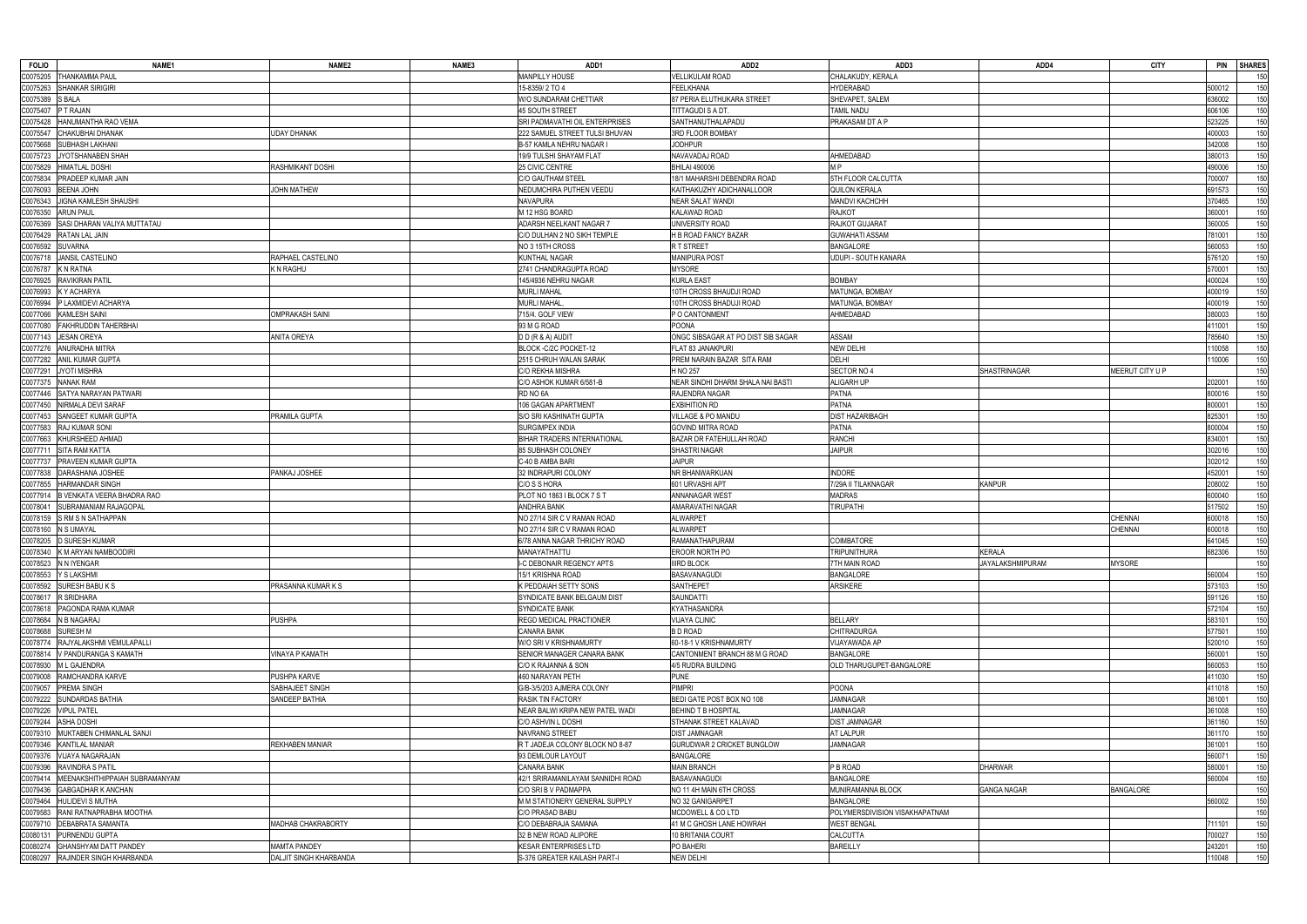| <b>FOLIO</b>       | NAME1                                        | NAME <sub>2</sub>      | NAME3 | ADD1                                           | ADD <sub>2</sub>                         | ADD3                             | ADD4                    | <b>CITY</b>      | PIN SHARES |            |
|--------------------|----------------------------------------------|------------------------|-------|------------------------------------------------|------------------------------------------|----------------------------------|-------------------------|------------------|------------|------------|
|                    | C0075205 THANKAMMA PAUL                      |                        |       | MANPILLY HOUSE                                 | <b>VELLIKULAM ROAD</b>                   | CHALAKUDY, KERALA                |                         |                  |            | 150        |
|                    | C0075263 SHANKAR SIRIGIRI                    |                        |       | 15-8359/2 TO 4                                 | FEELKHANA                                | <b>HYDERABAD</b>                 |                         |                  | 500012     | 150        |
| C0075389 S BALA    |                                              |                        |       | W/O SUNDARAM CHETTIAR                          | 87 PERIA ELUTHUKARA STREET               | SHEVAPET, SALEM                  |                         |                  | 636002     | 150        |
| C0075407 P T RAJAN |                                              |                        |       | <b>45 SOUTH STREET</b>                         | TITTAGUDI S A DT                         | TAMIL NADU                       |                         |                  | 606106     | 150        |
|                    | C0075428 HANUMANTHA RAO VEMA                 |                        |       | SRI PADMAVATHI OIL ENTERPRISES                 | SANTHANUTHALAPADU                        | PRAKASAM DT A P                  |                         |                  | 523225     | 150        |
|                    | C0075547 CHAKUBHAI DHANAK                    | <b>JDAY DHANAK</b>     |       | 222 SAMUEL STREET TULSI BHUVAN                 | 3RD FLOOR BOMBAY                         |                                  |                         |                  | 400003     | 150        |
| C0075668           | <b>SUBHASH LAKHANI</b>                       |                        |       | B-57 KAMLA NEHRU NAGAR I                       | <b>JODHPUR</b>                           |                                  |                         |                  | 342008     | 150        |
| C0075723           | JYOTSHANABEN SHAH                            |                        |       | 19/9 TULSHI SHAYAM FLAT                        | NAVAVADAJ ROAD                           | AHMEDABAD                        |                         |                  | 380013     | 150        |
|                    | C0075829 HIMATLAL DOSHI                      | RASHMIKANT DOSHI       |       | 25 CIVIC CENTRE                                | <b>BHILAI 490006</b>                     | M <sub>P</sub>                   |                         |                  | 490006     | 150        |
| C0075834           | <b>PRADEEP KUMAR JAIN</b>                    |                        |       | <b>C/O GAUTHAM STEEL</b>                       | 18/1 MAHARSHI DEBENDRA ROAD              | 5TH FLOOR CALCUTTA               |                         |                  | 700007     | 150        |
|                    | C0076093 BEENA JOHN                          | <b>JOHN MATHEW</b>     |       | NEDUMCHIRA PUTHEN VEEDU                        | KAITHAKUZHY ADICHANALLOOR                | <b>QUILON KERALA</b>             |                         |                  | 691573     | 150        |
|                    | C0076343 JIGNA KAMLESH SHAUSHI               |                        |       | <b>NAVAPURA</b>                                | <b>NEAR SALAT WANDI</b>                  | MANDVI KACHCHH                   |                         |                  | 370465     | 150        |
| C0076350           | <b>ARUN PAUL</b>                             |                        |       | M 12 HSG BOARD                                 | <b>KALAWAD ROAD</b>                      | <b>RAJKOT</b>                    |                         |                  | 360001     | 150        |
| C0076369           | SASI DHARAN VALIYA MUTTATAU                  |                        |       | ADARSH NEELKANT NAGAR 7                        | UNIVERSITY ROAD                          | RAJKOT GUJARAT                   |                         |                  | 360005     | 150        |
|                    | C0076429 RATAN LAL JAIN                      |                        |       | C/O DULHAN 2 NO SIKH TEMPLE                    | H B ROAD FANCY BAZAR                     | <b>GUWAHATI ASSAM</b>            |                         |                  | 781001     | 150        |
|                    | C0076592 SUVARNA                             |                        |       | NO 3 15TH CROSS                                | R T STREET                               | <b>BANGALORE</b>                 |                         |                  | 560053     | 150        |
| C0076718           | JANSIL CASTELINO                             | RAPHAEL CASTELINO      |       | <b>KUNTHAL NAGAR</b>                           | <b>MANIPURA POST</b>                     | UDUPI - SOUTH KANARA             |                         |                  | 576120     | 150        |
|                    | C0076787 K N RATNA                           | K N RAGHU              |       | 2741 CHANDRAGUPTA ROAD                         | <b>MYSORE</b>                            |                                  |                         |                  | 570001     | 150        |
|                    | C0076925 RAVIKIRAN PATIL                     |                        |       | 145/4936 NEHRU NAGAR                           | <b>KURLA EAST</b>                        | <b>BOMBAY</b>                    |                         |                  | 400024     | 150        |
|                    | C0076993 KY ACHARYA                          |                        |       | <b>MURLI MAHAL</b>                             | 10TH CROSS BHAUDJI ROAD                  | MATUNGA, BOMBAY                  |                         |                  | 400019     | 150        |
|                    | C0076994 P LAXMIDEVI ACHARYA                 |                        |       | <b>MURLI MAHAL</b>                             | 10TH CROSS BHADUJI ROAD                  | MATUNGA, BOMBAY                  |                         |                  | 400019     | 150        |
|                    | C0077066 KAMLESH SAINI                       | <b>OMPRAKASH SAINI</b> |       | 715/4. GOLF VIEW                               | P O CANTONMENT                           | AHMEDABAD                        |                         |                  | 380003     | 150        |
| C0077080           | <b>FAKHRUDDIN TAHERBHAI</b>                  |                        |       | 93 M G ROAD                                    | <b>POONA</b>                             |                                  |                         |                  | 11001      | 150        |
|                    | C0077143 JESAN OREYA                         | <b>ANITA OREYA</b>     |       | D D (R & A) AUDIT                              | ONGC SIBSAGAR AT PO DIST SIB SAGAR       | <b>ASSAM</b>                     |                         |                  | 785640     | 150        |
|                    | C0077276 ANURADHA MITRA                      |                        |       | BLOCK -C/2C POCKET-12                          | FLAT 83 JANAKPURI                        | <b>NEW DELHI</b>                 |                         |                  | 10058      | 150        |
|                    | C0077282 ANIL KUMAR GUPTA                    |                        |       | 2515 CHRUH WALAN SARAK                         | PREM NARAIN BAZAR SITA RAM               | DELHI                            |                         |                  | 10006      | 150        |
| C0077291           | <b>JYOTI MISHRA</b>                          |                        |       | C/O REKHA MISHRA                               | H NO 257                                 | SECTOR NO 4                      | <b>SHASTRINAGAR</b>     | MEERUT CITY U P  |            | 150        |
| C0077375           | <b>NANAK RAM</b>                             |                        |       | C/O ASHOK KUMAR 6/581-B                        | NEAR SINDHI DHARM SHALA NAI BASTI        | <b>ALIGARH UP</b>                |                         |                  | 202001     | 150        |
| C0077446           | SATYA NARAYAN PATWARI                        |                        |       | RD NO 6A                                       | RAJENDRA NAGAR                           | <b>PATNA</b>                     |                         |                  | 800016     | 150        |
|                    | C0077450 NIRMALA DEVI SARAF                  |                        |       | 106 GAGAN APARTMENT                            | <b>EXBIHITION RD</b>                     | <b>PATNA</b>                     |                         |                  | 300001     | 150        |
|                    | C0077453 SANGEET KUMAR GUPTA                 | PRAMILA GUPTA          |       | S/O SRI KASHINATH GUPTA                        | <b>VILLAGE &amp; PO MANDU</b>            | <b>DIST HAZARIBAGH</b>           |                         |                  | 825301     | 150        |
|                    | C0077583 RAJ KUMAR SONI                      |                        |       | <b>SURGIMPEX INDIA</b>                         | GOVIND MITRA ROAD                        | <b>PATNA</b>                     |                         |                  | 800004     | 150        |
| C0077663           | KHURSHEED AHMAD                              |                        |       | <b>BIHAR TRADERS INTERNATIONAL</b>             | BAZAR DR FATEHULLAH ROAD                 | <b>RANCHI</b>                    |                         |                  | 834001     | 150        |
|                    | C0077711 SITA RAM KATTA                      |                        |       | 85 SUBHASH COLONEY                             | SHASTRI NAGAR                            | <b>JAIPUR</b>                    |                         |                  | 302016     | 150        |
| C0077737           | <b>PRAVEEN KUMAR GUPTA</b>                   |                        |       | C-40 B AMBA BARI                               | <b>JAIPUR</b>                            |                                  |                         |                  | 302012     | 150        |
|                    | C0077838 DARASHANA JOSHEE                    | PANKAJ JOSHEE          |       | 32 INDRAPURI COLONY                            | NR BHANWARKUAN                           | <b>INDORE</b>                    |                         |                  | 452001     | 150        |
|                    | C0077855 HARMANDAR SINGH                     |                        |       | C/O S S HORA                                   | 601 URVASHI APT                          | 7/29A II TILAKNAGAR              | <b>KANPUR</b>           |                  | 208002     | 150        |
| C0077914           | B VENKATA VEERA BHADRA RAO                   |                        |       | PLOT NO 1863 I BLOCK 7 S T                     | <b>ANNANAGAR WEST</b>                    | <b>MADRAS</b>                    |                         |                  | 600040     | 150        |
| C0078041           | SUBRAMANIAM RAJAGOPAL                        |                        |       | <b>ANDHRA BANK</b>                             | AMARAVATHI NAGAR                         | <b>TIRUPATHI</b>                 |                         |                  | 517502     | 150        |
|                    | C0078159 S RM S N SATHAPPAN                  |                        |       | NO 27/14 SIR C V RAMAN ROAD                    | <b>ALWARPET</b>                          |                                  |                         | <b>CHENNAI</b>   | 600018     | 150        |
| C0078160           | N S UMAYAL                                   |                        |       | NO 27/14 SIR C V RAMAN ROAD                    | <b>ALWARPET</b>                          |                                  |                         | <b>CHENNAI</b>   | 600018     | 150        |
|                    | C0078205 D SURESH KUMAR                      |                        |       | 6/78 ANNA NAGAR THRICHY ROAD                   | RAMANATHAPURAM                           | COIMBATORE                       |                         |                  | 641045     | 150        |
|                    | C0078340 K M ARYAN NAMBOODIRI                |                        |       | MANAYATHATTU                                   | <b>EROOR NORTH PO</b>                    | tripunithura                     | KERALA                  |                  | 682306     | 150        |
|                    | C0078523 N N IYENGAR<br>C0078553 Y S LAKSHMI |                        |       | I-C DEBONAIR REGENCY APTS<br>15/1 KRISHNA ROAD | <b>IIIRD BLOCK</b><br><b>BASAVANAGUD</b> | TH MAIN ROAD<br><b>BANGALORE</b> | <b>JAYALAKSHMIPURAM</b> | <b>MYSORE</b>    | 560004     |            |
|                    | C0078592 SURESH BABU K S                     | PRASANNA KUMAR K S     |       | K PEDDAIAH SETTY SONS                          | SANTHEPET                                | <b>ARSIKERE</b>                  |                         |                  | 573103     | 150<br>150 |
|                    | C0078617 R SRIDHARA                          |                        |       | SYNDICATE BANK BELGAUM DIST                    | SAUNDATTI                                |                                  |                         |                  | 591126     | 150        |
|                    | C0078618 PAGONDA RAMA KUMAR                  |                        |       | SYNDICATE BANK                                 | <b>KYATHASANDRA</b>                      |                                  |                         |                  | 572104     | 150        |
|                    | C0078684 N B NAGARAJ                         | <b>PUSHPA</b>          |       | <b>REGD MEDICAL PRACTIONER</b>                 | <b>VIJAYA CLINIC</b>                     | <b>BELLARY</b>                   |                         |                  | 583101     | 150        |
|                    | C0078688 SURESH M                            |                        |       | <b>CANARA BANK</b>                             | <b>BD ROAD</b>                           | <b>CHITRADURGA</b>               |                         |                  | 577501     | 150        |
|                    | C0078774 RAJYALAKSHMI VEMULAPALLI            |                        |       | W/O SRI V KRISHNAMURTY                         | 60-18-1 V KRISHNAMURTY                   | VIJAYAWADA AP                    |                         |                  | 520010     | 150        |
|                    | C0078814 V PANDURANGA S KAMATH               | <b>INAYA P KAMATH</b>  |       | SENIOR MANAGER CANARA BANK                     | CANTONMENT BRANCH 88 M G ROAD            | <b>BANGALORE</b>                 |                         |                  | 560001     | 150        |
|                    | C0078930 ML GAJENDRA                         |                        |       | C/O K RAJANNA & SON                            | 4/5 RUDRA BUILDING                       | OLD THARUGUPET-BANGALORE         |                         |                  | 560053     | 150        |
|                    | C0079008 RAMCHANDRA KARVE                    | PUSHPA KARVE           |       | 460 NARAYAN PETH                               | <b>PUNE</b>                              |                                  |                         |                  | 411030     | 150        |
|                    | C0079057 PREMA SINGH                         | SABHAJEET SINGH        |       | G/B-3/5/203 AJMERA COLONY                      | <b>PIMPRI</b>                            | <b>POONA</b>                     |                         |                  | 111018     | 150        |
|                    | C0079222 SUNDARDAS BATHIA                    | SANDEEP BATHIA         |       | <b>RASIK TIN FACTORY</b>                       | BEDI GATE POST BOX NO 108                | <b>JAMNAGAR</b>                  |                         |                  | 361001     | 150        |
|                    | C0079226 VIPUL PATEL                         |                        |       | NEAR BALWI KRIPA NEW PATEL WADI                | <b>BEHIND T B HOSPITAL</b>               | <b>JAMNAGAR</b>                  |                         |                  | 361008     | 150        |
|                    | C0079244 ASHA DOSHI                          |                        |       | C/O ASHVIN L DOSHI                             | STHANAK STREET KALAVAD                   | DIST JAMNAGAR                    |                         |                  | 361160     | 150        |
|                    | C0079310 MUKTABEN CHIMANLAL SANJI            |                        |       | <b>NAVRANG STREET</b>                          | <b>DIST JAMNAGAR</b>                     | <b>AT LALPUR</b>                 |                         |                  | 361170     | 150        |
|                    | C0079346 KANTILAL MANIAR                     | <b>REKHABEN MANIAR</b> |       | R T JADEJA COLONY BLOCK NO 8-87                | GURUDWAR 2 CRICKET BUNGLOW               | <b>JAMNAGAR</b>                  |                         |                  | 361001     | 150        |
|                    | C0079376 VIJAYA NAGARAJAN                    |                        |       | 93 DEMLOUR LAYOUT                              | BANGALORE                                |                                  |                         |                  | 560071     | 150        |
|                    | C0079396 RAVINDRA S PATIL                    |                        |       | <b>CANARA BANK</b>                             | <b>MAIN BRANCH</b>                       | P B ROAD                         | <b>DHARWAR</b>          |                  | 580001     | 150        |
|                    | C0079414 MEENAKSHITHIPPAIAH SUBRAMANYAM      |                        |       | 42/1 SRIRAMANILAYAM SANNIDHI ROAD              | <b>BASAVANAGUDI</b>                      | <b>BANGALORE</b>                 |                         |                  | 560004     | 150        |
|                    | C0079436 GABGADHAR K ANCHAN                  |                        |       | C/O SRI B V PADMAPPA                           | NO 11 4H MAIN 6TH CROSS                  | MUNIRAMANNA BLOCK                | <b>GANGA NAGAR</b>      | <b>BANGALORE</b> |            | 150        |
|                    | C0079464 HULIDEVI S MUTHA                    |                        |       | M M STATIONERY GENERAL SUPPLY                  | NO 32 GANIGARPET                         | <b>BANGALORE</b>                 |                         |                  | 560002     | 150        |
|                    | C0079583 RANI RATNAPRABHA MOOTHA             |                        |       | C/O PRASAD BABU                                | <b>MCDOWELL &amp; CO LTD</b>             | POLYMERSDIVISION VISAKHAPATNAM   |                         |                  |            | 150        |
|                    | C0079710 DEBABRATA SAMANTA                   | MADHAB CHAKRABORTY     |       | C/O DEBABRAJA SAMANA                           | 41 M C GHOSH LANE HOWRAH                 | <b>WEST BENGAL</b>               |                         |                  | 11101      | 150        |
|                    | C0080131 PURNENDU GUPTA                      |                        |       | 32 B NEW ROAD ALIPORE                          | 10 BRITANIA COURT                        | <b>CALCUTTA</b>                  |                         |                  | 700027     | 150        |
|                    | C0080274 GHANSHYAM DATT PANDEY               | MAMTA PANDEY           |       | KESAR ENTERPRISES LTD                          | PO BAHERI                                | <b>BAREILLY</b>                  |                         |                  | 243201     | 150        |
|                    | C0080297 RAJINDER SINGH KHARBANDA            | DALJIT SINGH KHARBANDA |       | S-376 GREATER KAILASH PART-I                   | <b>NEW DELHI</b>                         |                                  |                         |                  | 110048     | 150        |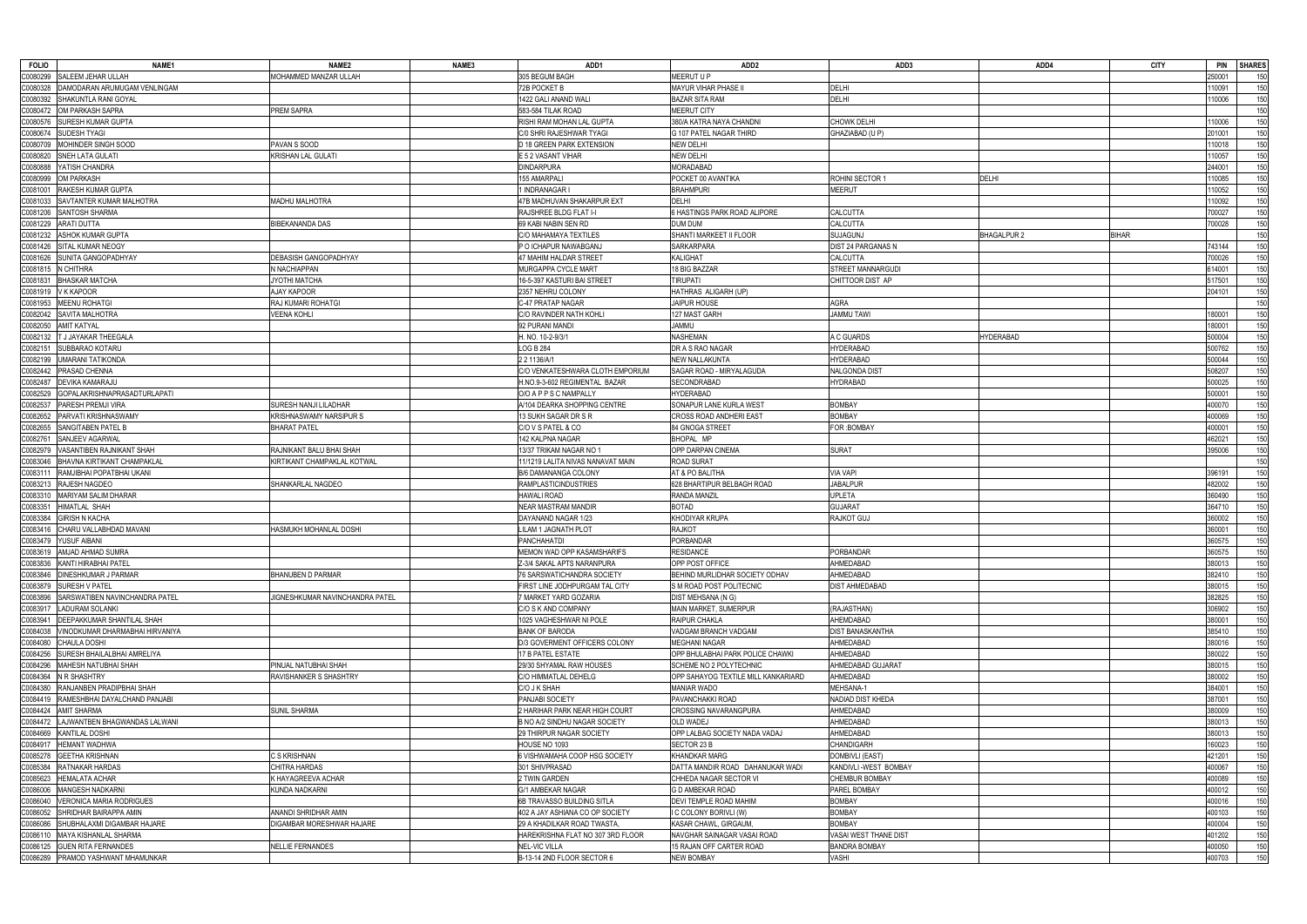| <b>FOLIO</b><br>NAME <sub>1</sub>               | NAME <sub>2</sub>               | NAME3 | ADD1                               | ADD2                                | ADD3                    | ADD4               | <b>CITY</b>  | <b>PIN</b><br><b>SHARES</b> |
|-------------------------------------------------|---------------------------------|-------|------------------------------------|-------------------------------------|-------------------------|--------------------|--------------|-----------------------------|
| SALEEM JEHAR ULLAH<br>0080299                   | MOHAMMED MANZAR ULLAH           |       | 305 BEGUM BAGH                     | MEERUT U P                          |                         |                    |              | :50001<br>150               |
| DAMODARAN ARUMUGAM VENLINGAM<br>0080328         |                                 |       | 72B POCKET B                       | MAYUR VIHAR PHASE II                | DELHI                   |                    |              | 10091<br>150                |
| C0080392<br>SHAKUNTLA RANI GOYAL                |                                 |       | 1422 GALI ANAND WALI               | <b>BAZAR SITA RAM</b>               | <b>DELHI</b>            |                    |              | 10006<br>150                |
| OM PARKASH SAPRA                                | <b>PREM SAPRA</b>               |       | 583-584 TILAK ROAD                 | <b>MEERUT CITY</b>                  |                         |                    |              | 150                         |
| C0080472                                        |                                 |       |                                    |                                     |                         |                    |              |                             |
| SURESH KUMAR GUPTA<br>00080576                  |                                 |       | RISHI RAM MOHAN LAL GUPTA          | 380/A KATRA NAYA CHANDNI            | <b>CHOWK DELHI</b>      |                    |              | 150<br>10006                |
| SUDESH TYAGI<br>C0080674                        |                                 |       | C/0 SHRI RAJESHWAR TYAGI           | G 107 PATEL NAGAR THIRD             | GHAZIABAD (U P)         |                    |              | 150<br>201001               |
| 20080709<br>MOHINDER SINGH SOOD                 | PAVAN S SOOD                    |       | D 18 GREEN PARK EXTENSION          | <b>NEW DELHI</b>                    |                         |                    |              | 150<br>10018                |
| SNEH LATA GULATI<br>00080820                    | <b>KRISHAN LAL GULATI</b>       |       | E 5 2 VASANT VIHAR                 | <b>NEW DELHI</b>                    |                         |                    |              | 150<br>10057                |
| YATISH CHANDRA<br>C0080888                      |                                 |       | <b>DINDARPURA</b>                  | MORADABAD                           |                         |                    |              | 244001<br>150               |
| OM PARKASH<br>0080999                           |                                 |       | 155 AMARPALI                       | POCKET 00 AVANTIKA                  | ROHINI SECTOR 1         | <b>DELHI</b>       |              | 10085<br>150                |
| C008100<br>RAKESH KUMAR GUPTA                   |                                 |       | 1 INDRANAGAR I                     | <b>BRAHMPURI</b>                    | <b>MEERUT</b>           |                    |              | 10052<br>150                |
| 00081033<br>SAVTANTER KUMAR MALHOTRA            | <b>MADHU MALHOTRA</b>           |       | 47B MADHUVAN SHAKARPUR EXT         | <b>DELHI</b>                        |                         |                    |              | 150<br>10092                |
| SANTOSH SHARMA<br>C0081206                      |                                 |       | RAJSHREE BLDG FLAT I-I             | 6 HASTINGS PARK ROAD ALIPORE        | <b>CALCUTTA</b>         |                    |              | 700027<br>150               |
| <b>ARATI DUTTA</b><br>C0081229                  | <b>BIBEKANANDA DAS</b>          |       | 69 KABI NABIN SEN RD               | <b>DUM DUM</b>                      | CALCUTTA                |                    |              | 150<br>700028               |
| ASHOK KUMAR GUPTA<br>C0081232                   |                                 |       | C/O MAHAMAYA TEXTILES              | SHANTI MARKEET II FLOOR             | <b>SUJAGUNJ</b>         | <b>BHAGALPUR 2</b> | <b>BIHAR</b> | 150                         |
| C0081426<br>SITAL KUMAR NEOGY                   |                                 |       | P O ICHAPUR NAWABGANJ              | <b>SARKARPARA</b>                   | DIST 24 PARGANAS N      |                    |              | '43144<br>150               |
| C0081626<br>SUNITA GANGOPADHYAY                 | DEBASISH GANGOPADHYAY           |       | 47 MAHIM HALDAR STREET             | <b>KALIGHAT</b>                     | <b>CALCUTTA</b>         |                    |              | 150<br>700026               |
| C0081815<br>N CHITHRA                           | N NACHIAPPAN                    |       | MURGAPPA CYCLE MART                | 18 BIG BAZZAR                       | STREET MANNARGUDI       |                    |              | 614001<br>150               |
| <b>BHASKAR MATCHA</b><br>C0081831               | JYOTHI MATCHA                   |       | 16-5-397 KASTURI BAI STREET        | <b>TIRUPATI</b>                     | CHITTOOR DIST AP        |                    |              | 150<br>517501               |
| V K KAPOOR                                      | AJAY KAPOOR                     |       | 2357 NEHRU COLONY                  | HATHRAS ALIGARH (UP)                |                         |                    |              | 150<br>204101               |
| C0081919                                        |                                 |       |                                    |                                     |                         |                    |              |                             |
| MEENU ROHATGI<br>C0081953                       | RAJ KUMARI ROHATGI              |       | C-47 PRATAP NAGAR                  | <b>JAIPUR HOUSE</b>                 | AGRA                    |                    |              | 150                         |
| SAVITA MALHOTRA<br>C0082042                     | VEENA KOHLI                     |       | C/O RAVINDER NATH KOHLI            | 127 MAST GARH                       | <b>JAMMU TAWI</b>       |                    |              | 150<br>180001               |
| <b>AMIT KATYAL</b><br>20082050                  |                                 |       | 92 PURANI MANDI                    | <b>UMMAL</b>                        |                         |                    |              | 150<br>80001                |
| C0082132<br><b>T J JAYAKAR THEEGALA</b>         |                                 |       | H. NO. 10-2-9/3/1                  | <b>NASHEMAN</b>                     | A C GUARDS              | <b>HYDERABAD</b>   |              | 150<br>500004               |
| SUBBARAO KOTARU<br>C0082151                     |                                 |       | <b>LOG B 284</b>                   | DR A S RAO NAGAR                    | <b>HYDERABAD</b>        |                    |              | 150<br>500762               |
| JMARANI TATIKONDA<br>C0082199                   |                                 |       | 2 2 1136/A/1                       | <b>NEW NALLAKUNTA</b>               | <b>HYDERABAD</b>        |                    |              | 150<br>500044               |
| PRASAD CHENNA<br>C0082442                       |                                 |       | C/O VENKATESHWARA CLOTH EMPORIUM   | SAGAR ROAD - MIRYALAGUDA            | <b>NALGONDA DIST</b>    |                    |              | 150<br>508207               |
| C0082487<br>DEVIKA KAMARAJU                     |                                 |       | H.NO.9-3-602 REGIMENTAL BAZAR      | SECONDRABAD                         | <b>HYDRABAD</b>         |                    |              | 500025<br>150               |
| <b>GOPALAKRISHNAPRASADTURLAPATI</b><br>C0082529 |                                 |       | O/O A P P S C NAMPALLY             | <b>HYDERABAD</b>                    |                         |                    |              | 500001<br>150               |
| PARESH PREMJI VIRA<br>0082537                   | SURESH NANJI LILADHAR           |       | A/104 DEARKA SHOPPING CENTRE       | SONAPUR LANE KURLA WEST             | <b>BOMBAY</b>           |                    |              | 150<br>400070               |
| C0082652<br>PARVATI KRISHNASWAMY                | KRISHNASWAMY NARSIPUR S         |       | 13 SUKH SAGAR DR S R               | <b>CROSS ROAD ANDHERI EAST</b>      | <b>BOMBAY</b>           |                    |              | 150<br>400069               |
| C0082655<br>SANGITABEN PATEL B                  | <b>BHARAT PATEL</b>             |       | C/O V S PATEL & CO                 | 84 GNOGA STREET                     | <b>FOR: BOMBAY</b>      |                    |              | 150<br>100001               |
| 0082761<br>SANJEEV AGARWAL                      |                                 |       | 142 KALPNA NAGAR                   | BHOPAL MP                           |                         |                    |              | 150<br>462021               |
| 0082979<br>VASANTIBEN RAJNIKANT SHAH            | RAJNIKANT BALU BHAI SHAH        |       | 13/37 TRIKAM NAGAR NO 1            | OPP DARPAN CINEMA                   | <b>SURAT</b>            |                    |              | 395006<br>150               |
| 0083046                                         |                                 |       |                                    |                                     |                         |                    |              | 150                         |
| BHAVNA KIRTIKANT CHAMPAKLAL                     | KIRTIKANT CHAMPAKLAL KOTWAL     |       | 11/1219 LALITA NIVAS NANAVAT MAIN  | <b>ROAD SURAT</b>                   |                         |                    |              |                             |
| RAMJIBHAI POPATBHAI UKANI<br>C0083111           |                                 |       | B/6 DAMANANGA COLONY               | AT & PO BALITHA                     | <b>VIA VAPI</b>         |                    |              | 150<br>396191               |
| 0083213<br>RAJESH NAGDEO                        | SHANKARLAL NAGDEO               |       | <b>RAMPLASTICINDUSTRIES</b>        | 628 BHARTIPUR BELBAGH ROAD          | <b>JABALPUR</b>         |                    |              | 150<br>482002               |
| MARIYAM SALIM DHARAR<br>00083310                |                                 |       | <b>HAWALI ROAD</b>                 | <b>RANDA MANZIL</b>                 | <b>UPLETA</b>           |                    |              | 360490<br>150               |
| C008335<br><b>IIMATLAL SHAH</b>                 |                                 |       | <b>NEAR MASTRAM MANDIR</b>         | <b>BOTAD</b>                        | <b>GUJARAT</b>          |                    |              | 150<br>364710               |
| C0083384<br>GIRISH N KACHA                      |                                 |       | DAYANAND NAGAR 1/23                | KHODIYAR KRUPA                      | <b>RAJKOT GUJ</b>       |                    |              | 150<br>360002               |
| 00083416<br>CHARU VALLABHDAD MAVANI             | HASMUKH MOHANLAL DOSHI          |       | <b>LILAM 1 JAGNATH PLOT</b>        | <b>RAJKOT</b>                       |                         |                    |              | 150<br>360001               |
| C0083479<br>YUSUF AIBANI                        |                                 |       | <b>PANCHAHATDI</b>                 | PORBANDAR                           |                         |                    |              | 150<br>360575               |
| C0083619   AMJAD AHMAD SUMRA                    |                                 |       | <b>IMEMON WAD OPP KASAMSHARIFS</b> | RESIDANCE                           | PORBANDAR               |                    |              | 360575                      |
| C0083836 KANTI HIRABHAI PATEL                   |                                 |       | Z-3/4 SAKAL APTS NARANPURA         | OPP POST OFFICE                     | AHMEDABAD               |                    |              | 150<br>380013               |
| <b>DINESHKUMAR J PARMAR</b><br>C0083846         | <b>BHANUBEN D PARMAR</b>        |       | 76 SARSWATICHANDRA SOCIETY         | BEHIND MURLIDHAR SOCIETY ODHAV      | AHMEDABAD               |                    |              | 382410<br>150               |
| C0083879<br>SURESH V PATEL                      |                                 |       | FIRST LINE JODHPURGAM TAL CITY     | S M ROAD POST POLITECNIC            | <b>DIST AHMEDABAD</b>   |                    |              | 380015<br>150               |
| SARSWATIBEN NAVINCHANDRA PATEL<br>C0083896      | JIGNESHKUMAR NAVINCHANDRA PATEL |       | MARKET YARD GOZARIA                | DIST MEHSANA (N G)                  |                         |                    |              | 382825<br>150               |
| 0083917<br><b>LADURAM SOLANKI</b>               |                                 |       | C/O S K AND COMPANY                | MAIN MARKET, SUMERPUR               | (RAJASTHAN)             |                    |              | 150<br>306902               |
| 0083941<br><b>DEEPAKKUMAR SHANTILAL SHAH</b>    |                                 |       | 1025 VAGHESHWAR NI POLE            | <b>RAIPUR CHAKLA</b>                | AHEMDABAD               |                    |              | 380001<br>150               |
| 20084038<br>VINODKUMAR DHARMABHAI HIRVANIYA     |                                 |       | <b>BANK OF BARODA</b>              | VADGAM BRANCH VADGAM                | <b>DIST BANASKANTHA</b> |                    |              | 385410<br>150               |
|                                                 |                                 |       |                                    |                                     | AHMEDABAD               |                    |              | 150                         |
| 0084080<br><b>CHAULA DOSHI</b>                  |                                 |       | D/3 GOVERMENT OFFICERS COLONY      | <b>MEGHANI NAGAR</b>                |                         |                    |              | 380016                      |
| SURESH BHAILALBHAI AMRELIYA<br>C0084256         |                                 |       | 17 B PATEL ESTATE                  | OPP BHULABHAI PARK POLICE CHAWKI    | AHMEDABAD               |                    |              | 380022<br>150               |
| C0084296<br>MAHESH NATUBHAI SHAH                | PINUAL NATUBHAI SHAH            |       | 29/30 SHYAMAL RAW HOUSES           | SCHEME NO 2 POLYTECHNIC             | AHMEDABAD GUJARAT       |                    |              | 380015<br>150               |
| C0084364 N R SHASHTRY                           | RAVISHANKER S SHASHTRY          |       | C/O HIMMATLAL DEHELG               | OPP SAHAYOG TEXTILE MILL KANKARIARD | AHMEDABAD               |                    |              | 150<br>380002               |
| 0084380<br>RANJANBEN PRADIPBHAI SHAH            |                                 |       | C/O J K SHAH                       | <b>MANIAR WADO</b>                  | MEHSANA-1               |                    |              | 150<br>384001               |
| RAMESHBHAI DAYALCHAND PANJABI<br>C0084419       |                                 |       | PANJABI SOCIETY                    | PAVANCHAKKI ROAD                    | NADIAD DIST KHEDA       |                    |              | 387001<br>150               |
| C0084424<br><b>AMIT SHARMA</b>                  | <b>SUNIL SHARMA</b>             |       | 2 HARIHAR PARK NEAR HIGH COURT     | <b>CROSSING NAVARANGPURA</b>        | AHMEDABAD               |                    |              | 150<br>380009               |
| LAJWANTBEN BHAGWANDAS LALWANI<br>C0084472       |                                 |       | B NO A/2 SINDHU NAGAR SOCIETY      | <b>OLD WADEJ</b>                    | AHMEDABAD               |                    |              | 150<br>380013               |
| <b>KANTILAL DOSHI</b><br>C0084669               |                                 |       | <b>29 THIRPUR NAGAR SOCIETY</b>    | OPP LALBAG SOCIETY NADA VADAJ       | AHMEDABAD               |                    |              | 150<br>380013               |
| C0084917<br><b>HEMANT WADHWA</b>                |                                 |       | HOUSE NO 1093                      | SECTOR 23 B                         | CHANDIGARH              |                    |              | 160023<br>150               |
| <b>GEETHA KRISHNAN</b><br>00085278              | C S KRISHNAN                    |       | 6 VISHWAMAHA COOP HSG SOCIETY      | KHANDKAR MARG                       | DOMBIVLI (EAST)         |                    |              | 421201<br>150               |
| 20085384<br>RATNAKAR HARDAS                     | <b>CHITRA HARDAS</b>            |       | 301 SHIVPRASAD                     | DATTA MANDIR ROAD DAHANUKAR WADI    | KANDIVLI-WEST BOMBAY    |                    |              | 400067<br>150               |
| <b>HEMALATA ACHAR</b><br>C0085623               | K HAYAGREEVA ACHAR              |       | 2 TWIN GARDEN                      | CHHEDA NAGAR SECTOR VI              | <b>CHEMBUR BOMBAY</b>   |                    |              | 400089<br>150               |
| <b>MANGESH NADKARNI</b><br>0086006              | <b>KUNDA NADKARNI</b>           |       | G/1 AMBEKAR NAGAR                  | <b>G D AMBEKAR ROAD</b>             | PAREL BOMBAY            |                    |              | 150<br>400012               |
| <b>VERONICA MARIA RODRIGUES</b><br>C0086040     |                                 |       | 6B TRAVASSO BUILDING SITLA         | <b>DEVI TEMPLE ROAD MAHIM</b>       | <b>BOMBAY</b>           |                    |              | 400016<br>150               |
|                                                 |                                 |       |                                    |                                     | <b>BOMBAY</b>           |                    |              | 400103<br>150               |
| SHRIDHAR BAIRAPPA AMIN<br>00086052              | ANANDI SHRIDHAR AMIN            |       | 402 A JAY ASHIANA CO OP SOCIETY    | I C COLONY BORIVLI (W)              |                         |                    |              |                             |
| SHUBHALAXMI DIGAMBAR HAJARE<br>0086086          | DIGAMBAR MORESHWAR HAJARE       |       | 29 A KHADILKAR ROAD TWASTA.        | KASAR CHAWL, GIRGAUM                | <b>BOMBAY</b>           |                    |              | 400004<br>150               |
| MAYA KISHANLAL SHARMA<br>C0086110               |                                 |       | HAREKRISHNA FLAT NO 307 3RD FLOOR  | NAVGHAR SAINAGAR VASAI ROAD         | VASAI WEST THANE DIST   |                    |              | 401202<br>150               |
| 00086125<br><b>GUEN RITA FERNANDES</b>          | <b>NELLIE FERNANDES</b>         |       | <b>NEL-VIC VILLA</b>               | 15 RAJAN OFF CARTER ROAD            | <b>BANDRA BOMBAY</b>    |                    |              | 150<br>100050               |
| C0086289 PRAMOD YASHWANT MHAMUNKAR              |                                 |       | B-13-14 2ND FLOOR SECTOR 6         | <b>NEW BOMBAY</b>                   | VASHI                   |                    |              | 400703<br>150               |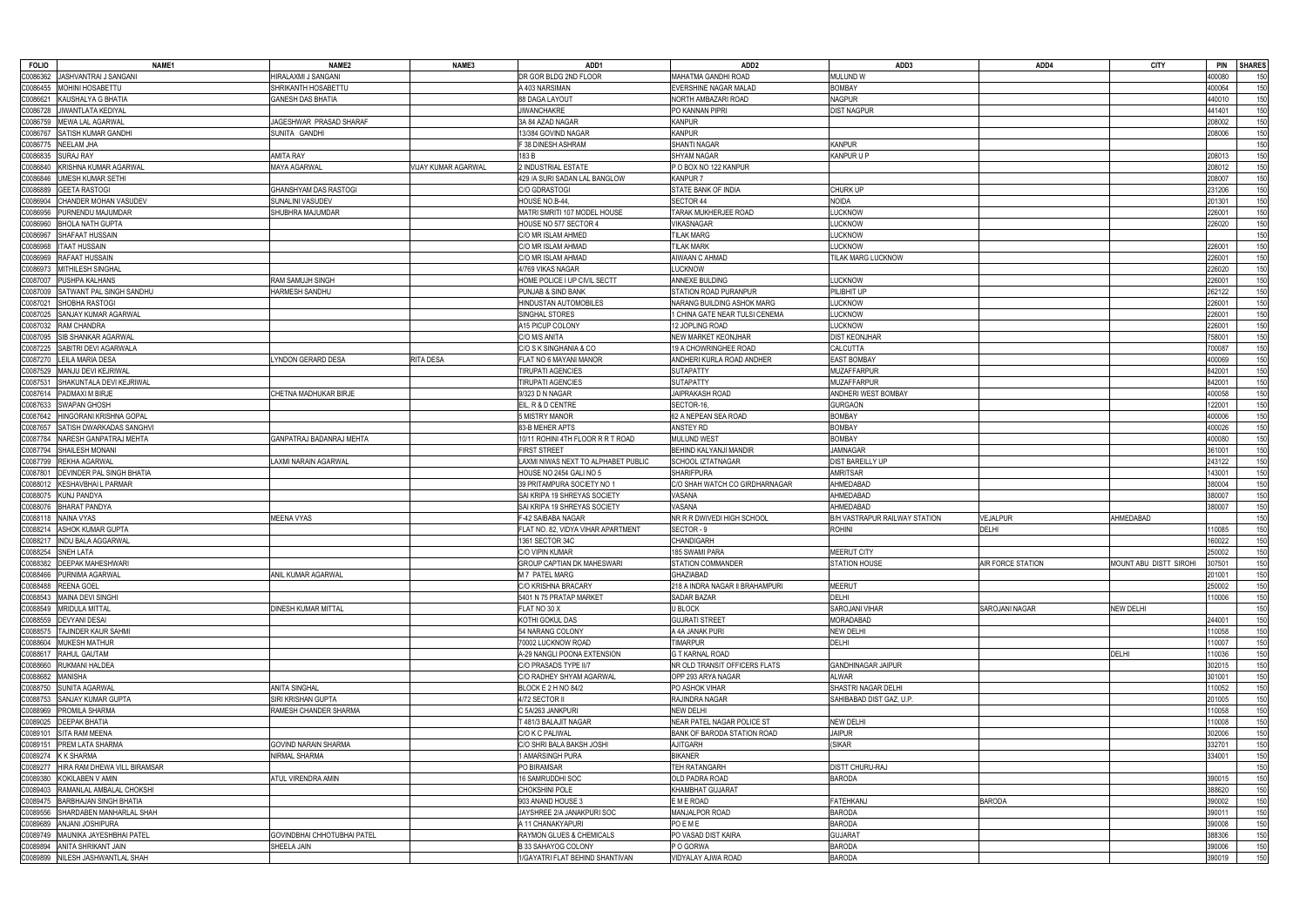| <b>FOLIO</b>         | NAME1                                                   | NAME <sub>2</sub>           | NAME3               | ADD1                                                   | ADD <sub>2</sub>                | ADD3                                 | ADD4              | <b>CITY</b>           | <b>PIN</b><br><b>SHARES</b>    |
|----------------------|---------------------------------------------------------|-----------------------------|---------------------|--------------------------------------------------------|---------------------------------|--------------------------------------|-------------------|-----------------------|--------------------------------|
| C0086362             | JASHVANTRAI J SANGANI                                   | HIRALAXMI J SANGANI         |                     | DR GOR BLDG 2ND FLOOR                                  | MAHATMA GANDHI ROAD             | <b>MULUND W</b>                      |                   |                       | 00080<br>150                   |
| C0086455             | MOHINI HOSABETTU                                        | SHRIKANTH HOSABETTU         |                     | A 403 NARSIMAN                                         | EVERSHINE NAGAR MALAD           | <b>BOMBAY</b>                        |                   |                       | 400064<br>150                  |
| C0086621             | KAUSHALYA G BHATIA                                      | GANESH DAS BHATIA           |                     | 88 DAGA LAYOUT                                         | NORTH AMBAZARI ROAD             | <b>NAGPUR</b>                        |                   |                       | 440010<br>150                  |
| C0086728             | <b>JIWANTLATA KEDIYAL</b>                               |                             |                     | <b>JIWANCHAKRE</b>                                     | PO KANNAN PIPRI                 | <b>DIST NAGPUR</b>                   |                   |                       | 150<br>441401                  |
| C0086759             | MEWA LAL AGARWAL                                        | JAGESHWAR PRASAD SHARAF     |                     | 3A 84 AZAD NAGAR                                       | <b>KANPUR</b>                   |                                      |                   |                       | 150<br>208002                  |
| C0086767             | SATISH KUMAR GANDHI                                     | SUNITA GANDHI               |                     | 13/384 GOVIND NAGAR                                    | <b>KANPUR</b>                   |                                      |                   |                       | 150<br>208006                  |
| C0086775             | <b>NEELAM JHA</b>                                       |                             |                     | F 38 DINESH ASHRAM                                     | SHANTI NAGAR                    | <b>KANPUR</b>                        |                   |                       | 150                            |
| C0086835             | <b>SURAJ RAY</b>                                        | AMITA RAY                   |                     | 183 B                                                  | <b>SHYAM NAGAR</b>              | <b>KANPUR U P</b>                    |                   |                       | 150<br>208013                  |
| C0086840             | KRISHNA KUMAR AGARWAL                                   | MAYA AGARWAL                | VIJAY KUMAR AGARWAL | 2 INDUSTRIAL ESTATE                                    | P O BOX NO 122 KANPUR           |                                      |                   |                       | 208012<br>150                  |
|                      |                                                         |                             |                     |                                                        |                                 |                                      |                   |                       |                                |
| C0086846             | <b>IMESH KUMAR SETHI</b>                                |                             |                     | 429 / A SURI SADAN LAL BANGLOW                         | <b>KANPUR7</b>                  |                                      |                   |                       | 150<br>208007                  |
| C0086889             | GEETA RASTOGI                                           | GHANSHYAM DAS RASTOGI       |                     | C/O GDRASTOGI                                          | STATE BANK OF INDIA             | <b>CHURK UP</b>                      |                   |                       | 231206<br>150                  |
| C0086904             | CHANDER MOHAN VASUDEV                                   | SUNALINI VASUDEV            |                     | HOUSE NO.B-44,                                         | SECTOR 44                       | <b>NOIDA</b>                         |                   |                       | 150<br>201301                  |
| C0086956             | PURNENDU MAJUMDAR                                       | SHUBHRA MAJUMDAR            |                     | MATRI SMRITI 107 MODEL HOUSE                           | TARAK MUKHERJEE ROAD            | LUCKNOW                              |                   |                       | 150<br>226001                  |
| C0086960             | <b>BHOLA NATH GUPTA</b>                                 |                             |                     | HOUSE NO 577 SECTOR 4                                  | VIKASNAGAR                      | LUCKNOW                              |                   |                       | 150<br>226020                  |
| C0086967             | SHAFAAT HUSSAIN                                         |                             |                     | C/O MR ISLAM AHMED                                     | <b>TILAK MARG</b>               | LUCKNOW                              |                   |                       | 150                            |
| C0086968             | <b>ITAAT HUSSAIN</b>                                    |                             |                     | C/O MR ISLAM AHMAD                                     | <b>TILAK MARK</b>               | <b>LUCKNOW</b>                       |                   |                       | 150<br>226001                  |
| C0086969             | RAFAAT HUSSAIN                                          |                             |                     | C/O MR ISLAM AHMAD                                     | AIWAAN C AHMAD                  | TILAK MARG LUCKNOW                   |                   |                       | 150<br>226001                  |
| C0086973             | <b>MITHILESH SINGHAL</b>                                |                             |                     | 4/769 VIKAS NAGAR                                      | LUCKNOW                         |                                      |                   |                       | 226020<br>150                  |
| C0087007             | PUSHPA KALHANS                                          | RAM SAMUJH SINGH            |                     | HOME POLICE I UP CIVIL SECTT                           | ANNEXE BULDING                  | LUCKNOW                              |                   |                       | 150<br>226001                  |
| C0087009             | SATWANT PAL SINGH SANDHU                                | HARMESH SANDHU              |                     | PUNJAB & SIND BANK                                     | STATION ROAD PURANPUR           | PILIBHIT UP                          |                   |                       | 262122<br>150                  |
| C0087021             | SHOBHA RASTOGI                                          |                             |                     | HINDUSTAN AUTOMOBILES                                  | NARANG BUILDING ASHOK MARG      | LUCKNOW                              |                   |                       | 150<br>226001                  |
| C0087025             | SANJAY KUMAR AGARWAL                                    |                             |                     | SINGHAL STORES                                         | I CHINA GATE NEAR TULSI CENEMA  | LUCKNOW                              |                   |                       | 150<br>226001                  |
| C0087032             | <b>RAM CHANDRA</b>                                      |                             |                     | A15 PICUP COLONY                                       | 12 JOPLING ROAD                 | LUCKNOW                              |                   |                       | 150<br>226001                  |
| C0087095             | SIB SHANKAR AGARWAL                                     |                             |                     | C/O M/S ANITA                                          | <b>NEW MARKET KEONJHAR</b>      | <b>DIST KEONJHAR</b>                 |                   |                       | 150<br>758001                  |
| C0087225             | SABITRI DEVI AGARWALA                                   |                             |                     | C/O S K SINGHANIA & CO                                 | 19 A CHOWRINGHEE ROAD           | CALCUTTA                             |                   |                       | 150<br>700087                  |
| C0087270             | <b>LEILA MARIA DESA</b>                                 | YNDON GERARD DESA           | RITA DESA           | FLAT NO 6 MAYANI MANOR                                 | ANDHERI KURLA ROAD ANDHER       | <b>EAST BOMBAY</b>                   |                   |                       | 150<br>400069                  |
| C0087529             | MANJU DEVI KEJRIWAL                                     |                             |                     | <b>TIRUPATI AGENCIES</b>                               | <b>SUTAPATTY</b>                | <b>MUZAFFARPUR</b>                   |                   |                       | 842001<br>150                  |
| C0087531             |                                                         |                             |                     | <b>TIRUPATI AGENCIES</b>                               | <b>SUTAPATTY</b>                | <b>MUZAFFARPUR</b>                   |                   |                       | 842001                         |
|                      | SHAKUNTALA DEVI KEJRIWAL                                |                             |                     |                                                        |                                 |                                      |                   |                       | 150                            |
| C0087614             | PADMAXI M BIRJE                                         | CHETNA MADHUKAR BIRJE       |                     | 9/323 D N NAGAR                                        | JAIPRAKASH ROAD                 | ANDHERI WEST BOMBAY                  |                   |                       | 400058<br>150                  |
| C0087633             | <b>SWAPAN GHOSH</b>                                     |                             |                     | EIL, R & D CENTRE                                      | SECTOR-16,                      | <b>GURGAON</b>                       |                   |                       | 150<br>22001                   |
| C0087642             | HINGORANI KRISHNA GOPAL                                 |                             |                     | 5 MISTRY MANOR                                         | 62 A NEPEAN SEA ROAD            | <b>BOMBAY</b>                        |                   |                       | 150<br>400006                  |
| C0087657             | SATISH DWARKADAS SANGHVI                                |                             |                     | 83-B MEHER APTS                                        | ANSTEY RD                       | <b>BOMBAY</b>                        |                   |                       | 150<br>400026                  |
| C0087784             | NARESH GANPATRAJ MEHTA                                  | GANPATRAJ BADANRAJ MEHTA    |                     | 10/11 ROHINI 4TH FLOOR R R T ROAD                      | MULUND WEST                     | <b>BOMBAY</b>                        |                   |                       | 150<br>400080                  |
| C0087794             | SHAILESH MONANI                                         |                             |                     | <b>FIRST STREET</b>                                    | BEHIND KALYANJI MANDIR          | <b>JAMNAGAR</b>                      |                   |                       | 361001<br>150                  |
| C0087799             | <b>REKHA AGARWAL</b>                                    | AXMI NARAIN AGARWAL         |                     | LAXMI NIWAS NEXT TO ALPHABET PUBLIC                    | SCHOOL IZTATNAGAR               | <b>DIST BAREILLY UP</b>              |                   |                       | 243122<br>150                  |
| C0087801             | <b>DEVINDER PAL SINGH BHATIA</b>                        |                             |                     | HOUSE NO 2454 GALI NO 5                                | <b>SHARIFPURA</b>               | <b>AMRITSAR</b>                      |                   |                       | 43001<br>150                   |
| C0088012             | <b>KESHAVBHAI L PARMAR</b>                              |                             |                     | 39 PRITAMPURA SOCIETY NO 1                             | C/O SHAH WATCH CO GIRDHARNAGAR  | AHMEDABAD                            |                   |                       | 150<br>80004                   |
| C0088075             | <b>KUNJ PANDYA</b>                                      |                             |                     | SAI KRIPA 19 SHREYAS SOCIETY                           | VASANA                          | AHMEDABAD                            |                   |                       | 150<br>380007                  |
|                      |                                                         |                             |                     |                                                        | VASANA                          | AHMEDABAD                            |                   |                       |                                |
| C008807              | <b>BHARAT PANDYA</b>                                    |                             |                     | SAI KRIPA 19 SHREYAS SOCIETY                           |                                 |                                      |                   |                       | 150<br>380007                  |
|                      | NAINA VYAS                                              | MEENA VYAS                  |                     | -42 SAIBABA NAGAR                                      | NR R R DWIVEDI HIGH SCHOOL      | <b>B/H VASTRAPUR RAILWAY STATION</b> | VEJALPUR          | AHMEDABAD             | 150                            |
| C0088118<br>C0088214 | ASHOK KUMAR GUPTA                                       |                             |                     | FLAT NO. 82, VIDYA VIHAR APARTMENT                     | SECTOR-9                        | <b>ROHINI</b>                        | DELHI             |                       | 10085<br>150                   |
| C0088217             |                                                         |                             |                     | 1361 SECTOR 34C                                        | CHANDIGARH                      |                                      |                   |                       | 150<br>60022                   |
|                      | <b>INDU BALA AGGARWAL</b>                               |                             |                     |                                                        |                                 |                                      |                   |                       |                                |
| C0088254 SNEH LATA   |                                                         |                             |                     | C/O VIPIN KUMAR                                        | 185 SWAMI PARA                  | <b>MEERUT CITY</b>                   |                   |                       | 250002<br>150                  |
|                      | C0088382 DEEPAK MAHESHWARI                              |                             |                     | GROUP CAPTIAN DK MAHESWARI                             | STATION COMMANDER               | <b>STATION HOUSE</b>                 | AIR FORCE STATION | MOUNT ABU DISTT SIROH | 150<br>307501                  |
| C0088466             | PURNIMA AGARWAL                                         | ANIL KUMAR AGARWAL          |                     | <b>M7 PATEL MARG</b>                                   | <b>GHAZIABAD</b>                |                                      |                   |                       | 201001<br>150                  |
| C0088488             | <b>REENA GOEL</b>                                       |                             |                     | C/O KRISHNA BRACARY                                    | 218 A INDRA NAGAR II BRAHAMPURI | <b>MEERUT</b>                        |                   |                       | 250002<br>150                  |
| C0088543             | MAINA DEVI SINGHI                                       |                             |                     | 5401 N 75 PRATAP MARKET                                | SADAR BAZAR                     | <b>DELHI</b>                         |                   |                       | 110006<br>150                  |
| C0088549             | <b>MRIDULA MITTAL</b>                                   | <b>DINESH KUMAR MITTAL</b>  |                     | FLAT NO 30 X                                           | U BLOCK                         | <b>SAROJANI VIHAR</b>                | SAROJANI NAGAR    | <b>NEW DELHI</b>      | 150                            |
| C0088559             | <b>DEVYANI DESAI</b>                                    |                             |                     | KOTHI GOKUL DAS                                        | <b>GUJRATI STREET</b>           | <b>MORADABAD</b>                     |                   |                       | 244001<br>150                  |
| C0088575             | TAJINDER KAUR SAHMI                                     |                             |                     | 54 NARANG COLONY                                       | A 4A JANAK PURI                 | <b>NEW DELHI</b>                     |                   |                       | 10058<br>150                   |
| C0088604             | <b>MUKESH MATHUR</b>                                    |                             |                     | 70002 LUCKNOW ROAD                                     | <b>TIMARPUR</b>                 | <b>DELHI</b>                         |                   |                       | 150<br>10007                   |
| C0088617             | RAHUL GAUTAM                                            |                             |                     | A-29 NANGLI POONA EXTENSION                            | <b>G T KARNAL ROAD</b>          |                                      |                   | <b>DELHI</b>          | 10036<br>150                   |
| C0088660             | RUKMANI HALDEA                                          |                             |                     | C/O PRASADS TYPE II/7                                  | NR OLD TRANSIT OFFICERS FLATS   | <b>GANDHINAGAR JAIPUR</b>            |                   |                       | 150<br>302015                  |
| C0088682             | <b>MANISHA</b>                                          |                             |                     | C/O RADHEY SHYAM AGARWAL                               | OPP 293 ARYA NAGAR              | ALWAR                                |                   |                       | 301001<br>150                  |
| C0088750             | SUNITA AGARWAL                                          | ANITA SINGHAL               |                     | BLOCK E 2 H NO 84/2                                    | PO ASHOK VIHAR                  | SHASTRI NAGAR DELHI                  |                   |                       | 150<br>110052                  |
| C0088753             | SANJAY KUMAR GUPTA                                      | SIRI KRISHAN GUPTA          |                     | 4/72 SECTOR II                                         | RAJINDRA NAGAR                  | SAHIBABAD DIST GAZ, U.P.             |                   |                       | 201005<br>150                  |
| C0088969             | PROMILA SHARMA                                          | RAMESH CHANDER SHARMA       |                     | C 5A/263 JANKPURI                                      | <b>NEW DELHI</b>                |                                      |                   |                       | 150<br>110058                  |
| C0089025             | <b>DEEPAK BHATIA</b>                                    |                             |                     | 481/3 BALAJIT NAGAR                                    | NEAR PATEL NAGAR POLICE ST      | <b>NEW DELHI</b>                     |                   |                       | 150<br>110008                  |
| C0089101             | <b>SITA RAM MEENA</b>                                   |                             |                     | C/O K C PALIWAL                                        | BANK OF BARODA STATION ROAD     | <b>JAIPUR</b>                        |                   |                       | 302006<br>150                  |
| C0089151             | PREM LATA SHARMA                                        | <b>GOVIND NARAIN SHARMA</b> |                     | C/O SHRI BALA BAKSH JOSHI                              | <b>AJITGARH</b>                 | (SIKAR                               |                   |                       | 332701<br>150                  |
| C0089274             | <b>K K SHARMA</b>                                       | <b>VIRMAL SHARMA</b>        |                     | <b>AMARSINGH PURA</b>                                  | <b>BIKANER</b>                  |                                      |                   |                       | 334001<br>150                  |
| C0089277             | HIRA RAM DHEWA VILL BIRAMSAR                            |                             |                     | PO BIRAMSAR                                            | <b>TEH RATANGARH</b>            | <b>DISTT CHURU-RAJ</b>               |                   |                       | 150                            |
| C0089380             | KOKILABEN V AMIN                                        | ATUL VIRENDRA AMIN          |                     | 16 SAMRUDDHI SOC                                       | OLD PADRA ROAD                  | <b>BARODA</b>                        |                   |                       | 390015<br>150                  |
| C0089403             | RAMANLAL AMBALAL CHOKSHI                                |                             |                     | CHOKSHINI POLE                                         | <b>KHAMBHAT GUJARAT</b>         |                                      |                   |                       | 388620<br>150                  |
| C0089475             | <b>BARBHAJAN SINGH BHATIA</b>                           |                             |                     | 903 ANAND HOUSE 3                                      | E M E ROAD                      | <b>FATEHKANJ</b>                     | <b>BARODA</b>     |                       | 150<br>390002                  |
| C0089556             | SHARDABEN MANHARLAL SHAH                                |                             |                     | JAYSHREE 2/A JANAKPURI SOC                             | MANJALPOR ROAD                  | <b>BARODA</b>                        |                   |                       | 390011<br>150                  |
| C0089689             | ANJANI JOSHIPURA                                        |                             |                     | A 11 CHANAKYAPURI                                      | POEME                           | <b>BARODA</b>                        |                   |                       | 150<br>390008                  |
|                      |                                                         |                             |                     |                                                        |                                 |                                      |                   |                       |                                |
| C0089749             | MAUNIKA JAYESHBHAI PATEL                                | GOVINDBHAI CHHOTUBHAI PATEL |                     | RAYMON GLUES & CHEMICALS                               | PO VASAD DIST KAIRA             | <b>GUJARAT</b>                       |                   |                       | 388306<br>150                  |
| C0089894             | ANITA SHRIKANT JAIN<br>C0089899 NILESH JASHWANTLAL SHAH | SHEELA JAIN                 |                     | B 33 SAHAYOG COLONY<br>1/GAYATRI FLAT BEHIND SHANTIVAN | P O GORWA<br>VIDYALAY AJWA ROAD | <b>BARODA</b><br><b>BARODA</b>       |                   |                       | 150<br>390006<br>150<br>390019 |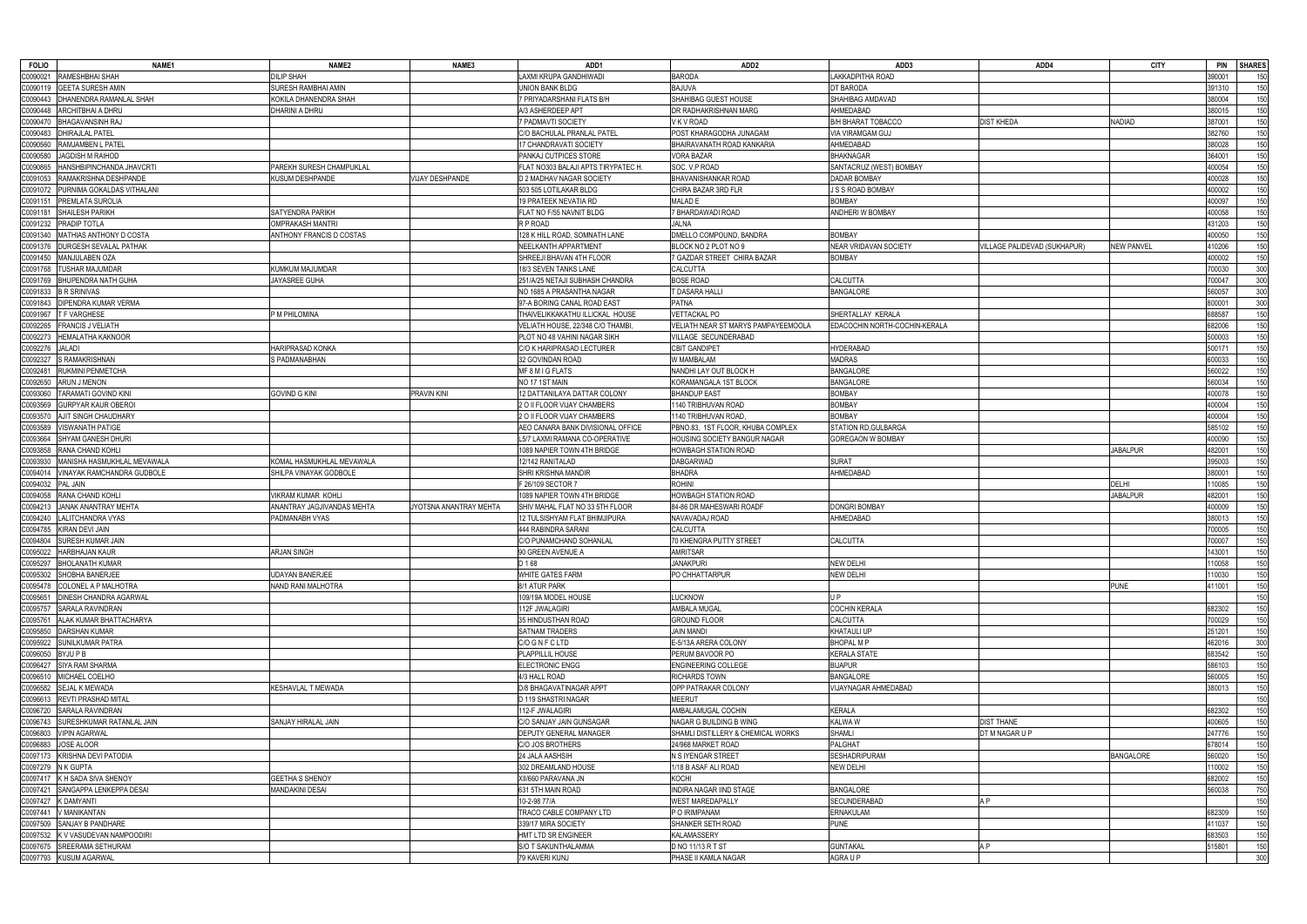| <b>FOLIO</b>      | NAME1                               | NAME2                      | <b>NAME3</b>           | ADD1                                | ADD <sub>2</sub>                    | ADD3                          | ADD4                         | <b>CITY</b>       | <b>PIN</b><br><b>SHARES</b> |
|-------------------|-------------------------------------|----------------------------|------------------------|-------------------------------------|-------------------------------------|-------------------------------|------------------------------|-------------------|-----------------------------|
|                   | C0090021 RAMESHBHAI SHAH            | <b>DILIP SHAH</b>          |                        | LAXMI KRUPA GANDHIWADI              | <b>BARODA</b>                       | LAKKADPITHA ROAD              |                              |                   | 390001<br>150               |
|                   | C0090119 GEETA SURESH AMIN          | SURESH RAMBHAI AMIN        |                        | UNION BANK BLDG                     | <b>BAJUVA</b>                       | DT BARODA                     |                              |                   | 391310<br>150               |
|                   | C0090443 DHANENDRA RAMANLAL SHAH    | KOKILA DHANENDRA SHAH      |                        | 7 PRIYADARSHANI FLATS B/H           | SHAHIBAG GUEST HOUSE                | SHAHIBAG AMDAVAD              |                              |                   | 150<br>380004               |
|                   | C0090448 ARCHITBHAI A DHRU          | DHARINI A DHRU             |                        | A/3 ASHERDEEP APT                   | DR RADHAKRISHNAN MARG               | AHMEDABAD                     |                              |                   | 150<br>380015               |
|                   | C0090470 BHAGAVANSINH RAJ           |                            |                        | 7 PADMAVTI SOCIETY                  | V K V ROAD                          | <b>B/H BHARAT TOBACCO</b>     | <b>DIST KHEDA</b>            | NADIAD            | 150<br>387001               |
| C0090483          | DHIRAJLAL PATEL                     |                            |                        | C/O BACHULAL PRANLAL PATEL          | POST KHARAGODHA JUNAGAM             | VIA VIRAMGAM GUJ              |                              |                   | 150<br>382760               |
| C0090560          |                                     |                            |                        |                                     |                                     |                               |                              |                   |                             |
|                   | RAMJAMBEN L PATEL                   |                            |                        | 7 CHANDRAVATI SOCIETY               | BHAIRAVANATH ROAD KANKARIA          | AHMEDABAD                     |                              |                   | 380028<br>150               |
| C0090580          | JAGDISH M RAIHOD                    |                            |                        | PANKAJ CUTPICES STORE               | VORA BAZAR                          | <b>BHAKNAGAR</b>              |                              |                   | 150<br>364001               |
| C0090865          | HANSHBIPINCHANDA JHAVCRTI           | PAREKH SURESH CHAMPUKLAL   |                        | FLAT NO303 BALAJI APTS TIRYPATEC H. | SOC. V.P ROAD                       | SANTACRUZ (WEST) BOMBAY       |                              |                   | 400054<br>150               |
| C0091053          | RAMAKRISHNA DESHPANDE               | KUSUM DESHPANDE            | <b>VIJAY DESHPANDE</b> | D 2 MADHAV NAGAR SOCIETY            | <b>BHAVANISHANKAR ROAD</b>          | <b>DADAR BOMBAY</b>           |                              |                   | 150<br>400028               |
|                   | C0091072 PURNIMA GOKALDAS VITHALANI |                            |                        | 503 505 LOTILAKAR BLDG              | CHIRA BAZAR 3RD FLR                 | J S S ROAD BOMBAY             |                              |                   | 150<br>400002               |
| C0091151          | <b>PREMLATA SUROLIA</b>             |                            |                        | 19 PRATEEK NEVATIA RD               | MALAD E                             | BOMBAY                        |                              |                   | 150<br>400097               |
| C0091181          | <b>SHAILESH PARIKH</b>              | <b>SATYENDRA PARIKH</b>    |                        | FLAT NO F/55 NAVNIT BLDG            | 7 BHARDAWADI ROAD                   | <b>ANDHERI W BOMBAY</b>       |                              |                   | 150<br>400058               |
| C0091232          | <b>PRADIP TOTLA</b>                 | OMPRAKASH MANTRI           |                        | R P ROAD                            | JALNA                               |                               |                              |                   | 150<br>431203               |
|                   | C0091340   MATHIAS ANTHONY D COSTA  | ANTHONY FRANCIS D COSTAS   |                        | 128 K HILL ROAD, SOMNATH LANE       | DMELLO COMPOUND, BANDRA             | <b>BOMBAY</b>                 |                              |                   | 150<br>400050               |
|                   | C0091376 DURGESH SEVALAL PATHAK     |                            |                        | NEELKANTH APPARTMENT                | BLOCK NO 2 PLOT NO 9                | <b>NEAR VRIDAVAN SOCIETY</b>  | VILLAGE PALIDEVAD (SUKHAPUR) | <b>NEW PANVEL</b> | 150<br>10206                |
|                   | C0091450 MANJULABEN OZA             |                            |                        | SHREEJI BHAVAN 4TH FLOOR            | 7 GAZDAR STREET CHIRA BAZAR         | <b>BOMBAY</b>                 |                              |                   | 400002<br>150               |
| C0091768          | <b>TUSHAR MAJUMDAR</b>              | KUMKUM MAJUMDAR            |                        | 18/3 SEVEN TANKS LANE               | <b>CALCUTTA</b>                     |                               |                              |                   | 300<br>700030               |
|                   | C0091769 BHUPENDRA NATH GUHA        | JAYASREE GUHA              |                        | 251/A/25 NETAJI SUBHASH CHANDRA     | <b>BOSE ROAD</b>                    | CALCUTTA                      |                              |                   | 300<br>700047               |
|                   | C0091833 B R SRINIVAS               |                            |                        | NO 1685 A PRASANTHA NAGAR           | T DASARA HALLI                      | <b>BANGALORE</b>              |                              |                   | 300<br>560057               |
|                   | C0091843 DIPENDRA KUMAR VERMA       |                            |                        | 97-A BORING CANAL ROAD EAST         | <b>PATNA</b>                        |                               |                              |                   | 300<br>800001               |
|                   | C0091967   T F VARGHESE             | P M PHILOMINA              |                        | THAIVELIKKAKATHU ILLICKAL HOUSE     | <b>VETTACKAL PO</b>                 | SHERTALLAY KERALA             |                              |                   | 150<br>688587               |
|                   | C0092265 FRANCIS J VELIATH          |                            |                        | VELIATH HOUSE, 22/348 C/O THAMBI    | VELIATH NEAR ST MARYS PAMPAYEEMOOLA | EDACOCHIN NORTH-COCHIN-KERALA |                              |                   | 682006<br>150               |
| C0092273          | <b>HEMALATHA KAKNOOR</b>            |                            |                        | PLOT NO 48 VAHINI NAGAR SIKH        | VILLAGE SECUNDERABAD                |                               |                              |                   | 150<br>500003               |
| C0092276          | <b>JALADI</b>                       | HARIPRASAD KONKA           |                        | C/O K HARIPRASAD LECTURER           | <b>CBIT GANDIPET</b>                | <b>HYDERABAD</b>              |                              |                   | 500171<br>150               |
| C0092327          | S RAMAKRISHNAN                      | S PADMANABHAN              |                        | 32 GOVINDAN ROAD                    | W MAMBALAM                          | <b>MADRAS</b>                 |                              |                   | 150<br>600033               |
| C0092481          | RUKMINI PENMETCHA                   |                            |                        | MF 8 M I G FLATS                    | NANDHI LAY OUT BLOCK H              | <b>BANGALORE</b>              |                              |                   | 560022<br>150               |
| C0092650          | <b>ARUN J MENON</b>                 |                            |                        | NO 17 1ST MAIN                      | KORAMANGALA 1ST BLOCK               | <b>BANGALORE</b>              |                              |                   | 150<br>560034               |
| C0093060          | <b>TARAMATI GOVIND KINI</b>         | <b>GOVIND G KINI</b>       | PRAVIN KINI            | 12 DATTANILAYA DATTAR COLONY        | <b>BHANDUP EAST</b>                 | <b>BOMBAY</b>                 |                              |                   | 150<br>400078               |
| C0093569          | <b>GURPYAR KAUR OBEROI</b>          |                            |                        | 2 O II FLOOR VIJAY CHAMBERS         | 140 TRIBHUVAN ROAD                  | <b>BOMBAY</b>                 |                              |                   | 150<br>400004               |
| C0093570          | <b>AJIT SINGH CHAUDHARY</b>         |                            |                        | 2 O II FLOOR VIJAY CHAMBERS         | 1140 TRIBHUVAN ROAD.                | <b>BOMBAY</b>                 |                              |                   | 150<br>400004               |
| C0093589          | <b>VISWANATH PATIGE</b>             |                            |                        | AEO CANARA BANK DIVISIONAL OFFICE   | PBNO.83, 1ST FLOOR, KHUBA COMPLEX   | STATION RD, GULBARGA          |                              |                   | 150<br>585102               |
| C0093664          | SHYAM GANESH DHURI                  |                            |                        | L5/7 LAXMI RAMANA CO-OPERATIVE      | HOUSING SOCIETY BANGUR NAGAR        | GOREGAON W BOMBAY             |                              |                   | 150<br>400090               |
| C0093858          | RANA CHAND KOHLI                    |                            |                        | 1089 NAPIER TOWN 4TH BRIDGE         | <b>HOWBAGH STATION ROAD</b>         |                               |                              | <b>JABALPUR</b>   | 482001<br>150               |
|                   |                                     |                            |                        |                                     |                                     |                               |                              |                   |                             |
| C0093930          | MANISHA HASMUKHLAL MEVAWALA         | KOMAL HASMUKHLAL MEVAWALA  |                        | 12/142 RANITALAD                    | <b>DABGARWAD</b>                    | <b>SURAT</b>                  |                              |                   | 395003<br>150               |
| C0094014          | VINAYAK RAMCHANDRA GUDBOLE          | SHILPA VINAYAK GODBOLE     |                        | SHRI KRISHNA MANDIR                 | <b>BHADRA</b>                       | AHMEDABAD                     |                              |                   | 380001<br>150               |
| C0094032          | PAL JAIN                            |                            |                        | F 26/109 SECTOR 1                   | <b>ROHINI</b>                       |                               |                              | <b>DELHI</b>      | 150<br>10085                |
| C0094058          | RANA CHAND KOHLI                    | VIKRAM KUMAR KOHLI         |                        | 1089 NAPIER TOWN 4TH BRIDGE         | HOWBAGH STATION ROAD                |                               |                              | <b>JABALPUR</b>   | 150<br>482001               |
| C0094213          | JANAK ANANTRAY MEHTA                | ANANTRAY JAGJIVANDAS MEHTA | YOTSNA ANANTRAY MEHTA  | SHIV MAHAL FLAT NO 33 5TH FLOOR     | 84-86 DR MAHESWARI ROADF            | <b>DONGRI BOMBAY</b>          |                              |                   | 150<br>400009               |
|                   | C0094240 LALITCHANDRA VYAS          | PADMANABH VYAS             |                        | 12 TULSISHYAM FLAT BHIMJIPURA       | NAVAVADAJ ROAD                      | AHMEDABAD                     |                              |                   | 150<br>380013               |
| C0094785          | KIRAN DEVI JAIN                     |                            |                        | 444 RABINDRA SARANI                 | CALCUTTA                            |                               |                              |                   | 150<br>00005'               |
| C0094804          | SURESH KUMAR JAIN                   |                            |                        | C/O PUNAMCHAND SOHANLAL             | 70 KHENGRA PUTTY STREET             | CALCUTTA                      |                              |                   | 150<br>'00007               |
|                   | C0095022 HARBHAJAN KAUR             | ARJAN SINGH                |                        | 90 GREEN AVENUE A                   | AMRITSAR                            |                               |                              |                   | 143001                      |
|                   | C0095297 BHOLANATH KUMAR            |                            |                        | D 168                               | <b>JANAKPURI</b>                    | <b>NEW DELHI</b>              |                              |                   | 150<br>110058               |
|                   | C0095302 SHOBHA BANERJEE            | <b>JDAYAN BANERJEE</b>     |                        | WHITE GATES FARM                    | PO CHHATTARPUR                      | <b>NEW DELHI</b>              |                              |                   | 110030<br>150               |
|                   | C0095478 COLONEL A P MALHOTRA       | NAND RANI MALHOTRA         |                        | 8/1 ATUR PARK                       |                                     |                               |                              | <b>PUNE</b>       | 150<br>411001               |
| C0095651          | DINESH CHANDRA AGARWAL              |                            |                        | 109/19A MODEL HOUSE                 | LUCKNOW                             | UP.                           |                              |                   | 150                         |
|                   | C0095757 SARALA RAVINDRAN           |                            |                        | 112F JWALAGIRI                      | AMBALA MUGAL                        | COCHIN KERALA                 |                              |                   | 150<br>682302               |
| C0095761          | ALAK KUMAR BHATTACHARYA             |                            |                        | 35 HINDUSTHAN ROAD                  | <b>GROUND FLOOR</b>                 | <b>CALCUTTA</b>               |                              |                   | 700029<br>150               |
| C0095850          | <b>DARSHAN KUMAR</b>                |                            |                        | <b>SATNAM TRADERS</b>               | <b>JAIN MANDI</b>                   | <b>KHATAULI UP</b>            |                              |                   | 251201<br>150               |
|                   | C0095922 SUNILKUMAR PATRA           |                            |                        | C/O G N F C LTD                     | E-5/13A ARERA COLONY                | <b>BHOPAL MP</b>              |                              |                   | 300<br>462016               |
| C0096050 BYJU P B |                                     |                            |                        | PLAPPILLIL HOUSE                    | PERUM BAVOOR PO                     | <b>KERALA STATE</b>           |                              |                   | 683542<br>150               |
|                   | C0096427 SIYA RAM SHARMA            |                            |                        | <b>ELECTRONIC ENGG</b>              | ENGINEERING COLLEGE                 | <b>BIJAPUR</b>                |                              |                   | 150<br>586103               |
|                   | C0096510 MICHAEL COELHO             |                            |                        | 4/3 HALL ROAD                       | <b>RICHARDS TOWN</b>                | <b>BANGALORE</b>              |                              |                   | 150<br>560005               |
|                   | C0096582 SEJAL K MEWADA             | KESHAVLAL T MEWADA         |                        | <b>D/8 BHAGAVATINAGAR APPT</b>      | OPP PATRAKAR COLONY                 | VIJAYNAGAR AHMEDABAD          |                              |                   | 150<br>380013               |
|                   | C0096613 REVTI PRASHAD MITAL        |                            |                        | D 119 SHASTRI NAGAR                 | <b>MEERUT</b>                       |                               |                              |                   | 150                         |
|                   | C0096720 SARALA RAVINDRAN           |                            |                        | 112-F JWALAGIRI                     | AMBALAMUGAL COCHIN                  | <b>KERALA</b>                 |                              |                   | 682302<br>150               |
|                   | C0096743 SURESHKUMAR RATANLAL JAIN  | SANJAY HIRALAL JAIN        |                        | C/O SANJAY JAIN GUNSAGAR            | NAGAR G BUILDING B WING             | KALWA W                       | <b>DIST THANE</b>            |                   | 150<br>400605               |
|                   | C0096803 VIPIN AGARWAL              |                            |                        | <b>DEPUTY GENERAL MANAGER</b>       | SHAMLI DISTILLERY & CHEMICAL WORKS  | SHAMLI                        | DT M NAGAR U P               |                   | 247776<br>150               |
| C0096883          | JOSE ALOOR                          |                            |                        | C/O JOS BROTHERS                    | 24/968 MARKET ROAD                  | PALGHAT                       |                              |                   | 678014<br>150               |
|                   | C0097173 KRISHNA DEVI PATODIA       |                            |                        | <b>24 JALA AASHSIH</b>              | N S IYENGAR STREET                  | <b>SESHADRIPURAM</b>          |                              | <b>BANGALORE</b>  | 560020<br>150               |
|                   | C0097279 N K GUPTA                  |                            |                        | 302 DREAMLAND HOUSE                 | 1/18 B ASAF ALI ROAD                | <b>NEW DELHI</b>              |                              |                   | 150<br>110002               |
|                   | C0097417 K H SADA SIVA SHENOY       | GEETHA S SHENOY            |                        | XII/660 PARAVANA JN                 | KOCHI                               |                               |                              |                   | 682002<br>150               |
|                   | C0097421 SANGAPPA LENKEPPA DESAI    | MANDAKINI DESAI            |                        | 631 5TH MAIN ROAD                   | INDIRA NAGAR IIND STAGE             | <b>BANGALORE</b>              |                              |                   | 560038<br>750               |
|                   | C0097427 K DAMYANTI                 |                            |                        | 10-2-98 77/A                        | WEST MAREDAPALLY                    | SECUNDERABAD                  | A P                          |                   | 150                         |
|                   | C0097441 V MANIKANTAN               |                            |                        | TRACO CABLE COMPANY LTD             | P O IRIMPANAM                       | <b>ERNAKULAM</b>              |                              |                   | 682309<br>150               |
| C0097509          | SANJAY B PANDHARE                   |                            |                        | 339/17 MIRA SOCIETY                 | SHANKER SETH ROAD                   | PUNE                          |                              |                   | 411037<br>150               |
|                   | C0097532 K V VASUDEVAN NAMPOODIRI   |                            |                        | HMT LTD SR ENGINEER                 | <b>KALAMASSERY</b>                  |                               |                              |                   | 683503<br>150               |
|                   | C0097675 SREERAMA SETHURAM          |                            |                        | <b>S/O T SAKUNTHALAMMA</b>          | D NO 11/13 R T ST                   | <b>GUNTAKAL</b>               | A P                          |                   | 150<br>515801               |
|                   | C0097793 KUSUM AGARWAL              |                            |                        | 79 KAVERI KUNJ                      | PHASE II KAMLA NAGAR                | AGRAUP                        |                              |                   | 300                         |
|                   |                                     |                            |                        |                                     |                                     |                               |                              |                   |                             |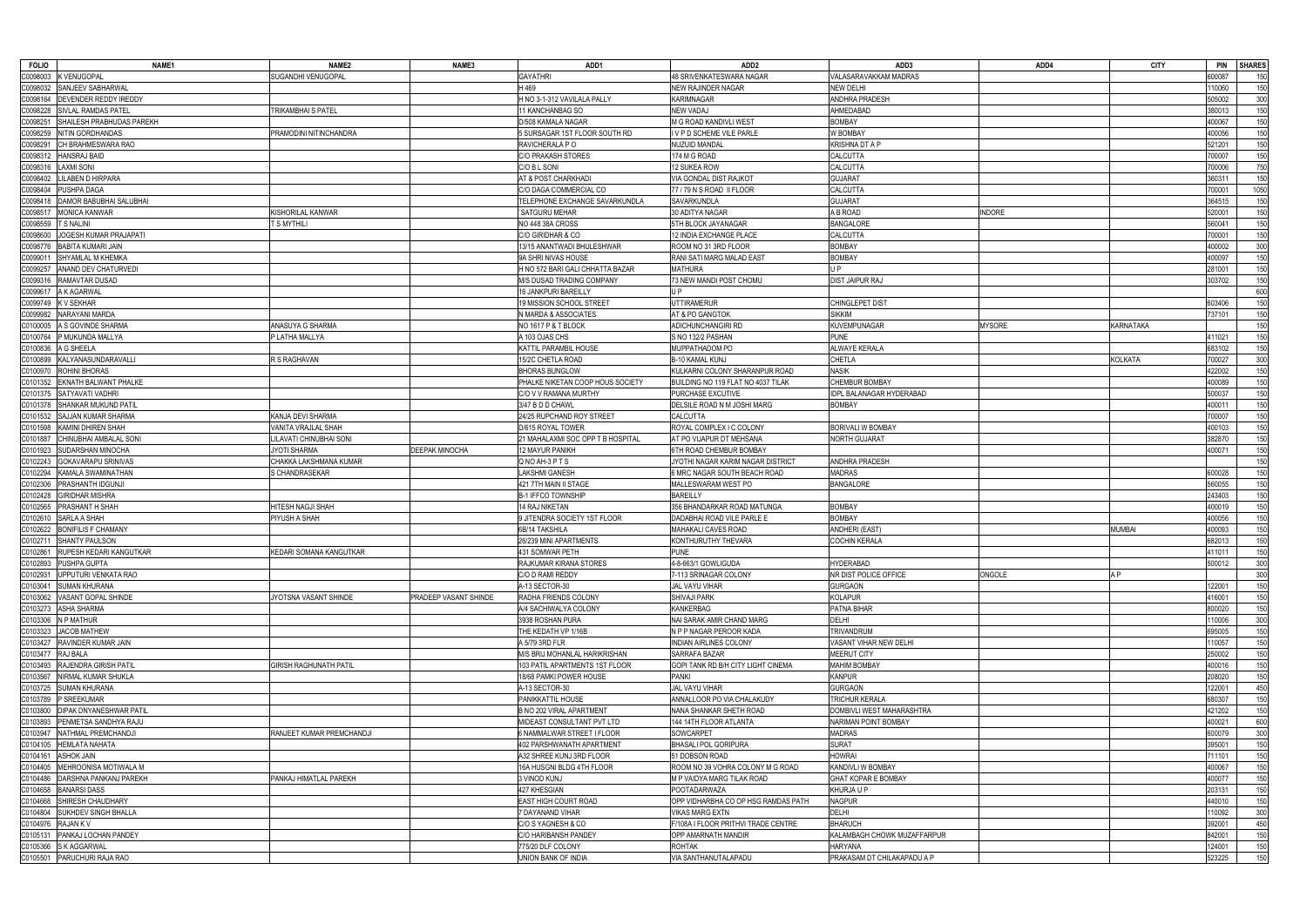| <b>FOLIO</b><br>NAME1                      | NAME <sub>2</sub>             | NAME3                 | ADD1                              | ADD <sub>2</sub>                    | ADD3                        | ADD4          | <b>CITY</b>    | <b>SHARES</b><br><b>PIN</b> |
|--------------------------------------------|-------------------------------|-----------------------|-----------------------------------|-------------------------------------|-----------------------------|---------------|----------------|-----------------------------|
| <b>K VENUGOPAL</b><br>00098003             | SUGANDHI VENUGOPAL            |                       | <b>GAYATHRI</b>                   | 48 SRIVENKATESWARA NAGAR            | VALASARAVAKKAM MADRAS       |               |                | 00087<br>150                |
| SANJEEV SABHARWAL<br>00098032              |                               |                       | H469                              | <b>NEW RAJINDER NAGAR</b>           | <b>NEW DELHI</b>            |               |                | 10060<br>150                |
| DEVENDER REDDY IREDDY<br>00098164          |                               |                       | H NO 3-1-312 VAVILALA PALLY       | <b>KARIMNAGAR</b>                   | ANDHRA PRADESH              |               |                | 300<br>505002               |
| SIVLAL RAMDAS PATEL<br>C0098228            | TRIKAMBHAI S PATEL            |                       | 11 KANCHANBAG SO                  | NEW VADAJ                           | AHMEDABAD                   |               |                | 380013<br>150               |
| 009825<br>SHAILESH PRABHUDAS PAREKH        |                               |                       | D/508 KAMALA NAGAR                | M G ROAD KANDIVLI WEST              | <b>BOMBAY</b>               |               |                | 150<br>400067               |
| 20098259<br>NITIN GORDHANDAS               | PRAMODINI NITINCHANDRA        |                       | 5 SURSAGAR 1ST FLOOR SOUTH RD     | IVPD SCHEME VILE PARLE              | <b>W BOMBAY</b>             |               |                | 150<br>400056               |
| 00098291<br>CH BRAHMESWARA RAO             |                               |                       | RAVICHERALA P O                   | <b>NUZUID MANDAL</b>                | <b>KRISHNA DT A P</b>       |               |                | 150<br>521201               |
|                                            |                               |                       |                                   |                                     |                             |               |                |                             |
| HANSRAJ BAID<br>00098312                   |                               |                       | C/O PRAKASH STORES                | 174 M G ROAD                        | <b>CALCUTTA</b>             |               |                | 150<br>700007               |
| <b>LAXMI SONI</b><br>C0098316              |                               |                       | C/O B L SONI                      | 12 SUKEA ROW                        | CALCUTTA                    |               |                | 700006<br>750               |
| 20098402<br>ILABEN D HIRPARA               |                               |                       | AT & POST CHARKHADI               | VIA GONDAL DIST RAJKOT              | <b>GUJARAT</b>              |               |                | 150<br>360311               |
| PUSHPA DAGA<br>C0098404                    |                               |                       | C/O DAGA COMMERCIAL CO            | 77 / 79 N S ROAD II FLOOR           | CALCUTTA                    |               |                | 1050<br>700001              |
| DAMOR BABUBHAI SALUBHAI<br>00098418        |                               |                       | TELEPHONE EXCHANGE SAVARKUNDLA    | SAVARKUNDLA                         | <b>GUJARAT</b>              |               |                | 150<br>364515               |
| MONICA KANWAR<br>C009851                   | <b>KISHORILAL KANWAR</b>      |                       | 'SATGURU MEHAR                    | 30 ADITYA NAGAR                     | A B ROAD                    | <b>INDORE</b> |                | 150<br>520001               |
| <b>T S NALINI</b><br>00098559              | T S MYTHILI                   |                       | NO 448 38A CROSS                  | 5TH BLOCK JAYANAGAR                 | <b>BANGALORE</b>            |               |                | 150<br>560041               |
| IOGESH KUMAR PRAJAPATI<br>00098600         |                               |                       | C/O GIRIDHAR & CO                 | 12 INDIA EXCHANGE PLACE             | CALCUTTA                    |               |                | 150<br>700001               |
| <b>BABITA KUMARI JAIN</b><br>00098770      |                               |                       | 13/15 ANANTWADI BHULESHWAR        | ROOM NO 31 3RD FLOOR                | <b>BOMBAY</b>               |               |                | 300<br>400002               |
| C009901<br>SHYAMLAL M KHEMKA               |                               |                       | 9A SHRI NIVAS HOUSE               | RANI SATI MARG MALAD EAST           | <b>BOMBAY</b>               |               |                | 150<br>400097               |
| ANAND DEV CHATURVEDI<br>00099257           |                               |                       | H NO 572 BARI GALI CHHATTA BAZAR  | <b>MATHURA</b>                      | U P                         |               |                | 281001<br>150               |
| 00099316<br>RAMAVTAR DUSAD                 |                               |                       | M/S DUSAD TRADING COMPANY         | 73 NEW MANDI POST CHOMU             | <b>DIST JAIPUR RAJ</b>      |               |                | 150<br>303702               |
| A K AGARWAL<br>C0099617                    |                               |                       | 16 JANKPURI BAREILLY              | U P                                 |                             |               |                | 600                         |
| 00099749<br>( V SEKHAR                     |                               |                       | 19 MISSION SCHOOL STREET          | <b>UTTIRAMERUR</b>                  | CHINGLEPET DIST             |               |                | 603406<br>150               |
| <b>VARAYANI MARDA</b><br>00099982          |                               |                       | <b>N MARDA &amp; ASSOCIATES</b>   | AT & PO GANGTOK                     | <b>SIKKIM</b>               |               |                | 150<br>737101               |
| 00100005<br>A S GOVINDE SHARMA             | ANASUYA G SHARMA              |                       | NO 1617 P & T BLOCK               | <b>ADICHUNCHANGIRI RD</b>           | <b>KUVEMPUNAGAR</b>         | <b>MYSORE</b> | KARNATAKA      | 150                         |
| C0100764<br>P MUKUNDA MALLYA               | P LATHA MALLYA                |                       | A 103 OJAS CHS                    | S NO 132/2 PASHAN                   | <b>PUNE</b>                 |               |                | 150<br>111021               |
|                                            |                               |                       |                                   |                                     |                             |               |                |                             |
| A G SHEELA<br>C0100836                     |                               |                       | KATTIL PARAMBIL HOUSE             | MUPPATHADOM PO                      | <b>ALWAYE KERALA</b>        |               |                | 683102<br>150               |
| <b>KALYANASUNDARAVALLI</b><br>C0100899     | R S RAGHAVAN                  |                       | 15/2C CHETLA ROAD                 | <b>B-10 KAMAL KUNJ</b>              | <b>CHETLA</b>               |               | <b>KOLKATA</b> | 300<br>'00027               |
| ROHINI BHORAS<br>C0100970                  |                               |                       | <b>BHORAS BUNGLOW</b>             | KULKARNI COLONY SHARANPUR ROAD      | <b>NASIK</b>                |               |                | 150<br>422002               |
| 00101352<br>EKNATH BALWANT PHALKE          |                               |                       | PHALKE NIKETAN COOP HOUS SOCIETY  | BUILDING NO 119 FLAT NO 4037 TILAK  | CHEMBUR BOMBAY              |               |                | 400089<br>150               |
| SATYAVATI VADHRI<br>C0101375               |                               |                       | C/O V V RAMANA MURTHY             | PURCHASE EXCUTIVE                   | IDPL BALANAGAR HYDERABAD    |               |                | 500037<br>150               |
| 00101378<br>SHANKAR MUKUND PATIL           |                               |                       | 3/47 B D D CHAWL                  | DELSILE ROAD N M JOSHI MARG         | <b>BOMBAY</b>               |               |                | 150<br>100011               |
| SAJJAN KUMAR SHARMA<br>C0101532            | KANJA DEVI SHARMA             |                       | 24/25 RUPCHAND ROY STREET         | <b>CALCUTTA</b>                     |                             |               |                | 150<br>700007               |
| C0101598<br>KAMINI DHIREN SHAH             | VANITA VRAJLAL SHAH           |                       | D/615 ROYAL TOWER                 | ROYAL COMPLEX I C COLONY            | <b>BORIVALI W BOMBAY</b>    |               |                | 150<br>400103               |
| CHINUBHAI AMBALAL SONI<br>C0101887         | LILAVATI CHINUBHAI SONI       |                       | 21 MAHALAXMI SOC OPP T B HOSPITAL | AT PO VIJAPUR DT MEHSANA            | <b>NORTH GUJARAT</b>        |               |                | 150<br>382870               |
| SUDARSHAN MINOCHA<br>C0101923              | <b>JYOTI SHARMA</b>           | <b>DEEPAK MINOCHA</b> | <b>12 MAYUR PANIKH</b>            | 6TH ROAD CHEMBUR BOMBAY             |                             |               |                | 400071<br>150               |
| 00102243<br>GOKAVARAPU SRINIVAS            | CHAKKA LAKSHMANA KUMAR        |                       | Q NO AH-3 P T S                   | JYOTHI NAGAR KARIM NAGAR DISTRICT   | <b>ANDHRA PRADESH</b>       |               |                | 150                         |
| KAMALA SWAMINATHAN<br>C0102294             | S CHANDRASEKAR                |                       | <b>LAKSHMI GANESH</b>             | 6 MRC NAGAR SOUTH BEACH ROAD        | <b>MADRAS</b>               |               |                | 150<br>600028               |
| 0102306<br>PRASHANTH IDGUNJI               |                               |                       | 421 7TH MAIN II STAGE             | MALLESWARAM WEST PO                 | <b>BANGALORE</b>            |               |                | 150<br>560055               |
| C0102428<br><b>GIRIDHAR MISHRA</b>         |                               |                       | <b>B-1 IFFCO TOWNSHIP</b>         | <b>BAREILLY</b>                     |                             |               |                | 243403<br>150               |
| 00102565<br>PRASHANT H SHAH                | HITESH NAGJI SHAH             |                       | 14 RAJ NIKETAN                    | 356 BHANDARKAR ROAD MATUNGA         | <b>BOMBAY</b>               |               |                | 150<br>400019               |
| SARLA A SHAH<br>C0102610                   | PIYUSH A SHAH                 |                       | 9 JITENDRA SOCIETY 1ST FLOOR      | DADABHAI ROAD VILE PARLE E          | <b>BOMBAY</b>               |               |                | 150<br>400056               |
| 00102622<br><b>BONIFILIS F CHAMANY</b>     |                               |                       | 6B/14 TAKSHILA                    | MAHAKALI CAVES ROAD                 | ANDHERI (EAST)              |               | <b>MUMBAI</b>  | 150<br>100093               |
|                                            |                               |                       |                                   |                                     |                             |               |                |                             |
| C0102711<br><b>SHANTY PAULSON</b>          |                               |                       | 26/239 MINI APARTMENTS            | KONTHURUTHY THEVARA                 | <b>COCHIN KERALA</b>        |               |                | 150<br>682013               |
| C0102861 RUPESH KEDARI KANGUTKAR           | KEDARI SOMANA KANGUTKAR       |                       | 431 SOMWAR PETH                   | PUNE                                |                             |               |                | 411011<br>150               |
| C0102893 PUSHPA GUPTA                      |                               |                       | RAJKUMAR KIRANA STORES            | 4-8-663/1 GOWLIGUDA                 | <b>HYDERABAD</b>            |               |                | 300<br>500012               |
| UPPUTURI VENKATA RAO<br>C0102931           |                               |                       | C/O D RAMI REDDY                  | 7-113 SRINAGAR COLONY               | NR DIST POLICE OFFICE       | ONGOLE        | A P            | 300                         |
| C0103041<br><b>SUMAN KHURANA</b>           |                               |                       | A-13 SECTOR-30                    | <b>JAL VAYU VIHAR</b>               | <b>GURGAON</b>              |               |                | 122001<br>150               |
| VASANT GOPAL SHINDE<br>C0103062            | JYOTSNA VASANT SHINDE         | PRADEEP VASANT SHINDE | RADHA FRIENDS COLONY              | <b>SHIVAJI PARK</b>                 | <b>KOLAPUR</b>              |               |                | 116001<br>150               |
| <b>ASHA SHARMA</b><br>00103273             |                               |                       | A/4 SACHIWALYA COLONY             | <b>KANKERBAG</b>                    | PATNA BIHAR                 |               |                | 150<br>300020               |
| N P MATHUR<br>00103306                     |                               |                       | 3938 ROSHAN PURA                  | NAI SARAK AMIR CHAND MARG           | DELHI                       |               |                | 300<br>10006                |
| <b>JACOB MATHEW</b><br>C0103323            |                               |                       | THE KEDATH VP 1/16B               | N P P NAGAR PEROOR KADA             | <b>TRIVANDRUM</b>           |               |                | 150<br>695005               |
| <b>RAVINDER KUMAR JAIN</b><br>00103427     |                               |                       | A 5/79 3RD FLR                    | <b>INDIAN AIRLINES COLONY</b>       | VASANT VIHAR NEW DELHI      |               |                | 110057<br>150               |
| RAJ BALA<br>C0103477                       |                               |                       | M/S BRIJ MOHANLAL HARIKRISHAN     | SARRAFA BAZAR                       | <b>MEERUT CITY</b>          |               |                | 250002<br>150               |
| C0103493<br>RAJENDRA GIRISH PATIL          | <b>GIRISH RAGHUNATH PATIL</b> |                       | 103 PATIL APARTMENTS 1ST FLOOR    | GOPI TANK RD B/H CITY LIGHT CINEMA  | <b>MAHIM BOMBAY</b>         |               |                | 400016<br>150               |
| C0103567<br>NIRMAL KUMAR SHUKLA            |                               |                       | 18/68 PAMKI POWER HOUSE           | <b>PANKI</b>                        | <b>KANPUR</b>               |               |                | 208020<br>150               |
| C0103725<br><b>SUMAN KHURANA</b>           |                               |                       | A-13 SECTOR-30                    | JAL VAYU VIHAR                      | <b>GURGAON</b>              |               |                | 450<br>122001               |
| P SREEKUMAR<br>C0103789                    |                               |                       | PANIKKATTIL HOUSE                 | ANNALLOOR PO VIA CHALAKUDY          | <b>TRICHUR KERALA</b>       |               |                | 680307<br>150               |
| <b>DIPAK DNYANESHWAR PATIL</b><br>C0103800 |                               |                       | B NO 202 VIRAL APARTMENT          | NANA SHANKAR SHETH ROAD             | DOMBIVLI WEST MAHARASHTRA   |               |                | 421202<br>150               |
| PENMETSA SANDHYA RAJU<br>C0103893          |                               |                       | MIDEAST CONSULTANT PVT LTD        | 144 14TH FLOOR ATLANTA              | NARIMAN POINT BOMBAY        |               |                | 600<br>400021               |
| NATHMAL PREMCHANDJI<br>C0103947            | RANJEET KUMAR PREMCHANDJI     |                       | 6 NAMMALWAR STREET I FLOOR        | SOWCARPET                           | <b>MADRAS</b>               |               |                | 300<br>600079               |
| C0104105<br><b>HEMLATA NAHATA</b>          |                               |                       | 402 PARSHWANATH APARTMENT         | BHASALI POL GORIPURA                | <b>SURAT</b>                |               |                | 395001<br>150               |
|                                            |                               |                       |                                   |                                     |                             |               |                |                             |
| <b>ASHOK JAIN</b><br>C0104161              |                               |                       | A32 SHREE KUNJ 3RD FLOOR          | 51 DOBSON ROAD                      | <b>HOWRAI</b>               |               |                | 11101<br>150                |
| MEHROONISA MOTIWALA M<br>C0104405          |                               |                       | 16A HUSGNI BLDG 4TH FLOOR         | ROOM NO 39 VOHRA COLONY M G ROAD    | KANDIVLI W BOMBAY           |               |                | 150<br>400067               |
| DARSHNA PANKANJ PAREKH<br>C0104486         | PANKAJ HIMATLAL PAREKH        |                       | 3 VINOD KUNJ                      | M P VAIDYA MARG TILAK ROAD          | <b>GHAT KOPAR E BOMBAY</b>  |               |                | 400077<br>150               |
| <b>BANARSI DASS</b><br>C0104658            |                               |                       | 427 KHESGIAN                      | <b>POOTADARWAZA</b>                 | KHURJA U P                  |               |                | 203131<br>150               |
| SHIRESH CHAUDHARY<br>C0104668              |                               |                       | <b>EAST HIGH COURT ROAD</b>       | OPP VIDHARBHA CO OP HSG RAMDAS PATH | <b>NAGPUR</b>               |               |                | 440010<br>150               |
| C0104804<br><b>SUKHDEV SINGH BHALLA</b>    |                               |                       | 7 DAYANAND VIHAR                  | <b>VIKAS MARG EXTN</b>              | DELHI                       |               |                | 10092<br>300                |
| C0104976<br>RAJAN K V                      |                               |                       | C/O S YAGNESH & CO                | F/108A I FLOOR PRITHVI TRADE CENTRE | <b>BHARUCH</b>              |               |                | 450<br>392001               |
| PANKAJ LOCHAN PANDEY<br>C0105131           |                               |                       | C/O HARIBANSH PANDEY              | OPP AMARNATH MANDIR                 | KALAMBAGH CHOWK MUZAFFARPUR |               |                | 842001<br>150               |
| S K AGGARWAL<br>0105366                    |                               |                       | 775/20 DLF COLONY                 | <b>ROHTAK</b>                       | <b>HARYANA</b>              |               |                | 124001<br>150               |
| C0105501 PARUCHURI RAJA RAO                |                               |                       | UNION BANK OF INDIA               | VIA SANTHANUTALAPADU                | PRAKASAM DT CHILAKAPADU A P |               |                | 150<br>523225               |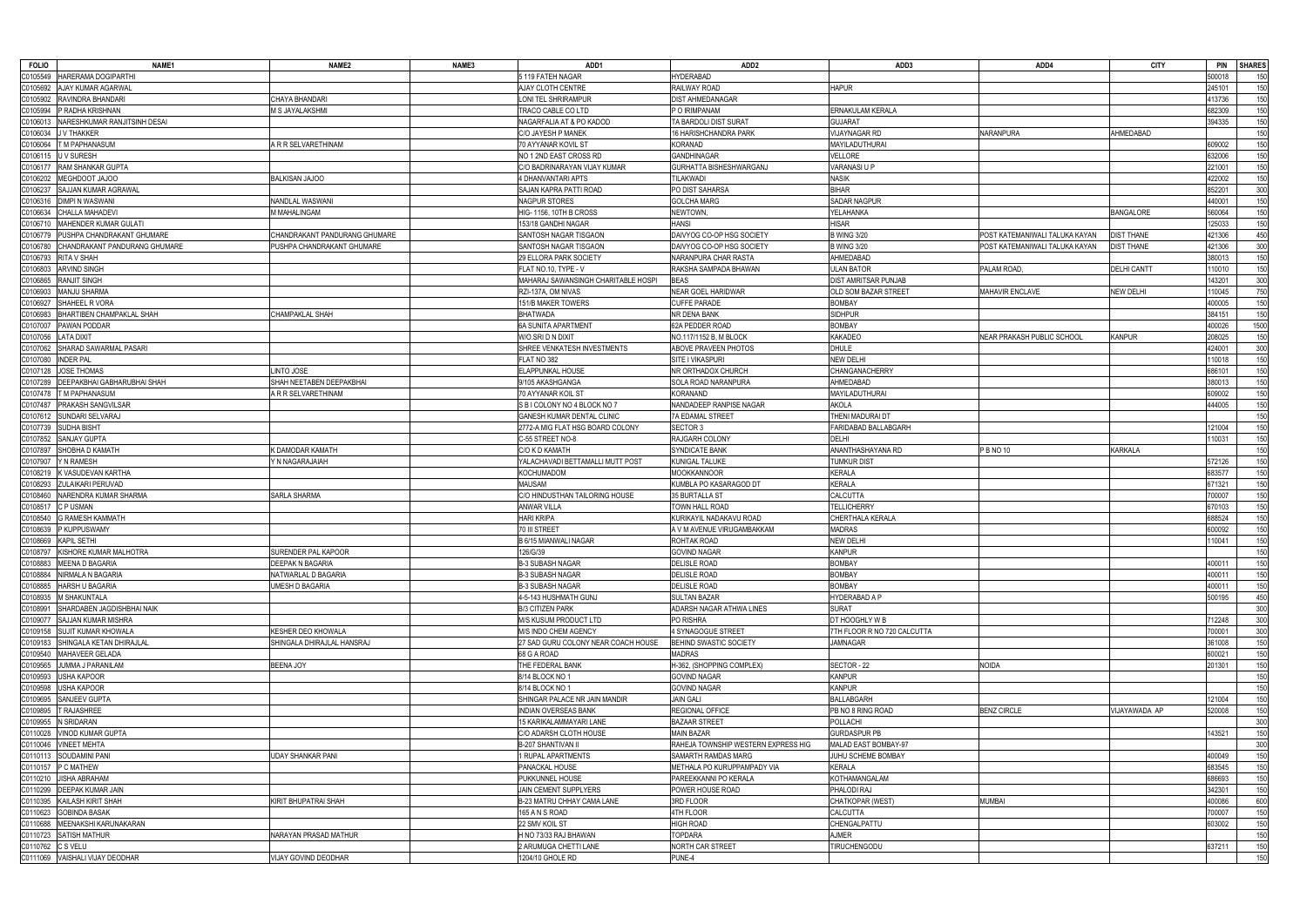| <b>FOLIO</b> | NAME1                           | NAME <sub>2</sub>             | NAME3 | ADD1                                | ADD <sub>2</sub>                    | ADD3                        | ADD4                           | <b>CITY</b>        | <b>PIN</b> | <b>SHARES</b> |
|--------------|---------------------------------|-------------------------------|-------|-------------------------------------|-------------------------------------|-----------------------------|--------------------------------|--------------------|------------|---------------|
| 0105549      | HARERAMA DOGIPARTHI             |                               |       | 5 119 FATEH NAGAR                   | <b>HYDERABAD</b>                    |                             |                                |                    | 500018     | 150           |
| C0105692     | AJAY KUMAR AGARWAL              |                               |       | AJAY CLOTH CENTRE                   | RAILWAY ROAD                        | <b>HAPUR</b>                |                                |                    | 245101     | 150           |
| C0105902     | RAVINDRA BHANDARI               | CHAYA BHANDARI                |       | LONI TEL SHRIRAMPUR                 | DIST AHMEDANAGAR                    |                             |                                |                    | 413736     | 150           |
| C0105994     | P RADHA KRISHNAN                | M S JAYALAKSHMI               |       | TRACO CABLE CO LTD                  | P O IRIMPANAM                       | ERNAKULAM KERALA            |                                |                    | 682309     | 150           |
| C0106013     | NARESHKUMAR RANJITSINH DESAI    |                               |       | NAGARFALIA AT & PO KADOD            | TA BARDOLI DIST SURAT               | <b>GUJARAT</b>              |                                |                    | 394335     | 150           |
| C0106034     | J V THAKKER                     |                               |       | C/O JAYESH P MANEK                  | 16 HARISHCHANDRA PARK               | <b>VIJAYNAGAR RD</b>        | NARANPURA                      | AHMEDABAD          |            | 150           |
| C0106064     | T M PAPHANASUM                  | A R R SELVARETHINAM           |       | 70 AYYANAR KOVIL ST                 | <b>KORANAD</b>                      | MAYILADUTHURAI              |                                |                    | 609002     | 150           |
| C0106115     | U V SURESH                      |                               |       | NO 1 2ND EAST CROSS RD              | <b>GANDHINAGAR</b>                  | <b>VELLORE</b>              |                                |                    | 632006     | 150           |
|              | RAM SHANKAR GUPTA               |                               |       | C/O BADRINARAYAN VIJAY KUMAR        | GURHATTA BISHESHWARGANJ             | VARANASI U P                |                                |                    | 221001     | 150           |
| C0106177     |                                 |                               |       |                                     |                                     |                             |                                |                    |            |               |
| C0106202     | MEGHDOOT JAJOO                  | <b>BALKISAN JAJOO</b>         |       | 4 DHANVANTARI APTS                  | <b>TILAKWADI</b>                    | <b>NASIK</b>                |                                |                    | 422002     | 150           |
| 00106237     | SAJJAN KUMAR AGRAWAL            |                               |       | SAJAN KAPRA PATTI ROAD              | PO DIST SAHARSA                     | <b>BIHAR</b>                |                                |                    | 852201     | 300           |
| C0106316     | <b>DIMPI N WASWANI</b>          | NANDLAL WASWANI               |       | NAGPUR STORES                       | <b>GOLCHA MARG</b>                  | <b>SADAR NAGPUR</b>         |                                |                    | 440001     | 150           |
| C0106634     | CHALLA MAHADEVI                 | M MAHALINGAM                  |       | HIG-1156, 10TH B CROSS              | NEWTOWN,                            | YELAHANKA                   |                                | <b>BANGALORE</b>   | 560064     | 150           |
| C0106710     | <b>MAHENDER KUMAR GULATI</b>    |                               |       | 153/18 GANDHI NAGAR                 | <b>HANSI</b>                        | HISAR                       |                                |                    | 125033     | 150           |
| 00106779     | PUSHPA CHANDRAKANT GHUMARE      | CHANDRAKANT PANDURANG GHUMARE |       | SANTOSH NAGAR TISGAON               | DAIVYOG CO-OP HSG SOCIETY           | <b>B WING 3/20</b>          | POST KATEMANIWALI TALUKA KAYAN | <b>DIST THANE</b>  | 421306     | 450           |
| C0106780     | CHANDRAKANT PANDURANG GHUMARE   | PUSHPA CHANDRAKANT GHUMARE    |       | SANTOSH NAGAR TISGAON               | DAIVYOG CO-OP HSG SOCIETY           | <b>B WING 3/20</b>          | POST KATEMANIWALI TALUKA KAYAN | <b>DIST THANE</b>  | 421306     | 300           |
| C0106793     | RITA V SHAH                     |                               |       | 29 ELLORA PARK SOCIETY              | NARANPURA CHAR RASTA                | AHMEDABAD                   |                                |                    | 380013     | 150           |
| C0106803     | ARVIND SINGH                    |                               |       | FLAT NO.10, TYPE - V                | RAKSHA SAMPADA BHAWAN               | <b>ULAN BATOR</b>           | PALAM ROAD,                    | <b>DELHI CANTT</b> | 110010     | 150           |
| C0106865     | <b>RANJIT SINGH</b>             |                               |       | MAHARAJ SAWANSINGH CHARITABLE HOSPI | <b>BEAS</b>                         | <b>DIST AMRITSAR PUNJAB</b> |                                |                    | 143201     | 300           |
| 20106903     | MANJU SHARMA                    |                               |       | RZI-137A, OM NIVAS                  | <b>NEAR GOEL HARIDWAR</b>           | OLD SOM BAZAR STREET        | MAHAVIR ENCLAVE                | <b>NEW DELHI</b>   | 110045     | 750           |
| C0106927     | SHAHEEL R VORA                  |                               |       | 151/B MAKER TOWERS                  | <b>CUFFE PARADE</b>                 | <b>BOMBAY</b>               |                                |                    | 400005     | 150           |
| 00106983     | BHARTIBEN CHAMPAKLAL SHAH       | CHAMPAKLAL SHAH               |       | <b>BHATWADA</b>                     | NR DENA BANK                        | <b>SIDHPUR</b>              |                                |                    | 384151     | 150           |
| C0107007     | PAWAN PODDAR                    |                               |       | <b>6A SUNITA APARTMENT</b>          | 62A PEDDER ROAD                     | <b>BOMBAY</b>               |                                |                    | 400026     | 1500          |
| C0107056     | <b>LATA DIXIT</b>               |                               |       | W/O.SRI D N DIXIT                   | NO.117/1152 B, M BLOCK              | <b>KAKADEO</b>              | NEAR PRAKASH PUBLIC SCHOOL     | <b>KANPUR</b>      | 208025     | 150           |
| C0107062     | SHARAD SAWARMAL PASARI          |                               |       | SHREE VENKATESH INVESTMENTS         | <b>ABOVE PRAVEEN PHOTOS</b>         | <b>DHULE</b>                |                                |                    | 424001     | 300           |
|              |                                 |                               |       |                                     |                                     |                             |                                |                    |            |               |
| C0107080     | <b>INDER PAL</b>                |                               |       | FLAT NO 382                         | SITE I VIKASPURI                    | <b>NEW DELHI</b>            |                                |                    | 110018     | 150           |
| C0107128     | JOSE THOMAS                     | <b>LINTO JOSE</b>             |       | <b>ELAPPUNKAL HOUSE</b>             | NR ORTHADOX CHURCH                  | CHANGANACHERRY              |                                |                    | 686101     | 150           |
| C0107289     | DEEPAKBHAI GABHARUBHAI SHAH     | SHAH NEETABEN DEEPAKBHAI      |       | 9/105 AKASHGANGA                    | SOLA ROAD NARANPURA                 | AHMEDABAD                   |                                |                    | 380013     | 150           |
| C0107478     | T M PAPHANASUM                  | A R R SELVARETHINAM           |       | 70 AYYANAR KOIL ST                  | KORANAND                            | MAYILADUTHURAI              |                                |                    | 609002     | 150           |
| C0107487     | <b>PRAKASH SANGVILSAR</b>       |                               |       | S B I COLONY NO 4 BLOCK NO 7        | NANDADEEP RANPISE NAGAR             | AKOLA                       |                                |                    | 444005     | 150           |
| C0107612     | SUNDARI SELVARAJ                |                               |       | <b>GANESH KUMAR DENTAL CLINIC</b>   | 7A EDAMAL STREET                    | THENI MADURAI DT            |                                |                    |            | 150           |
| C0107739     | <b>SUDHA BISHT</b>              |                               |       | 2772-A MIG FLAT HSG BOARD COLONY    | SECTOR 3                            | <b>FARIDABAD BALLABGARH</b> |                                |                    | 121004     | 150           |
| 0107852      | SANJAY GUPTA                    |                               |       | C-55 STREET NO-8                    | RAJGARH COLONY                      | DELHI                       |                                |                    | 110031     | 150           |
| 00107897     | SHOBHA D KAMATH                 | K DAMODAR KAMATH              |       | C/O K D KAMATH                      | <b>SYNDICATE BANK</b>               | ANANTHASHAYANA RD           | P B NO 10                      | <b>KARKALA</b>     |            | 150           |
| C0107907     | Y N RAMESH                      | Y N NAGARAJAIAH               |       | YALACHAVADI BETTAMALLI MUTT POST    | KUNIGAL TALUKE                      | TUMKUR DIST                 |                                |                    | 572126     | 150           |
| C0108219     | K VASUDEVAN KARTHA              |                               |       | <b>KOCHUMADOM</b>                   | MOOKKANNOOR                         | <b>KERALA</b>               |                                |                    | 683577     | 150           |
| C0108293     | ZULAIKARI PERUVAD               |                               |       | <b>MAUSAM</b>                       | KUMBLA PO KASARAGOD DT              | <b>KERALA</b>               |                                |                    | 671321     | 150           |
| 0108460      | VARENDRA KUMAR SHARMA           | <b>SARLA SHARMA</b>           |       | C/O HINDUSTHAN TAILORING HOUSE      | 35 BURTALLA ST                      | <b>CALCUTTA</b>             |                                |                    | 700007     | 150           |
| C0108517     | C P USMAN                       |                               |       | <b>ANWAR VILLA</b>                  | TOWN HALL ROAD                      | <b>TELLICHERRY</b>          |                                |                    | 670103     | 150           |
| 00108540     | <b>G RAMESH KAMMATH</b>         |                               |       | <b>HARI KRIPA</b>                   | KURIKAYIL NADAKAVU ROAD             | CHERTHALA KERALA            |                                |                    | 688524     | 150           |
| 0108639      | P KUPPUSWAMY                    |                               |       | 70 III STREET                       | A V M AVENUE VIRUGAMBAKKAM          | MADRAS                      |                                |                    | 600092     |               |
|              |                                 |                               |       |                                     |                                     |                             |                                |                    |            | 150           |
| C0108669     | <b>KAPIL SETHI</b>              |                               |       | B 6/15 MIANWALI NAGAR               | ROHTAK ROAD                         | <b>NEW DELHI</b>            |                                |                    | 110041     | 150           |
|              | C0108797 KISHORE KUMAR MALHOTRA | SURENDER PAL KAPOOR           |       | 126/G/39                            | <b>GOVIND NAGAR</b>                 | <b>KANPUR</b>               |                                |                    |            |               |
|              | C0108883 MEENA D BAGARIA        | <b>DEEPAK N BAGARIA</b>       |       | <b>B-3 SUBASH NAGAR</b>             | <b>DELISLE ROAD</b>                 | <b>BOMBAY</b>               |                                |                    | 400011     | 150           |
|              | C0108884 NIRMALA N BAGARIA      | NATWARLAL D BAGARIA           |       | <b>B-3 SUBASH NAGAR</b>             | <b>DELISLE ROAD</b>                 | <b>BOMBAY</b>               |                                |                    | 400011     | 150           |
| C0108885     | <b>HARSH U BAGARIA</b>          | <b>UMESH D BAGARIA</b>        |       | <b>B-3 SUBASH NAGAR</b>             | <b>DELISLE ROAD</b>                 | <b>BOMBAY</b>               |                                |                    | 400011     | 150           |
|              | C0108935 M SHAKUNTALA           |                               |       | 4-5-143 HUSHMATH GUNJ               | SULTAN BAZAR                        | HYDERABAD A P               |                                |                    | 500195     | 450           |
| C0108991     | SHARDABEN JAGDISHBHAI NAIK      |                               |       | <b>B/3 CITIZEN PARK</b>             | ADARSH NAGAR ATHWA LINES            | <b>SURAT</b>                |                                |                    |            | 300           |
| C0109077     | <b>SAJJAN KUMAR MISHRA</b>      |                               |       | M/S KUSUM PRODUCT LTD               | PO RISHRA                           | DT HOOGHLY W B              |                                |                    | 712248     | 300           |
| C0109158     | <b>SUJIT KUMAR KHOWALA</b>      | KESHER DEO KHOWALA            |       | M/S INDO CHEM AGENCY                | 4 SYNAGOGUE STREET                  | 7TH FLOOR R NO 720 CALCUTTA |                                |                    | 700001     | 300           |
| C0109183     | SHINGALA KETAN DHIRAJLAL        | SHINGALA DHIRAJLAL HANSRAJ    |       | 27 SAD GURU COLONY NEAR COACH HOUSE | <b>BEHIND SWASTIC SOCIETY</b>       | JAMNAGAR                    |                                |                    | 361008     | 150           |
| C0109540     | MAHAVEER GELADA                 |                               |       | 68 G A ROAD                         | <b>MADRAS</b>                       |                             |                                |                    | 600021     | 150           |
| C0109565     | JUMMA J PARANILAM               | <b>BEENA JOY</b>              |       | THE FEDERAL BANK                    | H-362, (SHOPPING COMPLEX)           | SECTOR - 22                 | NOIDA                          |                    | 201301     | 150           |
| C0109593     | USHA KAPOOR                     |                               |       | 8/14 BLOCK NO 1                     | <b>GOVIND NAGAR</b>                 | <b>KANPUR</b>               |                                |                    |            | 150           |
| C0109598     | <b>USHA KAPOOR</b>              |                               |       | 8/14 BLOCK NO 1                     | <b>GOVIND NAGAR</b>                 | <b>KANPUR</b>               |                                |                    |            | 150           |
| C0109695     | SANJEEV GUPTA                   |                               |       | SHINGAR PALACE NR JAIN MANDIR       | <b>JAIN GALI</b>                    | <b>BALLABGARH</b>           |                                |                    | 121004     | 150           |
| C0109895     | T RAJASHREE                     |                               |       | <b>INDIAN OVERSEAS BANK</b>         | REGIONAL OFFICE                     | PB NO 8 RING ROAD           | <b>BENZ CIRCLE</b>             | VIJAYAWADA AP      | 520008     | 150           |
| C0109955     | N SRIDARAN                      |                               |       | 15 KARIKALAMMAYARI LANE             | <b>BAZAAR STREET</b>                | POLLACHI                    |                                |                    |            | 300           |
| C0110028     | VINOD KUMAR GUPTA               |                               |       | C/O ADARSH CLOTH HOUSE              | <b>MAIN BAZAR</b>                   | <b>GURDASPUR PB</b>         |                                |                    | 143521     |               |
|              |                                 |                               |       |                                     |                                     |                             |                                |                    |            | 150           |
| C0110046     | <b>VINEET MEHTA</b>             |                               |       | <b>B-207 SHANTIVAN II</b>           | RAHEJA TOWNSHIP WESTERN EXPRESS HIG | MALAD EAST BOMBAY-97        |                                |                    |            | 300           |
| C0110113     | <b>SOUDAMINI PANI</b>           | <b>UDAY SHANKAR PANI</b>      |       | 1 RUPAL APARTMENTS                  | SAMARTH RAMDAS MARG                 | JUHU SCHEME BOMBAY          |                                |                    | 400049     | 150           |
| C0110157     | P C MATHEW                      |                               |       | PANACKAL HOUSE                      | METHALA PO KURUPPAMPADY VIA         | <b>KERALA</b>               |                                |                    | 683545     | 150           |
| C0110210     | JISHA ABRAHAM                   |                               |       | PUKKUNNEL HOUSE                     | PAREEKKANNI PO KERALA               | KOTHAMANGALAM               |                                |                    | 686693     | 150           |
| C0110299     | <b>DEEPAK KUMAR JAIN</b>        |                               |       | JAIN CEMENT SUPPLYERS               | POWER HOUSE ROAD                    | PHALODI RAJ                 |                                |                    | 342301     | 150           |
| C0110395     | KAILASH KIRIT SHAH              | KIRIT BHUPATRAI SHAH          |       | B-23 MATRU CHHAY CAMA LANE          | 3RD FLOOR                           | CHATKOPAR (WEST)            | MUMBAI                         |                    | 400086     | 600           |
| C0110623     | <b>GOBINDA BASAK</b>            |                               |       | 165 A N S ROAD                      | 4TH FLOOR                           | CALCUTTA                    |                                |                    | 700007     | 150           |
| C0110688     | MEENAKSHI KARUNAKARAN           |                               |       | 22 SMV KOIL ST                      | <b>HIGH ROAD</b>                    | CHENGALPATTU                |                                |                    | 603002     | 150           |
| C0110723     | <b>SATISH MATHUR</b>            | NARAYAN PRASAD MATHUR         |       | H NO 73/33 RAJ BHAWAN               | <b>TOPDARA</b>                      | <b>AJMER</b>                |                                |                    |            | 150           |
| C0110762     | C S VELU                        |                               |       | 2 ARUMUGA CHETTI LANE               | NORTH CAR STREET                    | <b>TIRUCHENGODU</b>         |                                |                    | 637211     | 150           |
|              | C0111069 VAISHALI VIJAY DEODHAR | VIJAY GOVIND DEODHAR          |       | 1204/10 GHOLE RD                    | PUNE-4                              |                             |                                |                    |            | 150           |
|              |                                 |                               |       |                                     |                                     |                             |                                |                    |            |               |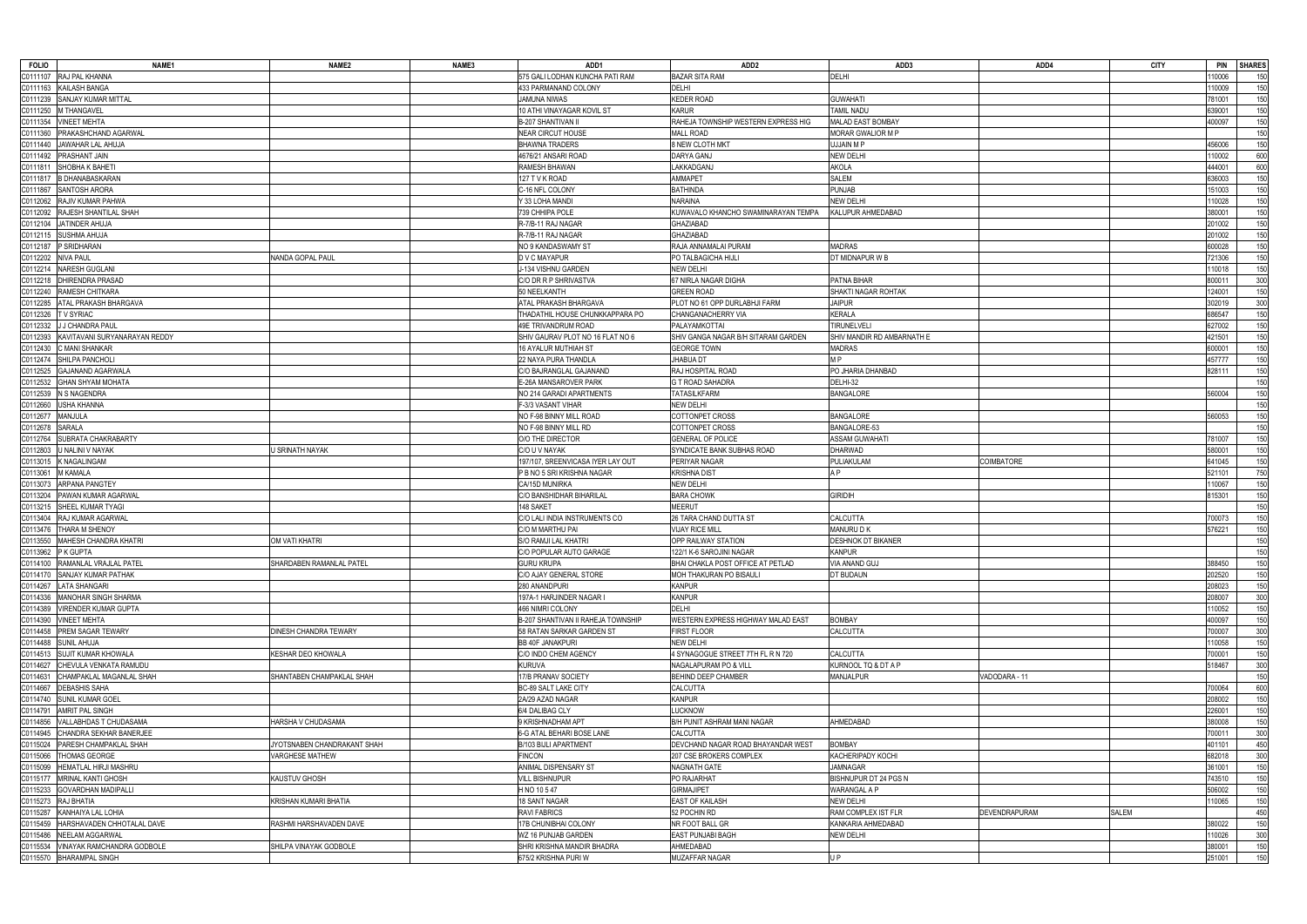| <b>FOLIO</b>        | NAME <sub>1</sub>               | NAME <sub>2</sub>           | NAME3 | ADD1                               | ADD <sub>2</sub>                                                      | ADD3                       | ADD4                 | <b>CITY</b>  | <b>PIN</b> | <b>SHARES</b> |
|---------------------|---------------------------------|-----------------------------|-------|------------------------------------|-----------------------------------------------------------------------|----------------------------|----------------------|--------------|------------|---------------|
|                     | C0111107 RAJ PAL KHANNA         |                             |       | 575 GALI LODHAN KUNCHA PATI RAM    | <b>BAZAR SITA RAM</b>                                                 | DELHI                      |                      |              | 10006      | 150           |
| C0111163            | KAILASH BANGA                   |                             |       | 433 PARMANAND COLONY               | DELHI                                                                 |                            |                      |              | 10009      | 150           |
| C0111239            | SANJAY KUMAR MITTAL             |                             |       | JAMUNA NIWAS                       | <b>KEDER ROAD</b>                                                     | <b>GUWAHATI</b>            |                      |              | 781001     | 150           |
| C0111250            | M THANGAVEL                     |                             |       | 10 ATHI VINAYAGAR KOVIL ST         | <b>KARUR</b>                                                          | <b>TAMIL NADU</b>          |                      |              | 639001     | 150           |
| C0111354            | <b>INEET MEHTA</b>              |                             |       | <b>B-207 SHANTIVAN II</b>          | RAHEJA TOWNSHIP WESTERN EXPRESS HIG                                   | <b>MALAD EAST BOMBAY</b>   |                      |              | 400097     | 150           |
| C0111360            | PRAKASHCHAND AGARWAL            |                             |       | <b>NEAR CIRCUT HOUSE</b>           | <b>MALL ROAD</b>                                                      | MORAR GWALIOR M P          |                      |              |            | 150           |
| C0111440            | JAWAHAR LAL AHUJA               |                             |       | <b>BHAWNA TRADERS</b>              | 8 NEW CLOTH MKT                                                       | UJJAIN M P                 |                      |              | 156006     | 150           |
| C0111492            | <b>PRASHANT JAIN</b>            |                             |       | 4676/21 ANSARI ROAD                | DARYA GANJ                                                            | <b>NEW DELHI</b>           |                      |              | 10002      | 600           |
| C0111811            | SHOBHA K BAHETI                 |                             |       | RAMESH BHAWAN                      | LAKKADGANJ                                                            | <b>AKOLA</b>               |                      |              | 144001     | 600           |
| C0111817            | <b>B DHANABASKARAN</b>          |                             |       | 127 T V K ROAD                     | AMMAPET                                                               | <b>SALEM</b>               |                      |              | 636003     | 150           |
| C0111867            | SANTOSH ARORA                   |                             |       | C-16 NFL COLONY                    | <b>BATHINDA</b>                                                       | <b>PUNJAB</b>              |                      |              | 151003     | 150           |
|                     |                                 |                             |       |                                    |                                                                       |                            |                      |              |            |               |
| C0112062            | RAJIV KUMAR PAHWA               |                             |       | Y 33 LOHA MANDI                    | NARAINA                                                               | <b>NEW DELHI</b>           |                      |              | 110028     | 150           |
| C0112092            | RAJESH SHANTILAL SHAH           |                             |       | 739 CHHIPA POLE                    | KUWAVALO KHANCHO SWAMINARAYAN TEMPA                                   | KALUPUR AHMEDABAD          |                      |              | 380001     | 150           |
| C0112104            | JATINDER AHUJA                  |                             |       | R-7/B-11 RAJ NAGAR                 | GHAZIABAD                                                             |                            |                      |              | 201002     | 150           |
| C0112115            | <b>SUSHMA AHUJA</b>             |                             |       | R-7/B-11 RAJ NAGAR                 | GHAZIABAD                                                             |                            |                      |              | 201002     | 150           |
| C0112187            | P SRIDHARAN                     |                             |       | NO 9 KANDASWAMY ST                 | RAJA ANNAMALAI PURAM                                                  | <b>MADRAS</b>              |                      |              | 600028     | 150           |
| C0112202            | <b>NIVA PAUL</b>                | NANDA GOPAL PAUL            |       | D V C MAYAPUR                      | PO TALBAGICHA HIJLI                                                   | DT MIDNAPUR W B            |                      |              | 721306     | 150           |
| C0112214            | NARESH GUGLANI                  |                             |       | J-134 VISHNU GARDEN                | NEW DELHI                                                             |                            |                      |              | 110018     | 150           |
| C0112218            | DHIRENDRA PRASAD                |                             |       | C/O DR R P SHRIVASTVA              | 67 NIRLA NAGAR DIGHA                                                  | PATNA BIHAR                |                      |              | 800011     | 300           |
| C0112240            | RAMESH CHITKARA                 |                             |       | 50 NEELKANTH                       | <b>GREEN ROAD</b>                                                     | SHAKTI NAGAR ROHTAK        |                      |              | 124001     | 150           |
| C0112285            | <b>ATAL PRAKASH BHARGAVA</b>    |                             |       | ATAL PRAKASH BHARGAVA              | PLOT NO 61 OPP DURLABHJI FARM                                         | <b>JAIPUR</b>              |                      |              | 302019     | 300           |
| C0112326            | TV SYRIAC                       |                             |       | THADATHIL HOUSE CHUNKKAPPARA PO    | CHANGANACHERRY VIA                                                    | <b>KERALA</b>              |                      |              | 686547     | 150           |
| C0112332            | J CHANDRA PAUL                  |                             |       | 49E TRIVANDRUM ROAD                | PALAYAMKOTTAI                                                         | <b>TIRUNELVELI</b>         |                      |              | 627002     | 150           |
| C0112393            | KAVITAVANI SURYANARAYAN REDDY   |                             |       | SHIV GAURAV PLOT NO 16 FLAT NO 6   | SHIV GANGA NAGAR B/H SITARAM GARDEN                                   | SHIV MANDIR RD AMBARNATH E |                      |              | 421501     | 150           |
| C0112430            | C MANI SHANKAR                  |                             |       | 16 AYALUR MUTHIAH ST               | <b>GEORGE TOWN</b>                                                    | MADRAS                     |                      |              | 600001     | 150           |
|                     | C0112474 SHILPA PANCHOLI        |                             |       | 22 NAYA PURA THANDLA               | <b>JHABUA DT</b>                                                      | M P                        |                      |              | 457777     | 150           |
| C0112525            | <b>GAJANAND AGARWALA</b>        |                             |       | C/O BAJRANGLAL GAJANAND            | RAJ HOSPITAL ROAD                                                     | PO JHARIA DHANBAD          |                      |              | 828111     | 150           |
| C0112532            | <b>GHAN SHYAM MOHATA</b>        |                             |       | E-26A MANSAROVER PARK              | G T ROAD SAHADRA                                                      | DELHI-32                   |                      |              |            | 150           |
| C0112539            | N S NAGENDRA                    |                             |       | NO 214 GARADI APARTMENTS           | <b>TATASILKFARM</b>                                                   | <b>BANGALORE</b>           |                      |              | 560004     | 150           |
|                     |                                 |                             |       | F-3/3 VASANT VIHAR                 | <b>NEW DELHI</b>                                                      |                            |                      |              |            | 150           |
| C0112660            | <b>USHA KHANNA</b>              |                             |       |                                    |                                                                       |                            |                      |              |            |               |
| C0112677            | <b>MANJULA</b>                  |                             |       | NO F-98 BINNY MILL ROAD            | COTTONPET CROSS                                                       | <b>BANGALORE</b>           |                      |              | 560053     | 150           |
| C0112678            | <b>SARALA</b>                   |                             |       | NO F-98 BINNY MILL RD              | COTTONPET CROSS                                                       | BANGALORE-53               |                      |              |            | 150           |
| C0112764            | SUBRATA CHAKRABARTY             |                             |       | O/O THE DIRECTOR                   | <b>GENERAL OF POLICE</b>                                              | ASSAM GUWAHATI             |                      |              | 781007     | 150           |
| C0112803            | U NALINI V NAYAK                | U SRINATH NAYAK             |       | C/O U V NAYAK                      | SYNDICATE BANK SUBHAS ROAD                                            | DHARWAD                    |                      |              | 580001     | 150           |
| C0113015            | <b>K NAGALINGAM</b>             |                             |       | 197/107, SREENVICASA IYER LAY OUT  | PERIYAR NAGAR                                                         | PULIAKULAM                 | COIMBATORE           |              | 641045     | 150           |
| C0113061            | M KAMALA                        |                             |       | P B NO 5 SRI KRISHNA NAGAR         | KRISHNA DIST                                                          | A P                        |                      |              | 521101     | 750           |
| C0113073            | ARPANA PANGTEY                  |                             |       | CA/15D MUNIRKA                     | <b>NEW DELHI</b>                                                      |                            |                      |              | 110067     | 150           |
| C0113204            | PAWAN KUMAR AGARWAL             |                             |       | C/O BANSHIDHAR BIHARILAL           | <b>BARA CHOWK</b>                                                     | <b>GIRIDIH</b>             |                      |              | 815301     | 150           |
| C0113215            | SHEEL KUMAR TYAGI               |                             |       | 148 SAKET                          | <b>MEERUT</b>                                                         |                            |                      |              |            | 150           |
| C0113404            | RAJ KUMAR AGARWAL               |                             |       | C/O LALI INDIA INSTRUMENTS CO      | 26 TARA CHAND DUTTA ST                                                | CALCUTTA                   |                      |              | 700073     | 150           |
| C0113476            | THARA M SHENOY                  |                             |       | C/O M MARTHU PAI                   | <b>VIJAY RICE MILI</b>                                                | MANURU D K                 |                      |              | 76221      | 150           |
| C0113550            | <b>MAHESH CHANDRA KHATRI</b>    | <b>OM VATI KHATRI</b>       |       | <b>S/O RAMJI LAL KHATRI</b>        | OPP RAILWAY STATION                                                   | <b>DESHNOK DT BIKANER</b>  |                      |              |            | 150           |
| C0113962 P K GUPTA  |                                 |                             |       | C/O POPULAR AUTO GARAGE            | 122/1 K-6 SAROJINI NAGAR                                              | <b>KANPUR</b>              |                      |              |            |               |
|                     | C0114100 RAMANLAL VRAJLAL PATEL | SHARDABEN RAMANLAL PATEL    |       | <b>GURU KRUPA</b>                  | BHAI CHAKLA POST OFFICE AT PETLAD                                     | VIA ANAND GUJ              |                      |              | 388450     | 150           |
|                     | C0114170 SANJAY KUMAR PATHAK    |                             |       | C/O AJAY GENERAL STORE             | MOH THAKURAN PO BISAULI                                               | DT BUDAUN                  |                      |              | 202520     | 150           |
| C0114267            | <b>LATA SHANGARI</b>            |                             |       | 280 ANANDPURI                      | <b>KANPUR</b>                                                         |                            |                      |              | 208023     | 150           |
| C0114336            | <b>MANOHAR SINGH SHARMA</b>     |                             |       | 197A-1 HARJINDER NAGAR I           | <b>KANPUR</b>                                                         |                            |                      |              | 208007     | 300           |
| C0114389            | <b>VIRENDER KUMAR GUPTA</b>     |                             |       | 466 NIMRI COLONY                   | <b>DELHI</b>                                                          |                            |                      |              | 10052      | 150           |
| C0114390            | <b>VINEET MEHTA</b>             |                             |       | B-207 SHANTIVAN II RAHEJA TOWNSHIP | WESTERN EXPRESS HIGHWAY MALAD EAST                                    | <b>BOMBAY</b>              |                      |              | 400097     | 150           |
| C0114458            | <b>PREM SAGAR TEWARY</b>        | DINESH CHANDRA TEWARY       |       | 58 RATAN SARKAR GARDEN ST          | <b>FIRST FLOOR</b>                                                    | CALCUTTA                   |                      |              | 700007     | 300           |
| C0114488            |                                 |                             |       |                                    | <b>NEW DELHI</b>                                                      |                            |                      |              |            | 150           |
|                     | <b>SUNIL AHUJA</b>              |                             |       | <b>BB 40F JANAKPURI</b>            |                                                                       |                            |                      |              | 10058      |               |
| C0114513            | SUJIT KUMAR KHOWALA             | KESHAR DEO KHOWALA          |       | C/O INDO CHEM AGENCY               | 4 SYNAGOGUE STREET 7TH FL R N 720<br><b>NAGALAPURAM PO &amp; VILL</b> | CALCUTTA                   |                      |              | 700001     | 150           |
| C0114627            | CHEVULA VENKATA RAMUDU          |                             |       | <b>KURUVA</b>                      |                                                                       | KURNOOL TQ & DT A P        |                      |              | 518467     | 300           |
| C0114631            | CHAMPAKLAL MAGANLAL SHAH        | SHANTABEN CHAMPAKLAL SHAH   |       | 17/B PRANAV SOCIETY                | <b>BEHIND DEEP CHAMBER</b>                                            | <b>MANJALPUR</b>           | VADODARA - 11        |              |            | 150           |
| C0114667            | <b>DEBASHIS SAHA</b>            |                             |       | <b>BC-89 SALT LAKE CITY</b>        | <b>CALCUTTA</b>                                                       |                            |                      |              | 700064     | 600           |
| C0114740            | SUNIL KUMAR GOEL                |                             |       | 2A/29 AZAD NAGAR                   | <b>KANPUR</b>                                                         |                            |                      |              | 208002     | 150           |
| C0114791            | AMRIT PAL SINGH                 |                             |       | 6/4 DALIBAG CLY                    | LUCKNOW                                                               |                            |                      |              | 226001     | 150           |
| C0114856            | VALLABHDAS T CHUDASAMA          | HARSHA V CHUDASAMA          |       | 9 KRISHNADHAM APT                  | B/H PUNIT ASHRAM MANI NAGAR                                           | AHMEDABAD                  |                      |              | 380008     | 150           |
| C0114945            | CHANDRA SEKHAR BANERJEE         |                             |       | 6-G ATAL BEHARI BOSE LANE          | CALCUTTA                                                              |                            |                      |              | 700011     | 300           |
| C0115024            | PARESH CHAMPAKLAL SHAH          | JYOTSNABEN CHANDRAKANT SHAH |       | B/103 BIJLI APARTMENT              | DEVCHAND NAGAR ROAD BHAYANDAR WEST                                    | <b>BOMBAY</b>              |                      |              | 401101     | 450           |
| C0115066            | THOMAS GEORGE                   | <b>VARGHESE MATHEW</b>      |       | <b>FINCON</b>                      | 207 CSE BROKERS COMPLEX                                               | KACHERIPADY KOCHI          |                      |              | 682018     | 300           |
| C0115099            | HEMATLAL HIRJI MASHRU           |                             |       | ANIMAL DISPENSARY ST               | NAGNATH GATE                                                          | JAMNAGAR                   |                      |              | 361001     | 150           |
| C0115177            | MRINAL KANTI GHOSH              | <b>KAUSTUV GHOSH</b>        |       | <b>VILL BISHNUPUR</b>              | PO RAJARHAT                                                           | BISHNUPUR DT 24 PGS N      |                      |              | 743510     | 150           |
| C0115233            | <b>GOVARDHAN MADIPALLI</b>      |                             |       | H NO 10 5 47                       | <b>GIRMAJIPET</b>                                                     | WARANGAL A P               |                      |              | 506002     | 150           |
| C0115273 RAJ BHATIA |                                 | KRISHAN KUMARI BHATIA       |       | 18 SANT NAGAR                      | <b>EAST OF KAILASH</b>                                                | NEW DELHI                  |                      |              | 110065     | 150           |
| C0115287            | KANHAIYA LAL LOHIA              |                             |       | <b>RAVI FABRICS</b>                | 52 POCHIN RD                                                          | RAM COMPLEX IST FLR        | <b>DEVENDRAPURAM</b> | <b>SALEM</b> |            | 450           |
| C0115459            | HARSHAVADEN CHHOTALAL DAVE      | RASHMI HARSHAVADEN DAVE     |       | 17B CHUNIBHAI COLONY               | NR FOOT BALL GR                                                       | KANKARIA AHMEDABAD         |                      |              | 380022     | 150           |
| C0115486            | <b>NEELAM AGGARWAL</b>          |                             |       | WZ 16 PUNJAB GARDEN                | EAST PUNJABI BAGH                                                     | <b>NEW DELHI</b>           |                      |              | 10026      | 300           |
| C0115534            | VINAYAK RAMCHANDRA GODBOLE      | SHILPA VINAYAK GODBOLE      |       | SHRI KRISHNA MANDIR BHADRA         | AHMEDABAD                                                             |                            |                      |              | 380001     | 150           |
|                     | C0115570 BHARAMPAL SINGH        |                             |       | 675/2 KRISHNA PURI W               | <b>MUZAFFAR NAGAR</b>                                                 | UP                         |                      |              | 251001     | 150           |
|                     |                                 |                             |       |                                    |                                                                       |                            |                      |              |            |               |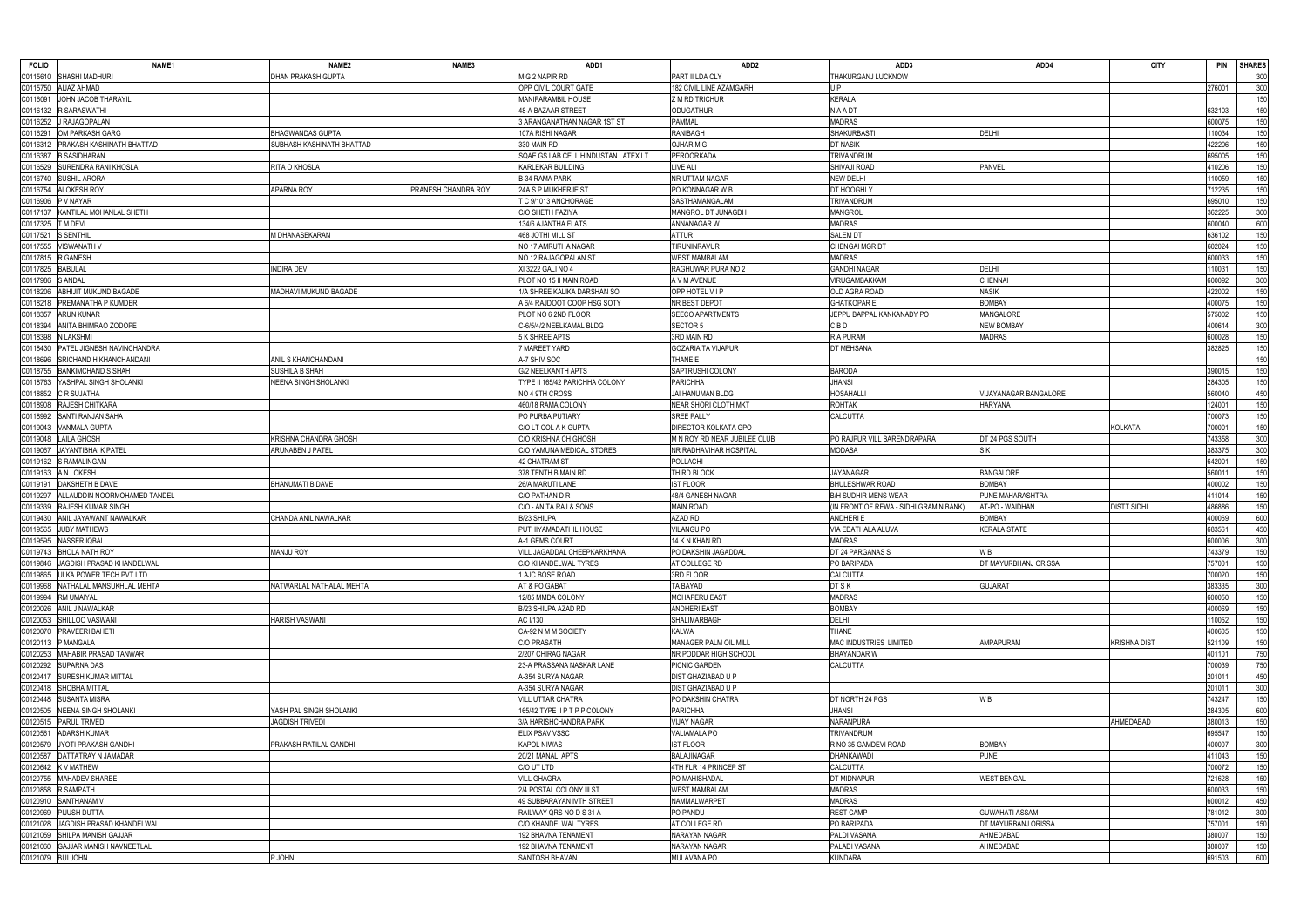| <b>FOLIO</b>       | <b>NAME1</b>                       | NAME <sub>2</sub>               | NAME3               | ADD1                                | ADD <sub>2</sub>             | ADD3                                   | ADD4                  | <b>CITY</b>         | <b>PIN</b> | <b>SHARES</b> |
|--------------------|------------------------------------|---------------------------------|---------------------|-------------------------------------|------------------------------|----------------------------------------|-----------------------|---------------------|------------|---------------|
| C0115610           | SHASHI MADHURI                     | DHAN PRAKASH GUPTA              |                     | MIG 2 NAPIR RD                      | PART II LDA CLY              | THAKURGANJ LUCKNOW                     |                       |                     |            | 300           |
| C0115750           | <b>AIJAZ AHMAD</b>                 |                                 |                     | OPP CIVIL COURT GATE                | 182 CIVIL LINE AZAMGARH      | U P                                    |                       |                     | 276001     | 300           |
| C0116091           | JOHN JACOB THARAYIL                |                                 |                     | MANIPARAMBIL HOUSE                  | Z M RD TRICHUR               | <b>KERALA</b>                          |                       |                     |            | 150           |
| C0116132           | <b>SARASWATHI</b>                  |                                 |                     | 48-A BAZAAR STREET                  | <b>ODUGATHUR</b>             | <b>NAADT</b>                           |                       |                     | 632103     | 150           |
| C0116252           | RAJAGOPALAN                        |                                 |                     | 3 ARANGANATHAN NAGAR 1ST ST         | PAMMAL                       | <b>MADRAS</b>                          |                       |                     | 600075     | 150           |
| C011629            | OM PARKASH GARG                    | <b>BHAGWANDAS GUPTA</b>         |                     | 107A RISHI NAGAR                    | <b>RANIBAGH</b>              | <b>SHAKURBAST</b>                      | <b>DELHI</b>          |                     | 110034     | 150           |
| C0116312           | PRAKASH KASHINATH BHATTAD          | SUBHASH KASHINATH BHATTAD       |                     | 330 MAIN RD                         | <b>OJHAR MIG</b>             | <b>DT NASIK</b>                        |                       |                     | 422206     | 150           |
|                    | <b>B SASIDHARAN</b>                |                                 |                     | SQAE GS LAB CELL HINDUSTAN LATEX LT | <b>PEROORKADA</b>            | TRIVANDRUM                             |                       |                     |            | 150           |
| C0116387           |                                    |                                 |                     |                                     |                              |                                        |                       |                     | 695005     |               |
| C0116529           | SURENDRA RANI KHOSLA               | RITA O KHOSLA                   |                     | KARLEKAR BUILDING                   | <b>LIVE ALI</b>              | SHIVAJI ROAD                           | <b>PANVEL</b>         |                     | 410206     | 150           |
| C0116740           | SUSHIL ARORA                       |                                 |                     | <b>B-34 RAMA PARK</b>               | NR UTTAM NAGAR               | <b>NEW DELHI</b>                       |                       |                     | 110059     | 150           |
| C0116754           | <b>LOKESH ROY</b>                  | APARNA ROY                      | PRANESH CHANDRA ROY | 24A S P MUKHERJE ST                 | PO KONNAGAR W B              | DT HOOGHLY                             |                       |                     | 712235     | 150           |
| C0116906           | V NAYAR                            |                                 |                     | T C 9/1013 ANCHORAGE                | SASTHAMANGALAM               | TRIVANDRUM                             |                       |                     | 695010     | 150           |
| C0117137           | KANTILAL MOHANLAL SHETH            |                                 |                     | C/O SHETH FAZIYA                    | MANGROL DT JUNAGDH           | <b>MANGROL</b>                         |                       |                     | 362225     | 300           |
| C0117325           | M DEVI                             |                                 |                     | 134/6 AJANTHA FLATS                 | ANNANAGAR W                  | <b>MADRAS</b>                          |                       |                     | 600040     | 600           |
| C0117521           | S SENTHIL                          | M DHANASEKARAN                  |                     | 468 JOTHI MILL ST                   | <b>ATTUR</b>                 | <b>SALEM DT</b>                        |                       |                     | 636102     | 150           |
| C0117555           | <b>VISWANATH V</b>                 |                                 |                     | NO 17 AMRUTHA NAGAR                 | TIRUNINRAVUR                 | CHENGAI MGR DT                         |                       |                     | 602024     | 150           |
| C0117815           | R GANESH                           |                                 |                     | NO 12 RAJAGOPALAN ST                | <b>WEST MAMBALAM</b>         | <b>MADRAS</b>                          |                       |                     | 600033     | 150           |
| C0117825           | <b>BABULAL</b>                     | <b>NDIRA DEVI</b>               |                     | KI 3222 GALI NO 4                   | RAGHUWAR PURA NO 2           | <b>GANDHI NAGAR</b>                    | DELHI                 |                     | 110031     | 150           |
| C0117986           | S ANDAL                            |                                 |                     | PLOT NO 15 II MAIN ROAD             | A V M AVENUE                 | VIRUGAMBAKKAM                          | <b>CHENNAI</b>        |                     | 600092     | 300           |
| C0118206           | ABHIJIT MUKUND BAGADE              | <b>MADHAVI MUKUND BAGADE</b>    |                     | 1/A SHREE KALIKA DARSHAN SO         | OPP HOTEL VIP                | OLD AGRA ROAD                          | <b>NASIK</b>          |                     | 422002     | 150           |
| C0118218           | <b>PREMANATHA P KUMDER</b>         |                                 |                     | A 6/4 RAJDOOT COOP HSG SOTY         | NR BEST DEPOT                | <b>GHATKOPARE</b>                      | <b>BOMBAY</b>         |                     | 400075     | 150           |
| C0118357           | ARUN KUNAR                         |                                 |                     | PLOT NO 6 2ND FLOOR                 | <b>SEECO APARTMENTS</b>      | JEPPU BAPPAL KANKANADY PO              | <b>MANGALORE</b>      |                     | 575002     | 150           |
| C0118394           | ANITA BHIMRAO ZODOPE               |                                 |                     | C-6/5/4/2 NEELKAMAL BLDG            | <b>SECTOR 5</b>              | C B D                                  | <b>NEW BOMBAY</b>     |                     | 400614     | 300           |
| C0118398           | <b>LAKSHMI</b>                     |                                 |                     | 5 K SHREE APTS                      | 3RD MAIN RD                  | R A PURAM                              | <b>MADRAS</b>         |                     | 600028     | 150           |
|                    | ATEL JIGNESH NAVINCHANDRA          |                                 |                     | <b>MAREET YARD</b>                  | <b>GOZARIA TA VIJAPUR</b>    | DT MEHSANA                             |                       |                     | 382825     | 150           |
| C0118430           |                                    |                                 |                     |                                     |                              |                                        |                       |                     |            |               |
| C0118696           | SRICHAND H KHANCHANDANI            | ANIL S KHANCHANDANI             |                     | A-7 SHIV SOC                        | THANE E                      |                                        |                       |                     |            | 150           |
| C0118755           | <b>BANKIMCHAND S SHAH</b>          | SUSHILA B SHAH                  |                     | <b>G/2 NEELKANTH APTS</b>           | SAPTRUSHI COLONY             | <b>BARODA</b>                          |                       |                     | 390015     | 150           |
| C0118763           | 'ASHPAL SINGH SHOLANKI             | <b>VEENA SINGH SHOLANKI</b>     |                     | TYPE II 165/42 PARICHHA COLONY      | <b>PARICHHA</b>              | <b>JHANSI</b>                          |                       |                     | 284305     | 150           |
| C0118852           | R SUJATHA                          |                                 |                     | NO 4 9TH CROSS                      | JAI HANUMAN BLDG             | HOSAHALLI                              | VIJAYANAGAR BANGALORE |                     | 560040     | 450           |
| C0118908           | RAJESH CHITKARA                    |                                 |                     | 460/18 RAMA COLONY                  | NEAR SHORI CLOTH MKT         | <b>ROHTAK</b>                          | <b>HARYANA</b>        |                     | 124001     | 150           |
| C0118992           | SANTI RANJAN SAHA                  |                                 |                     | PO PURBA PUTIARY                    | <b>SREE PALLY</b>            | CALCUTTA                               |                       |                     | 700073     | 150           |
| C0119043           | <b>/ANMALA GUPTA</b>               |                                 |                     | C/O LT COL A K GUPTA                | DIRECTOR KOLKATA GPO         |                                        |                       | <b>KOLKATA</b>      | 700001     | 150           |
| C0119048           | AILA GHOSH                         | KRISHNA CHANDRA GHOSH           |                     | C/O KRISHNA CH GHOSH                | M N ROY RD NEAR JUBILEE CLUB | PO RAJPUR VILL BARENDRAPARA            | DT 24 PGS SOUTH       |                     | 743358     | 300           |
| C0119067           | JAYANTIBHAI K PATEL                | ARUNABEN J PATEL                |                     | C/O YAMUNA MEDICAL STORES           | NR RADHAVIHAR HOSPITAI       | <b>MODASA</b>                          | <b>SK</b>             |                     | 383375     | 300           |
| C0119162           | <b>RAMALINGAM</b>                  |                                 |                     | <b>42 CHATRAM ST</b>                | POLLACHI                     |                                        |                       |                     | 642001     | 150           |
| C0119163           | A N LOKESH                         |                                 |                     | 378 TENTH B MAIN RD                 | THIRD BLOCK                  | <b>JAYANAGAR</b>                       | <b>BANGALORE</b>      |                     | 560011     | 150           |
| C0119191           | AKSHETH B DAVE                     | <b>BHANUMATI B DAVE</b>         |                     | 26/A MARUTI LANE                    | <b>IST FLOOR</b>             | <b>BHULESHWAR ROAD</b>                 | <b>BOMBAY</b>         |                     | 400002     | 150           |
| C0119297           | ALLAUDDIN NOORMOHAMED TANDEL       |                                 |                     | C/O PATHAN D R                      | 48/4 GANESH NAGAR            | <b>B/H SUDHIR MENS WEAR</b>            | PUNE MAHARASHTRA      |                     | 411014     | 150           |
| C0119339           | RAJESH KUMAR SINGH                 |                                 |                     | C/O - ANITA RAJ & SONS              | MAIN ROAD,                   | (IN FRONT OF REWA - SIDHI GRAMIN BANK) | AT-PO.- WAIDHAN       | <b>DISTT SIDHI</b>  | 486886     | 150           |
| C0119430           | ANIL JAYAWANT NAWALKAR             | CHANDA ANIL NAWALKAR            |                     | B/23 SHILPA                         | AZAD RD                      | ANDHERI E                              | <b>BOMBAY</b>         |                     | 400069     | 600           |
|                    | <b>UBY MATHEWS</b>                 |                                 |                     | PUTHIYAMADATHIL HOUSE               | <b>VILANGU PO</b>            | VIA EDATHALA ALUVA                     | <b>KERALA STATE</b>   |                     | 683561     |               |
| C0119565           |                                    |                                 |                     |                                     |                              |                                        |                       |                     |            | 450           |
| C0119595           | NASSER IQBAL                       |                                 |                     | A-1 GEMS COURT                      | 14 K N KHAN RD               | <b>MADRAS</b>                          |                       |                     | 600006     | 300           |
|                    | C0119743 BHOLA NATH ROY            | <b>MANJU ROY</b>                |                     | VILL JAGADDAL CHEEPKARKHANA         | PO DAKSHIN JAGADDAL          | DT 24 PARGANAS S                       | W B                   |                     | 743379     |               |
|                    | C0119846 JAGDISH PRASAD KHANDELWAL |                                 |                     | C/O KHANDELWAL TYRES                | AT COLLEGE RD                | PO BARIPADA                            | DT MAYURBHANJ ORISSA  |                     | 757001     | 150           |
| C0119865           | ULKA POWER TECH PVT LTD            |                                 |                     | 1 AJC BOSE ROAD                     | 3RD FLOOR                    | CALCUTTA                               |                       |                     | 700020     | 150           |
| C0119968           | NATHALAL MANSUKHLAL MEHTA          | <b>NATWARLAL NATHALAL MEHTA</b> |                     | AT & PO GABAT                       | TA BAYAD                     | DT S K                                 | <b>GUJARAT</b>        |                     | 383335     | 300           |
| C0119994           | RM UMAIYAL                         |                                 |                     | 12/85 MMDA COLONY                   | <b>MOHAPERU EAST</b>         | <b>MADRAS</b>                          |                       |                     | 600050     | 150           |
| C0120026           | ANIL J NAWALKAR                    |                                 |                     | B/23 SHILPA AZAD RD                 | <b>ANDHERI EAST</b>          | <b>BOMBAY</b>                          |                       |                     | 400069     | 150           |
| C0120053           | SHILLOO VASWANI                    | HARISH VASWANI                  |                     | AC I/130                            | <b>SHALIMARBAGH</b>          | DELHI                                  |                       |                     | 110052     | 150           |
| C0120070           | PRAVEERI BAHETI                    |                                 |                     | CA-92 N M M SOCIETY                 | <b>KALWA</b>                 | <b>THANE</b>                           |                       |                     | 400605     | 150           |
| C0120113           | P MANGALA                          |                                 |                     | C/O PRASATH                         | <b>MANAGER PALM OIL MILL</b> | MAC INDUSTRIES LIMITED                 | AMPAPURAM             | <b>KRISHNA DIST</b> | 521109     | 150           |
| C0120253           | MAHABIR PRASAD TANWAR              |                                 |                     | 2/207 CHIRAG NAGAR                  | NR PODDAR HIGH SCHOOL        | <b>BHAYANDAR W</b>                     |                       |                     | 401101     | 750           |
| C0120292           | SUPARNA DAS                        |                                 |                     | 23-A PRASSANA NASKAR LANE           | PICNIC GARDEN                | CALCUTTA                               |                       |                     | 700039     | 750           |
| C0120417           | SURESH KUMAR MITTAL                |                                 |                     | A-354 SURYA NAGAR                   | DIST GHAZIABAD U P           |                                        |                       |                     | 201011     | 450           |
| C0120418           | SHOBHA MITTAL                      |                                 |                     | A-354 SURYA NAGAR                   | <b>DIST GHAZIABAD U P</b>    |                                        |                       |                     | 201011     | 300           |
| C0120448           | <b>SUSANTA MISRA</b>               |                                 |                     | VILL UTTAR CHATRA                   | PO DAKSHIN CHATRA            | DT NORTH 24 PGS                        | W B                   |                     | 743247     | 150           |
| C0120505           | NEENA SINGH SHOLANKI               | YASH PAL SINGH SHOLANKI         |                     | 165/42 TYPE II P T P P COLONY       | <b>PARICHHA</b>              | <b>JHANSI</b>                          |                       |                     | 284305     | 600           |
| C0120515           | PARUL TRIVEDI                      | <b>JAGDISH TRIVEDI</b>          |                     | 3/A HARISHCHANDRA PARK              | <b>VIJAY NAGAR</b>           | NARANPURA                              |                       | AHMEDABAD           | 380013     | 150           |
|                    |                                    |                                 |                     |                                     |                              |                                        |                       |                     |            |               |
| C0120561           | ADARSH KUMAR                       |                                 |                     | ELIX PSAV VSSC                      | <b>VALIAMALA PO</b>          | <b>TRIVANDRUM</b>                      |                       |                     | 695547     | 150           |
| C0120579           | JYOTI PRAKASH GANDHI               | <b>PRAKASH RATILAL GANDHI</b>   |                     | <b>KAPOL NIWAS</b>                  | <b>IST FLOOR</b>             | R NO 35 GAMDEVI ROAD                   | <b>BOMBAY</b>         |                     | 400007     | 300           |
| C0120587           | DATTATRAY N JAMADAR                |                                 |                     | 20/21 MANALI APTS                   | BALAJINAGAR                  | <b>DHANKAWADI</b>                      | <b>PUNE</b>           |                     | 411043     | 150           |
| C0120642           | <b>KV MATHEW</b>                   |                                 |                     | C/O UT LTD                          | 4TH FLR 14 PRINCEP ST        | CALCUTTA                               |                       |                     | 700072     | 150           |
| C0120755           | MAHADEV SHAREE                     |                                 |                     | <b>VILL GHAGRA</b>                  | PO MAHISHADAL                | <b>DT MIDNAPUR</b>                     | <b>WEST BENGAL</b>    |                     | 721628     | 150           |
| C0120858           | R SAMPATH                          |                                 |                     | 2/4 POSTAL COLONY III ST            | <b>WEST MAMBALAM</b>         | <b>MADRAS</b>                          |                       |                     | 600033     | 150           |
| C0120910           | SANTHANAM V                        |                                 |                     | <b>49 SUBBARAYAN IVTH STREET</b>    | NAMMALWARPET                 | <b>MADRAS</b>                          |                       |                     | 600012     | 450           |
| C0120969           | PIJUSH DUTTA                       |                                 |                     | RAILWAY QRS NO D S 31 A             | PO PANDU                     | <b>REST CAMP</b>                       | <b>GUWAHATI ASSAM</b> |                     | 781012     | 300           |
| C0121028           | JAGDISH PRASAD KHANDELWAL          |                                 |                     | C/O KHANDELWAL TYRES                | AT COLLEGE RD                | PO BARIPADA                            | DT MAYURBANJ ORISSA   |                     | 757001     | 150           |
| C0121059           | SHILPA MANISH GAJJAR               |                                 |                     | 192 BHAVNA TENAMENT                 | NARAYAN NAGAR                | PALDI VASANA                           | AHMEDABAD             |                     | 380007     | 150           |
| C0121060           | <b>GAJJAR MANISH NAVNEETLAL</b>    |                                 |                     | 192 BHAVNA TENAMENT                 | <b>NARAYAN NAGAR</b>         | PALADI VASANA                          | AHMEDABAD             |                     | 380007     | 150           |
| C0121079 BIJI JOHN |                                    | P JOHN                          |                     | SANTOSH BHAVAN                      | MULAVANA PO                  | <b>KUNDARA</b>                         |                       |                     | 691503     | 600           |
|                    |                                    |                                 |                     |                                     |                              |                                        |                       |                     |            |               |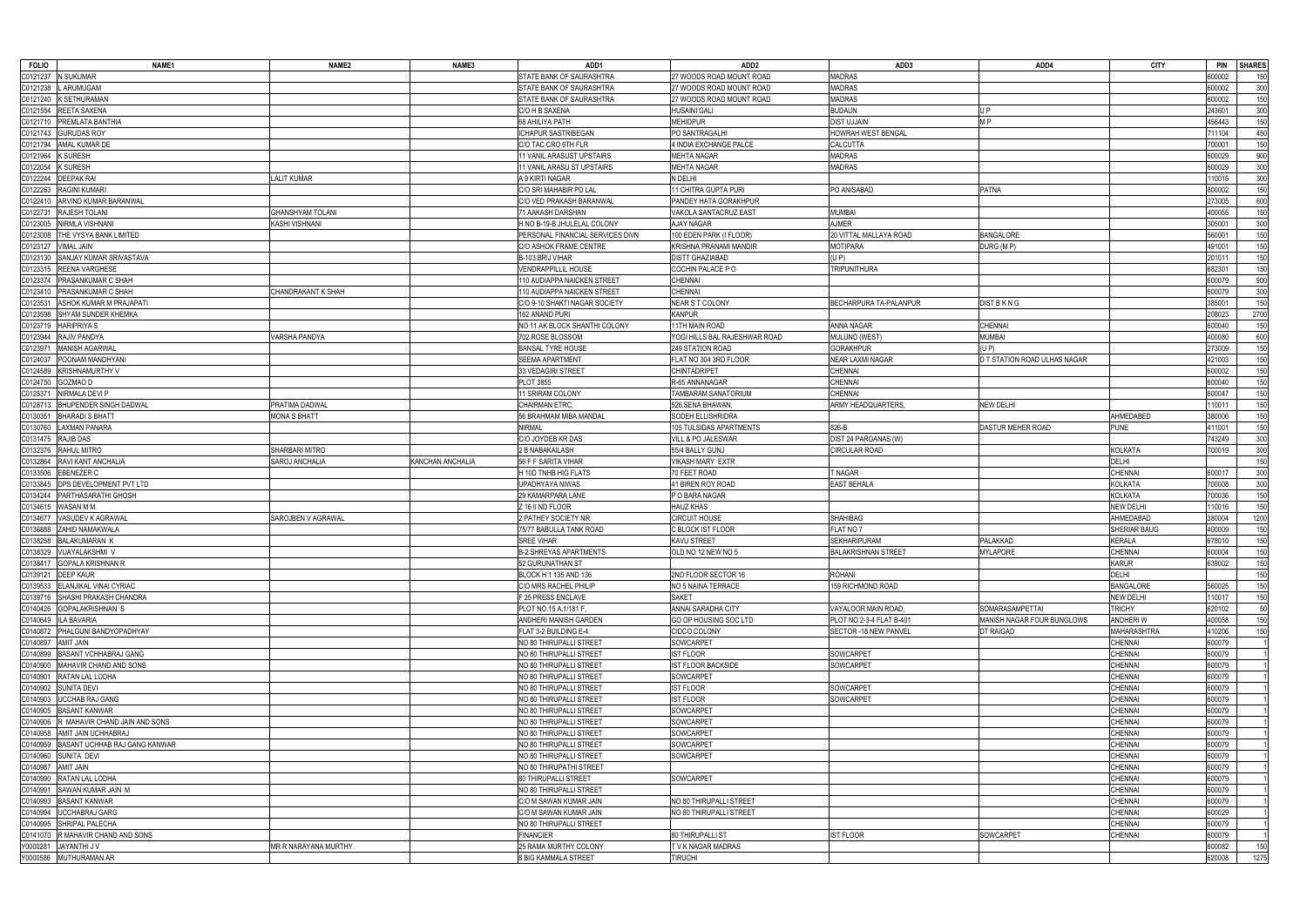| <b>FOLIO</b>         | NAME1                           | NAME <sub>2</sub>       | NAME3            | ADD1                             | ADD <sub>2</sub>              | ADD3                          | ADD4                         | <b>CITY</b>        | <b>PIN</b><br><b>SHARES</b> |
|----------------------|---------------------------------|-------------------------|------------------|----------------------------------|-------------------------------|-------------------------------|------------------------------|--------------------|-----------------------------|
| C0121237             | N SUKUMAR                       |                         |                  | STATE BANK OF SAURASHTRA         | 27 WOODS ROAD MOUNT ROAD      | <b>MADRAS</b>                 |                              |                    | 600002<br>150               |
| C0121238             | L ARUMUGAM                      |                         |                  | <b>STATE BANK OF SAURASHTRA</b>  | 27 WOODS ROAD MOUNT ROAD      | <b>MADRAS</b>                 |                              |                    | 600002<br>300               |
| C0121240             | K SETHURAMAN                    |                         |                  | <b>STATE BANK OF SAURASHTRA</b>  | 27 WOODS ROAD MOUNT ROAD      | <b>MADRAS</b>                 |                              |                    | 150<br>600002               |
| C0121554             | REETA SAXENA                    |                         |                  | C/O H B SAXENA                   | HUSAINI GALI                  | <b>BUDAUN</b>                 | U P                          |                    | 300<br>243601               |
| C0121710             | <b>PREMLATA BANTHIA</b>         |                         |                  | 68 AHILIYA PATH                  | <b>MEHIDPUR</b>               | <b>DIST UJJAIN</b>            | M <sub>P</sub>               |                    | 150<br>156443               |
| C0121743             | <b>GURUDAS ROY</b>              |                         |                  | ICHAPUR SASTRIBEGAN              | PO SANTRAGALHI                | <b>HOWRAH WEST BENGAL</b>     |                              |                    | 450<br>11104                |
| C0121794             | AMAL KUMAR DE                   |                         |                  | C/O TAC CRO 6TH FLR              | 4 INDIA EXCHANGE PALCE        | CALCUTTA                      |                              |                    | 700001<br>150               |
| C0121964             | <b>K SURESH</b>                 |                         |                  | 11 VANIL ARASUST UPSTAIRS        | <b>MEHTA NAGAR</b>            | <b>MADRAS</b>                 |                              |                    | 900<br>600029               |
| C0122054             | <b>K SURESH</b>                 |                         |                  | 11 VANIL ARASU ST UPSTAIRS       | <b>MEHTA NAGAR</b>            | <b>MADRAS</b>                 |                              |                    | 600029<br>300               |
| C0122244             | <b>DEEPAK RAI</b>               | <b>ALIT KUMAR</b>       |                  | A 9 KIRTI NAGAR                  | N DELHI                       |                               |                              |                    | 300<br>110015               |
| C0122263             | <b>RAGINI KUMARI</b>            |                         |                  | C/O SRI MAHABIR PD LAL           | 11 CHITRA GUPTA PURI          | PO ANISABAD                   | <b>PATNA</b>                 |                    | 150<br>800002               |
| C0122410             | ARVIND KUMAR BARANWAL           |                         |                  | C/O VED PRAKASH BARANWAL         | PANDEY HATA GORAKHPUR         |                               |                              |                    | 600<br>273005               |
| C0122731             | <b>RAJESH TOLANI</b>            | <b>GHANSHYAM TOLANI</b> |                  | 71 AAKASH DARSHAN                | VAKOLA SANTACRUZ EAST         | <b>MUMBAI</b>                 |                              |                    | 150<br>400055               |
| C0123005             | NIRMLA VISHNANI                 | KASHI VISHNANI          |                  | H NO B-19-B JHULELAL COLONY      | AJAY NAGAR                    | <b>AJMER</b>                  |                              |                    | 300<br>305001               |
| C0123008             | THE VYSYA BANK LIMITED          |                         |                  | PERSONAL FINANCIAL SERVICES DIVN | 100 EDEN PARK (I FLOOR)       | 20 VITTAL MALLAYA ROAD        | <b>BANGALORE</b>             |                    | 150<br>560001               |
| C0123127             | <b>VIMAL JAIN</b>               |                         |                  | C/O ASHOK FRAME CENTRE           | KRISHNA PRANAMI MANDIR        | <b>MOTIPARA</b>               | DURG (MP)                    |                    | 491001<br>150               |
| C0123130             | SANJAY KUMAR SRIVASTAVA         |                         |                  | B-103 BRIJ VIHAR                 | <b>DISTT GHAZIABAD</b>        | (U P)                         |                              |                    | 201011<br>150               |
|                      | REENA VARGHESE                  |                         |                  | <b>VENDRAPPILLIL HOUSE</b>       |                               | <b>TRIPUNITHURA</b>           |                              |                    | 682301                      |
| C0123315<br>C0123374 | PRASANKUMAR C SHAH              |                         |                  | 110 AUDIAPPA NAICKEN STREET      | COCHIN PALACE PO<br>CHENNAI   |                               |                              |                    | 150                         |
|                      |                                 |                         |                  |                                  |                               |                               |                              |                    | 900<br>600079               |
| C0123410             | PRASANKUMAR C SHAH              | CHANDRAKANT K SHAH      |                  | 110 AUDIAPPA NAICKEN STREET      | CHENNAI                       |                               |                              |                    | 600079<br>300               |
| C0123531             | ASHOK KUMAR M PRAJAPATI         |                         |                  | C/O 9-10 SHAKTI NAGAR SOCIETY    | <b>NEAR S T COLONY</b>        | <b>BECHARPURA TA-PALANPUR</b> | DIST B K N G                 |                    | 385001<br>150               |
| C0123598             | SHYAM SUNDER KHEMKA             |                         |                  | 162 ANAND PURI                   | <b>KANPUR</b>                 |                               |                              |                    | 2700<br>208023              |
| C0123719             | <b>HARIPRIYA S</b>              |                         |                  | NO 11 AK BLOCK SHANTHI COLONY    | <b>11TH MAIN ROAD</b>         | ANNA NAGAR                    | CHENNAI                      |                    | 150<br>600040               |
| C0123944             | RAJIV PANDYA                    | VARSHA PANDYA           |                  | 702 ROSE BLOSSOM                 | YOGI HILLS BAL RAJESHWAR ROAD | MULUND (WEST)                 | <b>MUMBAI</b>                |                    | 600<br>400080               |
| C0123971             | <b>MANISH AGARWAL</b>           |                         |                  | <b>BANSAL TYRE HOUSE</b>         | 249 STATION ROAD              | <b>GORAKHPUR</b>              | (UP)                         |                    | 273009<br>150               |
| C0124037             | POONAM MANDHYANI                |                         |                  | SEEMA APARTMENT                  | FLAT NO 304 3RD FLOOR         | NEAR LAXMI NAGAR              | D T STATION ROAD ULHAS NAGAR |                    | 150<br>421003               |
| C0124589             | <b>KRISHNAMURTHY V</b>          |                         |                  | 33 VEDAGIRI STREET               | <b>CHINTADRIPET</b>           | CHENNAI                       |                              |                    | 600002<br>150               |
| C0124750             | GOZMAO D                        |                         |                  | <b>PLOT 3855</b>                 | R-65 ANNANAGAR                | CHENNAI                       |                              |                    | 150<br>600040               |
| C0125371             | NIRMALA DEVI P                  |                         |                  | 1 SRIRAM COLONY                  | TAMBARAM SANATORIUM           | CHENNAI                       |                              |                    | 150<br>600047               |
| C0128713             | <b>BHUPENDER SINGH DADWAL</b>   | PRATIMA DADWAL          |                  | <b>CHAIRMAN ETRC</b>             | 526, SENA BHAWAN              | ARMY HEADQUARTERS             | <b>NEW DELHI</b>             |                    | 150<br>10011                |
| C0130351             | <b>BHARADI S BHATT</b>          | MONA S BHATT            |                  | 56 BRAHMAM MIBA MANDAL           | SODEH ELLISHRIDRA             |                               |                              | AHMEDABED          | 150<br>380006               |
| C0130760             | LAXMAN PANARA                   |                         |                  | <b>NIRMAL</b>                    | 105 TULSIDAS APARTMENTS       | 826-B                         | DASTUR MEHER ROAD            | <b>PUNE</b>        | 150<br>11001                |
| C0131475             | <b>RAJIB DAS</b>                |                         |                  | C/O JOYDEB KR DAS                | <b>VILL &amp; PO JALESWAR</b> | DIST 24 PARGANAS (W)          |                              |                    | 300<br>'43249               |
| C0132376             | RAHUL MITRO                     | <b>SHARBARI MITRO</b>   |                  | 2 B NABAKAILASH                  | 55/4 BALLY GUNJ               | <b>CIRCULAR ROAD</b>          |                              | <b>KOLKATA</b>     | 700019<br>300               |
| C0132864             | RAVI KANT ANCHALIA              | SAROJ ANCHALIA          | KANCHAN ANCHALIA | 56 F F SARITA VIHAR              | <b>VIKASH MARY EXTR</b>       |                               |                              | <b>DELHI</b>       | 150                         |
| C0133506             | EBENEZER C                      |                         |                  | H 10D TNHB HIG FLATS             | 70 FEET ROAD                  | T NAGAR                       |                              | <b>CHENNAI</b>     | 300<br>600017               |
| C0133845             | DPS DEVELOPMENT PVT LTD         |                         |                  | JPADHYAYA NIWAS                  | 41 BIREN ROY ROAD             | EAST BEHALA                   |                              | <b>KOLKATA</b>     | 300<br>700008               |
| C0134244             | PARTHASARATHI GHOSH             |                         |                  | 29 KAMARPARA LANE                | P O BARA NAGAR                |                               |                              | <b>KOLKATA</b>     | 150<br>700036               |
| C0134615             | WASAN M M                       |                         |                  | Z 16 II ND FLOOR                 | <b>HAUZ KHAS</b>              |                               |                              | <b>NEW DELH</b>    | 150<br>10016                |
| C0134677             | /ASUDEV K AGRAWAL               | SAROJBEN V AGRAWAL      |                  | 2 PATHEY SOCIETY NR              | <b>CIRCUIT HOUSE</b>          | <b>SHAHIBAG</b>               |                              | AHMEDABAD          | 1200<br>380004              |
| C0136888             | ZAHID NAMAKWALA                 |                         |                  | 75/77 BABULLA TANK ROAD          | C BLOCK IST FLOOR             | FLAT NO 7                     |                              | SHERIAR BAUG       | 150<br>400009               |
| C0138258             | <b>BALAKUMARAN K</b>            |                         |                  | SREE VIHAR                       | KAVU STREET                   | SEKHARIPURAM                  | PALAKKAD                     | <b>KERALA</b>      | 150<br>678010               |
|                      | C0138329 VIJAYALAKSHMI V        |                         |                  | B-2 SHREYAS APARTMENTS           | OLD NO 12 NEW NO 5            | <b>BALAKRISHNAN STREE</b>     | <b>MYLAPORE</b>              | <b>CHENNAI</b>     | 600004<br>150               |
|                      | C0138417 GOPALA KRISHNAN R      |                         |                  | 52 GURUNATHAN ST                 |                               |                               |                              |                    |                             |
|                      | C0139121 DEEP KAUR              |                         |                  |                                  |                               |                               |                              |                    |                             |
|                      |                                 |                         |                  |                                  |                               |                               |                              | <b>KARUR</b>       | 639002<br>150               |
|                      |                                 |                         |                  | BLOCK H 1 135 AND 136            | 2ND FLOOR SECTOR 16           | <b>ROHANI</b>                 |                              | <b>DELHI</b>       | 150                         |
|                      | C0139533 ELANJIKAL VINAI CYRIAC |                         |                  | C/O MRS RACHEL PHILIP            | NO 5 NAINA TERRACE            | 159 RICHMOND ROAD             |                              | <b>BANGALORE</b>   | 150<br>560025               |
| C0140649             | C0139716 SHASHI PRAKASH CHANDRA |                         |                  | F 25 PRESS ENCLAVE               | <b>SAKET</b>                  |                               |                              | <b>NEW DELHI</b>   | 150<br>10017                |
|                      | C0140426 GOPALAKRISHNAN S       |                         |                  | PLOT NO.15 A, 1/181 F,           | ANNAI SARADHA CITY            | VAYALOOR MAIN ROAD            | SOMARASAMPETTAI              | <b>TRICHY</b>      | 320102<br>50                |
|                      | <b>ILA BAVARIA</b>              |                         |                  | ANDHERI MANISH GARDEN            | GO OP HOUSING SOC LTD         | PLOT NO 2-3-4 FLAT B-401      | MANISH NAGAR FOUR BUNGLOWS   | <b>ANDHERIW</b>    | 150<br>400058               |
| C0140872             | PHALGUNI BANDYOPADHYAY          |                         |                  | FLAT 3-2 BUILDING E-4            | CIDCO COLONY                  | SECTOR - 18 NEW PANVEL        | DT RAIGAD                    | <b>MAHARASHTRA</b> | 110206<br>150               |
| C0140897             | <b>AMIT JAIN</b>                |                         |                  | NO 80 THIRUPALLI STREET          | SOWCARPET                     |                               |                              | <b>CHENNAI</b>     | 600079                      |
| C0140899             | <b>BASANT VCHHABRAJ GANG</b>    |                         |                  | NO 80 THIRUPALLI STREET          | <b>IST FLOOR</b>              | SOWCARPET                     |                              | <b>CHENNAI</b>     | 600079                      |
| C0140900             | MAHAVIR CHAND AND SONS          |                         |                  | NO 80 THIRUPALLI STREET          | <b>IST FLOOR BACKSIDE</b>     | SOWCARPET                     |                              | <b>CHENNAI</b>     | 600079                      |
| C0140901             | RATAN LAL LODHA                 |                         |                  | NO 80 THIRUPALLI STREET          | SOWCARPET                     |                               |                              | <b>CHENNAI</b>     | 600079                      |
| C0140902             | <b>SUNITA DEVI</b>              |                         |                  | NO 80 THIRUPALLI STREET          | <b>IST FLOOR</b>              | SOWCARPET                     |                              | <b>CHENNAI</b>     | 600079                      |
| C0140903             | <b>UCCHAB RAJ GANG</b>          |                         |                  | NO 80 THIRUPALLI STREET          | <b>IST FLOOR</b>              | SOWCARPET                     |                              | <b>CHENNAI</b>     | 600079                      |
| C0140905             | <b>BASANT KANWAR</b>            |                         |                  | NO 80 THIRUPALLI STREET          | SOWCARPET                     |                               |                              | <b>CHENNAI</b>     | 600079                      |
| C0140906             | R MAHAVIR CHAND JAIN AND SONS   |                         |                  | NO 80 THIRUPALLI STREET          | SOWCARPET                     |                               |                              | <b>CHENNAI</b>     | 600079                      |
| C0140958             | AMIT JAIN UCHHABRAJ             |                         |                  | NO 80 THIRUPALLI STREET          | SOWCARPET                     |                               |                              | <b>CHENNAI</b>     | 600079                      |
| C0140959             | BASANT UCHHAB RAJ GANG KANWAR   |                         |                  | NO 80 THIRUPALLI STREET          | SOWCARPET                     |                               |                              | <b>CHENNAI</b>     | 600079                      |
| C0140960             | SUNITA DEVI                     |                         |                  | NO 80 THIRUPALLI STREET          | SOWCARPET                     |                               |                              | <b>CHENNAI</b>     | 600079                      |
| C0140987             | <b>AMIT JAIN</b>                |                         |                  | NO 80 THIRUPATHI STREET          |                               |                               |                              | <b>CHENNAI</b>     | 600079                      |
| C0140990             | RATAN LAL LODHA                 |                         |                  | <b>80 THIRUPALLI STREET</b>      | SOWCARPET                     |                               |                              | <b>CHENNAI</b>     | 600079                      |
| C0140991             | SAWAN KUMAR JAIN M              |                         |                  | NO 80 THIRUPALLI STREET          |                               |                               |                              | <b>CHENNAI</b>     | 600079                      |
| C0140993             | <b>BASANT KANWAR</b>            |                         |                  | C/O M SAWAN KUMAR JAIN           | NO 80 THIRUPALLI STREET       |                               |                              | <b>CHENNAI</b>     | 600079                      |
| C0140994             | UCCHABRAJ GARG                  |                         |                  | C/O M SAWAN KUMAR JAIN           | NO 80 THIRUPALLI STREET       |                               |                              | <b>CHENNAI</b>     | 600029                      |
| C0140995             | SHRIPAL PALECHA                 |                         |                  | NO 80 THIRUPALLI STREET          |                               |                               |                              | <b>CHENNAI</b>     | 600079                      |
| C0141070             | R MAHAVIR CHAND AND SONS        |                         |                  | <b>FINANCIER</b>                 | 80 THIRUPALLI ST              | <b>IST FLOOR</b>              | SOWCARPET                    | <b>CHENNAI</b>     | 600079                      |
|                      | Y0000281 JAYANTHI J V           | MR R NARAYANA MURTHY    |                  | 25 RAMA MURTHY COLONY            | T V K NAGAR MADRAS            |                               |                              |                    | 600082<br>150               |